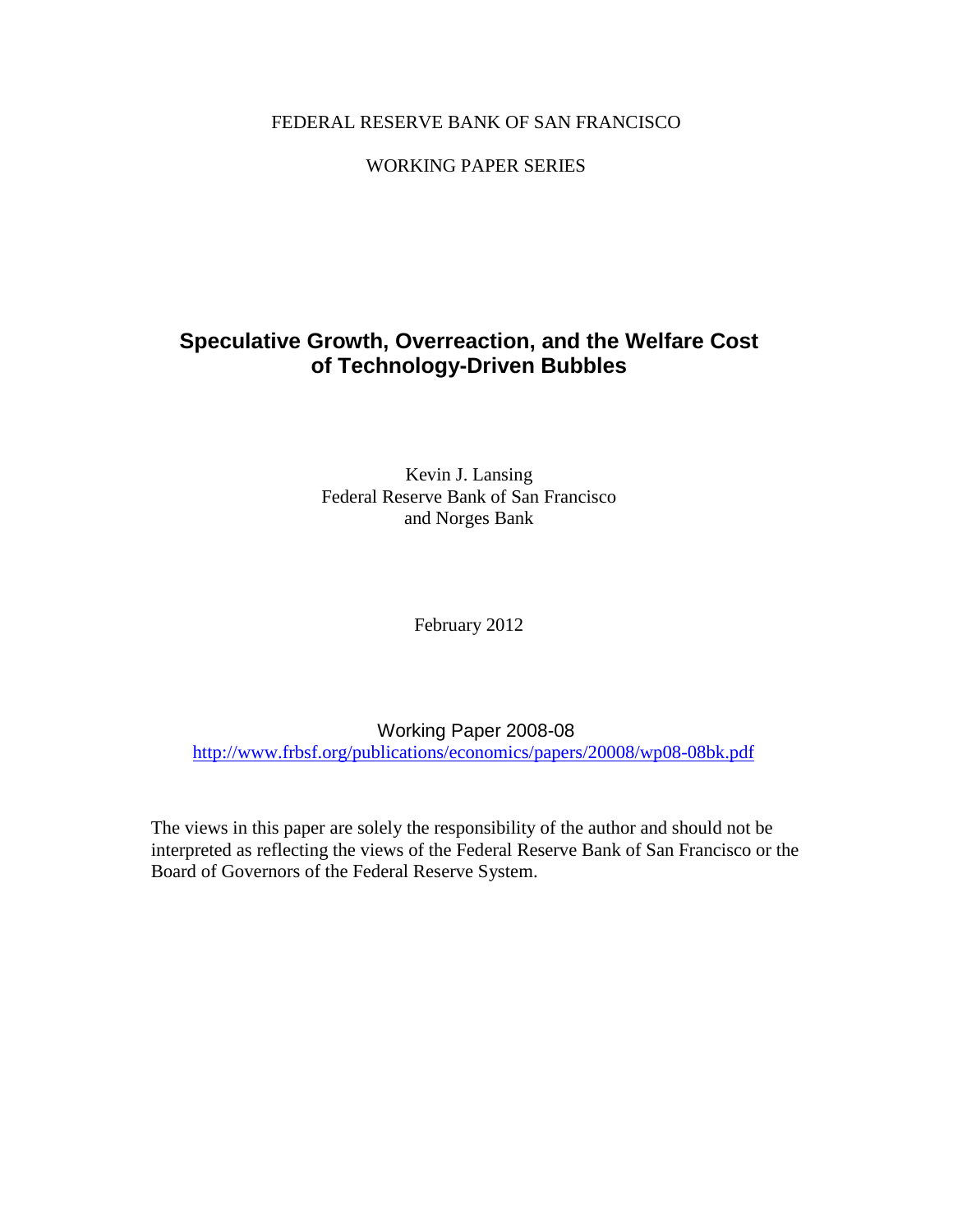### FEDERAL RESERVE BANK OF SAN FRANCISCO

### WORKING PAPER SERIES

# **Speculative Growth, Overreaction, and the Welfare Cost of Technology-Driven Bubbles**

Kevin J. Lansing Federal Reserve Bank of San Francisco and Norges Bank

February 2012

Working Paper 2008-08 <http://www.frbsf.org/publications/economics/papers/20008/wp08-08bk.pdf>

The views in this paper are solely the responsibility of the author and should not be interpreted as reflecting the views of the Federal Reserve Bank of San Francisco or the Board of Governors of the Federal Reserve System.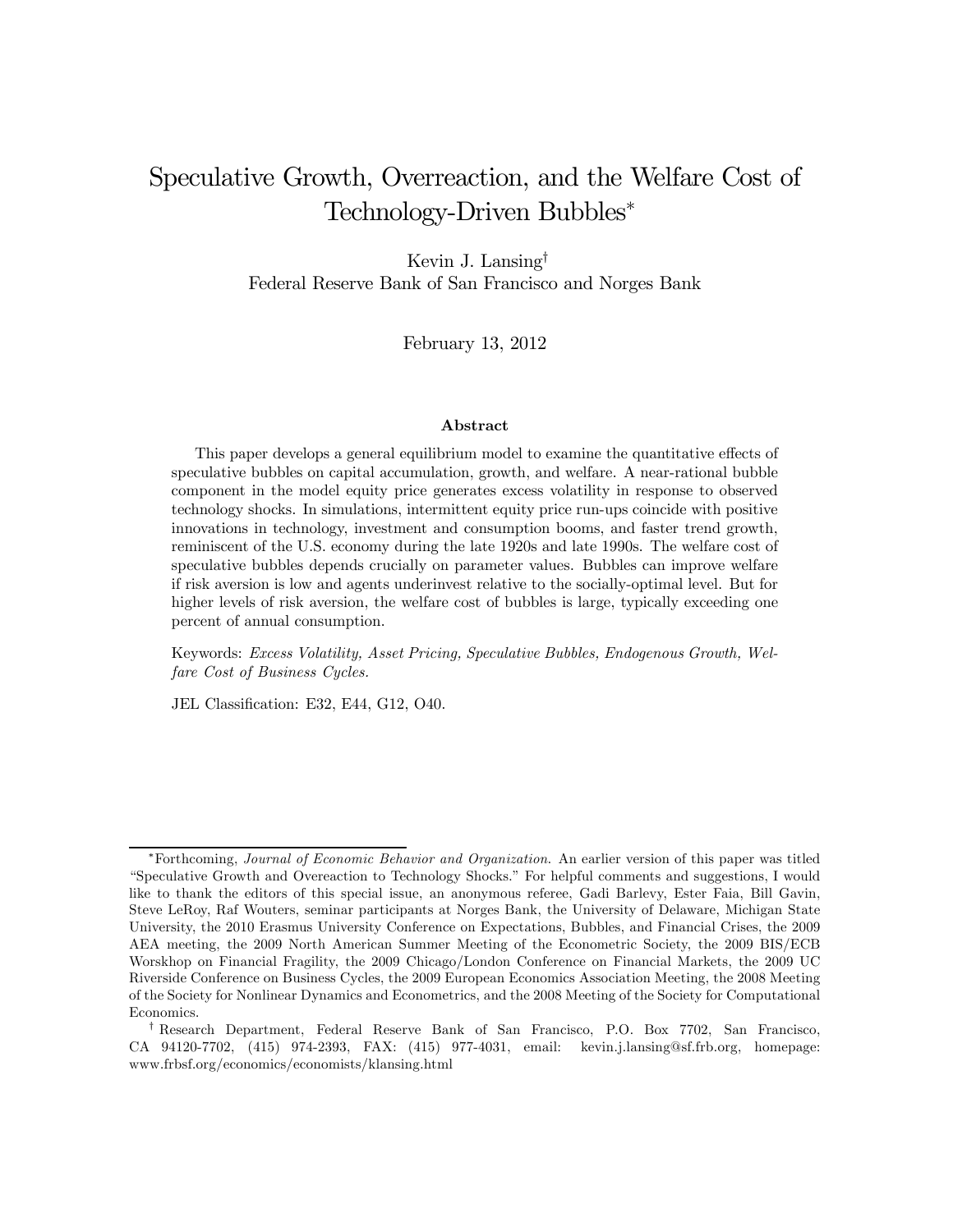# Speculative Growth, Overreaction, and the Welfare Cost of Technology-Driven Bubbles<sup>∗</sup>

Kevin J. Lansing† Federal Reserve Bank of San Francisco and Norges Bank

February 13, 2012

#### Abstract

This paper develops a general equilibrium model to examine the quantitative effects of speculative bubbles on capital accumulation, growth, and welfare. A near-rational bubble component in the model equity price generates excess volatility in response to observed technology shocks. In simulations, intermittent equity price run-ups coincide with positive innovations in technology, investment and consumption booms, and faster trend growth, reminiscent of the U.S. economy during the late 1920s and late 1990s. The welfare cost of speculative bubbles depends crucially on parameter values. Bubbles can improve welfare if risk aversion is low and agents underinvest relative to the socially-optimal level. But for higher levels of risk aversion, the welfare cost of bubbles is large, typically exceeding one percent of annual consumption.

Keywords: Excess Volatility, Asset Pricing, Speculative Bubbles, Endogenous Growth, Welfare Cost of Business Cycles.

JEL Classification: E32, E44, G12, O40.

<sup>∗</sup>Forthcoming, Journal of Economic Behavior and Organization. An earlier version of this paper was titled "Speculative Growth and Overeaction to Technology Shocks." For helpful comments and suggestions, I would like to thank the editors of this special issue, an anonymous referee, Gadi Barlevy, Ester Faia, Bill Gavin, Steve LeRoy, Raf Wouters, seminar participants at Norges Bank, the University of Delaware, Michigan State University, the 2010 Erasmus University Conference on Expectations, Bubbles, and Financial Crises, the 2009 AEA meeting, the 2009 North American Summer Meeting of the Econometric Society, the 2009 BIS/ECB Worskhop on Financial Fragility, the 2009 Chicago/London Conference on Financial Markets, the 2009 UC Riverside Conference on Business Cycles, the 2009 European Economics Association Meeting, the 2008 Meeting of the Society for Nonlinear Dynamics and Econometrics, and the 2008 Meeting of the Society for Computational Economics.

<sup>†</sup> Research Department, Federal Reserve Bank of San Francisco, P.O. Box 7702, San Francisco, CA 94120-7702, (415) 974-2393, FAX: (415) 977-4031, email: kevin.j.lansing@sf.frb.org, homepage: www.frbsf.org/economics/economists/klansing.html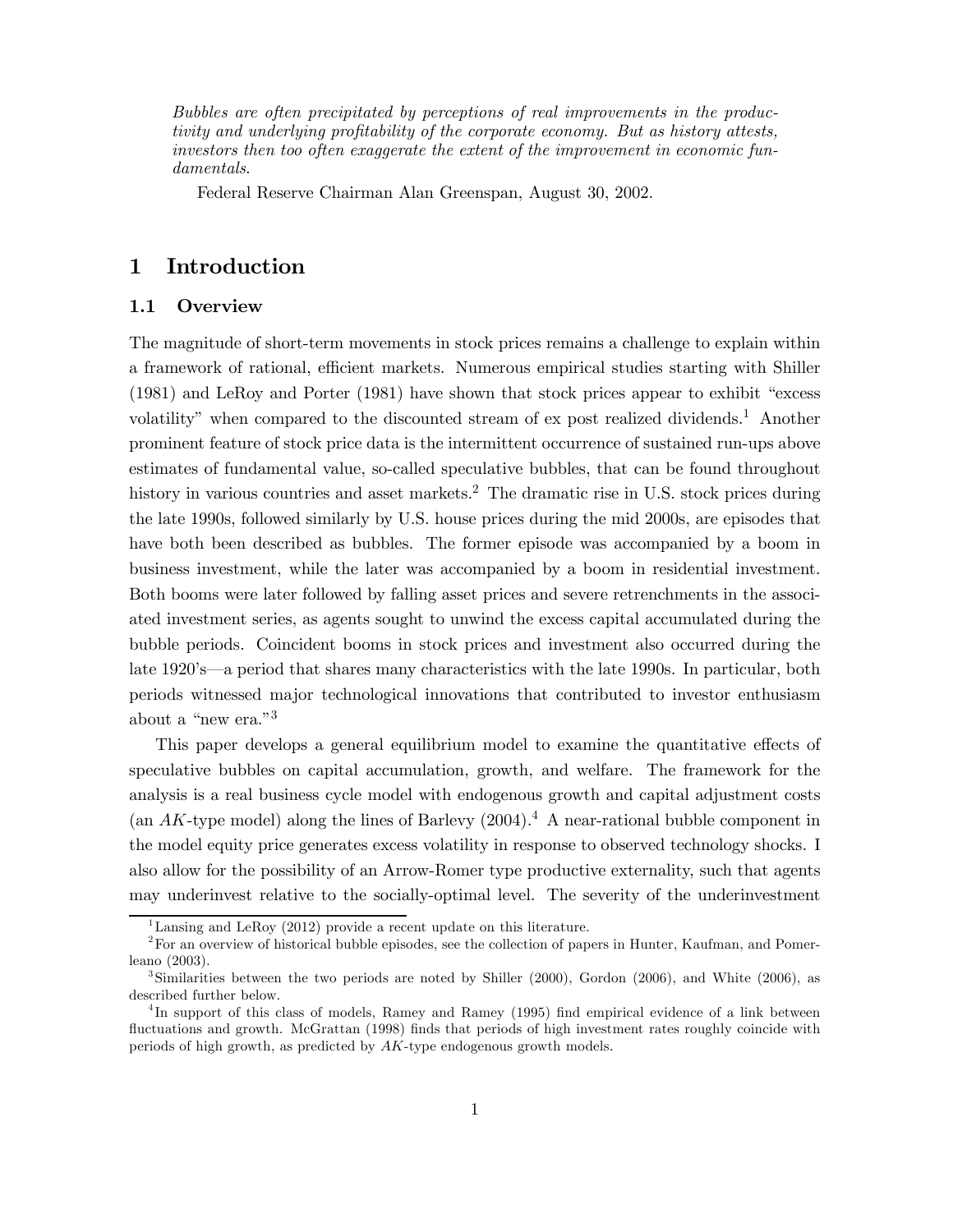Bubbles are often precipitated by perceptions of real improvements in the productivity and underlying profitability of the corporate economy. But as history attests, investors then too often exaggerate the extent of the improvement in economic fundamentals.

Federal Reserve Chairman Alan Greenspan, August 30, 2002.

# 1 Introduction

#### 1.1 Overview

The magnitude of short-term movements in stock prices remains a challenge to explain within a framework of rational, efficient markets. Numerous empirical studies starting with Shiller (1981) and LeRoy and Porter (1981) have shown that stock prices appear to exhibit "excess volatility" when compared to the discounted stream of ex post realized dividends.<sup>1</sup> Another prominent feature of stock price data is the intermittent occurrence of sustained run-ups above estimates of fundamental value, so-called speculative bubbles, that can be found throughout history in various countries and asset markets.<sup>2</sup> The dramatic rise in U.S. stock prices during the late 1990s, followed similarly by U.S. house prices during the mid 2000s, are episodes that have both been described as bubbles. The former episode was accompanied by a boom in business investment, while the later was accompanied by a boom in residential investment. Both booms were later followed by falling asset prices and severe retrenchments in the associated investment series, as agents sought to unwind the excess capital accumulated during the bubble periods. Coincident booms in stock prices and investment also occurred during the late 1920's–a period that shares many characteristics with the late 1990s. In particular, both periods witnessed major technological innovations that contributed to investor enthusiasm about a "new era."3

This paper develops a general equilibrium model to examine the quantitative effects of speculative bubbles on capital accumulation, growth, and welfare. The framework for the analysis is a real business cycle model with endogenous growth and capital adjustment costs (an  $AK$ -type model) along the lines of Barlevy  $(2004)^4$ . A near-rational bubble component in the model equity price generates excess volatility in response to observed technology shocks. I also allow for the possibility of an Arrow-Romer type productive externality, such that agents may underinvest relative to the socially-optimal level. The severity of the underinvestment

<sup>&</sup>lt;sup>1</sup>Lansing and LeRoy (2012) provide a recent update on this literature.

<sup>&</sup>lt;sup>2</sup>For an overview of historical bubble episodes, see the collection of papers in Hunter, Kaufman, and Pomerleano (2003).

<sup>&</sup>lt;sup>3</sup>Similarities between the two periods are noted by Shiller (2000), Gordon (2006), and White (2006), as described further below.

<sup>&</sup>lt;sup>4</sup>In support of this class of models, Ramey and Ramey (1995) find empirical evidence of a link between fluctuations and growth. McGrattan (1998) finds that periods of high investment rates roughly coincide with periods of high growth, as predicted by  $AK$ -type endogenous growth models.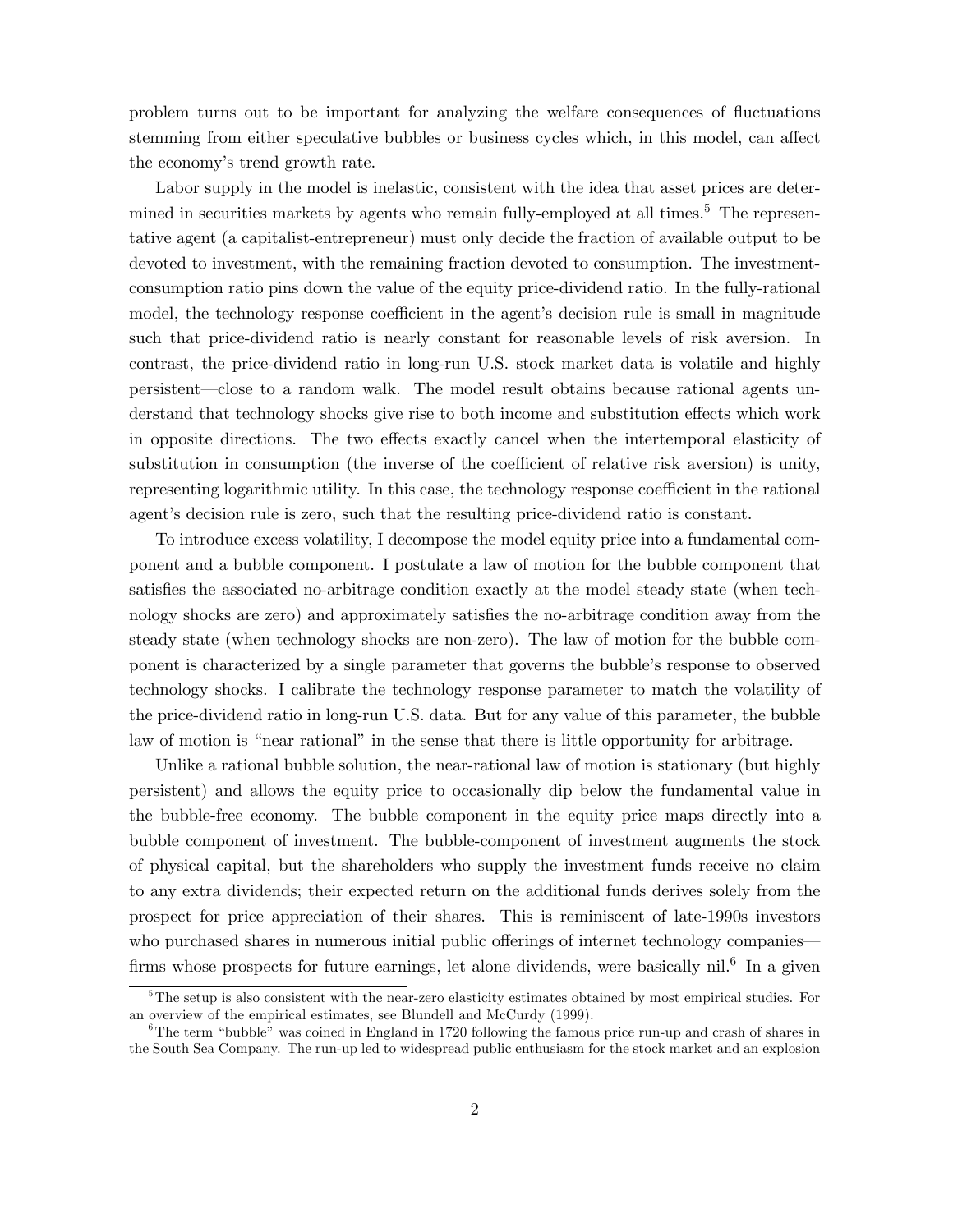problem turns out to be important for analyzing the welfare consequences of fluctuations stemming from either speculative bubbles or business cycles which, in this model, can affect the economy's trend growth rate.

Labor supply in the model is inelastic, consistent with the idea that asset prices are determined in securities markets by agents who remain fully-employed at all times.<sup>5</sup> The representative agent (a capitalist-entrepreneur) must only decide the fraction of available output to be devoted to investment, with the remaining fraction devoted to consumption. The investmentconsumption ratio pins down the value of the equity price-dividend ratio. In the fully-rational model, the technology response coefficient in the agent's decision rule is small in magnitude such that price-dividend ratio is nearly constant for reasonable levels of risk aversion. In contrast, the price-dividend ratio in long-run U.S. stock market data is volatile and highly persistent–close to a random walk. The model result obtains because rational agents understand that technology shocks give rise to both income and substitution effects which work in opposite directions. The two effects exactly cancel when the intertemporal elasticity of substitution in consumption (the inverse of the coefficient of relative risk aversion) is unity, representing logarithmic utility. In this case, the technology response coefficient in the rational agent's decision rule is zero, such that the resulting price-dividend ratio is constant.

To introduce excess volatility, I decompose the model equity price into a fundamental component and a bubble component. I postulate a law of motion for the bubble component that satisfies the associated no-arbitrage condition exactly at the model steady state (when technology shocks are zero) and approximately satisfies the no-arbitrage condition away from the steady state (when technology shocks are non-zero). The law of motion for the bubble component is characterized by a single parameter that governs the bubble's response to observed technology shocks. I calibrate the technology response parameter to match the volatility of the price-dividend ratio in long-run U.S. data. But for any value of this parameter, the bubble law of motion is "near rational" in the sense that there is little opportunity for arbitrage.

Unlike a rational bubble solution, the near-rational law of motion is stationary (but highly persistent) and allows the equity price to occasionally dip below the fundamental value in the bubble-free economy. The bubble component in the equity price maps directly into a bubble component of investment. The bubble-component of investment augments the stock of physical capital, but the shareholders who supply the investment funds receive no claim to any extra dividends; their expected return on the additional funds derives solely from the prospect for price appreciation of their shares. This is reminiscent of late-1990s investors who purchased shares in numerous initial public offerings of internet technology companies firms whose prospects for future earnings, let alone dividends, were basically  $\mathrm{nil}^6$  In a given

<sup>&</sup>lt;sup>5</sup>The setup is also consistent with the near-zero elasticity estimates obtained by most empirical studies. For an overview of the empirical estimates, see Blundell and McCurdy (1999).

 $6$ The term "bubble" was coined in England in 1720 following the famous price run-up and crash of shares in the South Sea Company. The run-up led to widespread public enthusiasm for the stock market and an explosion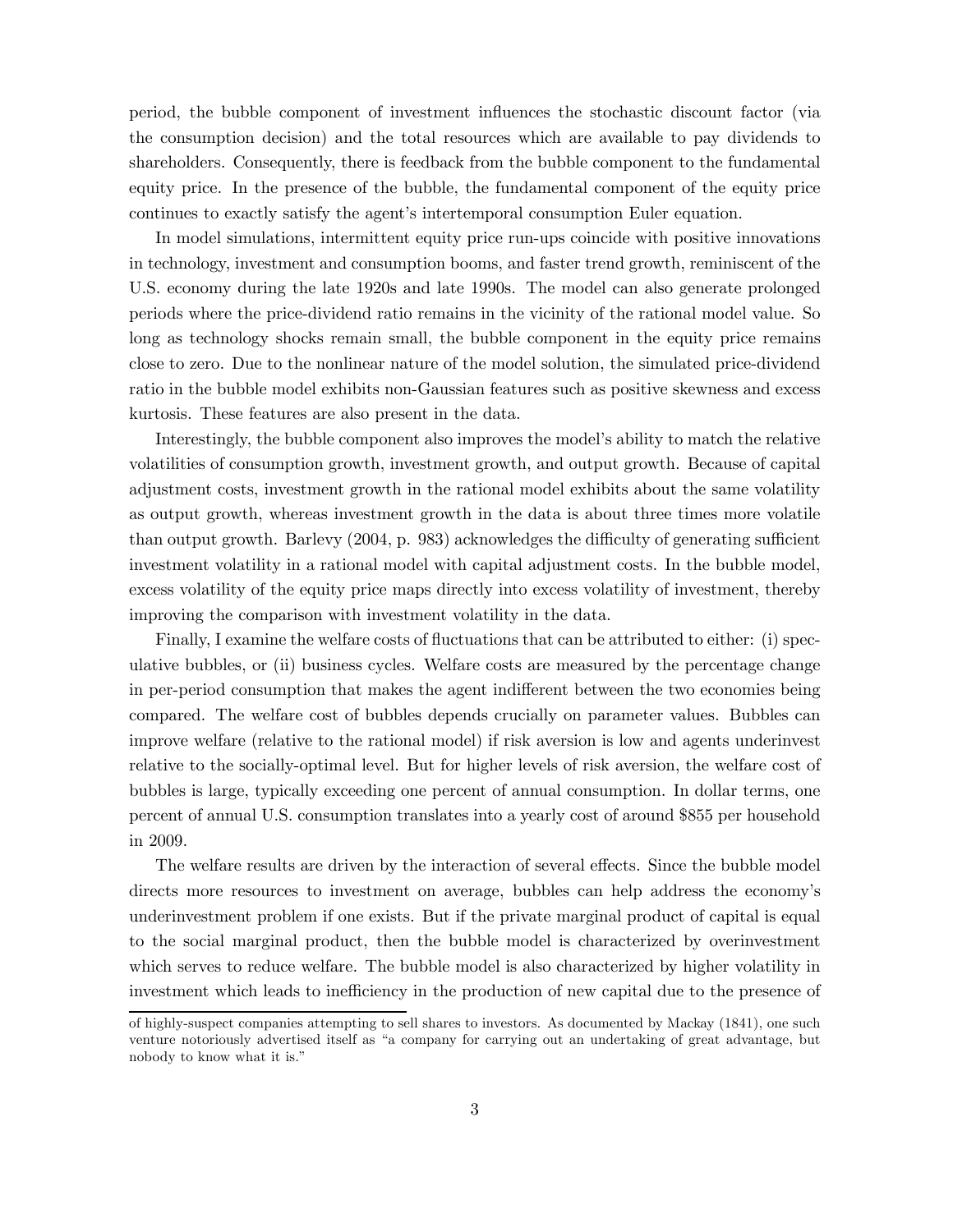period, the bubble component of investment influences the stochastic discount factor (via the consumption decision) and the total resources which are available to pay dividends to shareholders. Consequently, there is feedback from the bubble component to the fundamental equity price. In the presence of the bubble, the fundamental component of the equity price continues to exactly satisfy the agent's intertemporal consumption Euler equation.

In model simulations, intermittent equity price run-ups coincide with positive innovations in technology, investment and consumption booms, and faster trend growth, reminiscent of the U.S. economy during the late 1920s and late 1990s. The model can also generate prolonged periods where the price-dividend ratio remains in the vicinity of the rational model value. So long as technology shocks remain small, the bubble component in the equity price remains close to zero. Due to the nonlinear nature of the model solution, the simulated price-dividend ratio in the bubble model exhibits non-Gaussian features such as positive skewness and excess kurtosis. These features are also present in the data.

Interestingly, the bubble component also improves the model's ability to match the relative volatilities of consumption growth, investment growth, and output growth. Because of capital adjustment costs, investment growth in the rational model exhibits about the same volatility as output growth, whereas investment growth in the data is about three times more volatile than output growth. Barlevy (2004, p. 983) acknowledges the difficulty of generating sufficient investment volatility in a rational model with capital adjustment costs. In the bubble model, excess volatility of the equity price maps directly into excess volatility of investment, thereby improving the comparison with investment volatility in the data.

Finally, I examine the welfare costs of fluctuations that can be attributed to either: (i) speculative bubbles, or (ii) business cycles. Welfare costs are measured by the percentage change in per-period consumption that makes the agent indifferent between the two economies being compared. The welfare cost of bubbles depends crucially on parameter values. Bubbles can improve welfare (relative to the rational model) if risk aversion is low and agents underinvest relative to the socially-optimal level. But for higher levels of risk aversion, the welfare cost of bubbles is large, typically exceeding one percent of annual consumption. In dollar terms, one percent of annual U.S. consumption translates into a yearly cost of around \$855 per household in 2009.

The welfare results are driven by the interaction of several effects. Since the bubble model directs more resources to investment on average, bubbles can help address the economy's underinvestment problem if one exists. But if the private marginal product of capital is equal to the social marginal product, then the bubble model is characterized by overinvestment which serves to reduce welfare. The bubble model is also characterized by higher volatility in investment which leads to inefficiency in the production of new capital due to the presence of

of highly-suspect companies attempting to sell shares to investors. As documented by Mackay (1841), one such venture notoriously advertised itself as "a company for carrying out an undertaking of great advantage, but nobody to know what it is."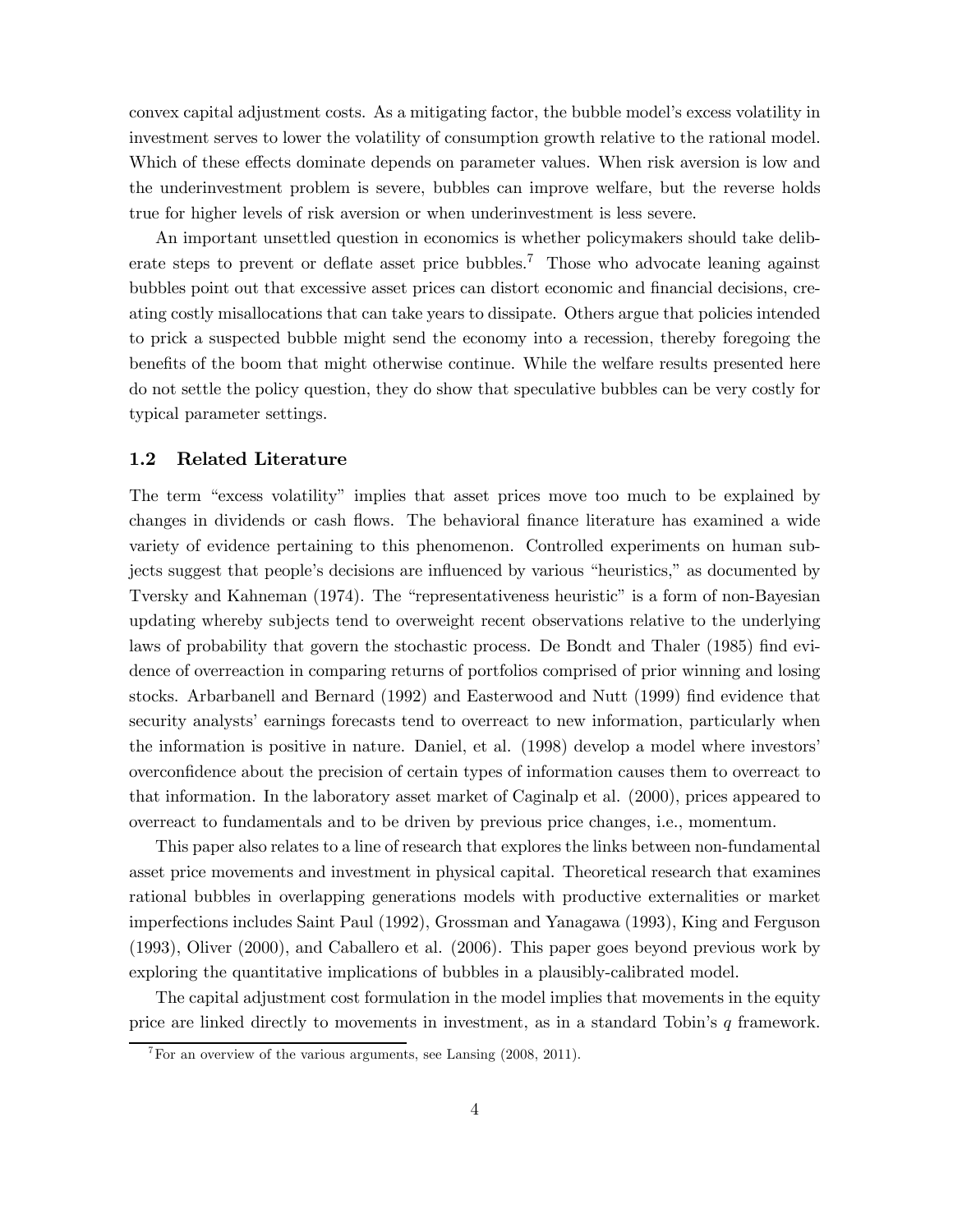convex capital adjustment costs. As a mitigating factor, the bubble model's excess volatility in investment serves to lower the volatility of consumption growth relative to the rational model. Which of these effects dominate depends on parameter values. When risk aversion is low and the underinvestment problem is severe, bubbles can improve welfare, but the reverse holds true for higher levels of risk aversion or when underinvestment is less severe.

An important unsettled question in economics is whether policymakers should take deliberate steps to prevent or deflate asset price bubbles.7 Those who advocate leaning against bubbles point out that excessive asset prices can distort economic and financial decisions, creating costly misallocations that can take years to dissipate. Others argue that policies intended to prick a suspected bubble might send the economy into a recession, thereby foregoing the benefits of the boom that might otherwise continue. While the welfare results presented here do not settle the policy question, they do show that speculative bubbles can be very costly for typical parameter settings.

#### 1.2 Related Literature

The term "excess volatility" implies that asset prices move too much to be explained by changes in dividends or cash flows. The behavioral finance literature has examined a wide variety of evidence pertaining to this phenomenon. Controlled experiments on human subjects suggest that people's decisions are influenced by various "heuristics," as documented by Tversky and Kahneman (1974). The "representativeness heuristic" is a form of non-Bayesian updating whereby subjects tend to overweight recent observations relative to the underlying laws of probability that govern the stochastic process. De Bondt and Thaler (1985) find evidence of overreaction in comparing returns of portfolios comprised of prior winning and losing stocks. Arbarbanell and Bernard (1992) and Easterwood and Nutt (1999) find evidence that security analysts' earnings forecasts tend to overreact to new information, particularly when the information is positive in nature. Daniel, et al. (1998) develop a model where investors' overconfidence about the precision of certain types of information causes them to overreact to that information. In the laboratory asset market of Caginalp et al. (2000), prices appeared to overreact to fundamentals and to be driven by previous price changes, i.e., momentum.

This paper also relates to a line of research that explores the links between non-fundamental asset price movements and investment in physical capital. Theoretical research that examines rational bubbles in overlapping generations models with productive externalities or market imperfections includes Saint Paul (1992), Grossman and Yanagawa (1993), King and Ferguson (1993), Oliver (2000), and Caballero et al. (2006). This paper goes beyond previous work by exploring the quantitative implications of bubbles in a plausibly-calibrated model.

The capital adjustment cost formulation in the model implies that movements in the equity price are linked directly to movements in investment, as in a standard Tobin's  $q$  framework.

 $7\,\mathrm{For}$  an overview of the various arguments, see Lansing (2008, 2011).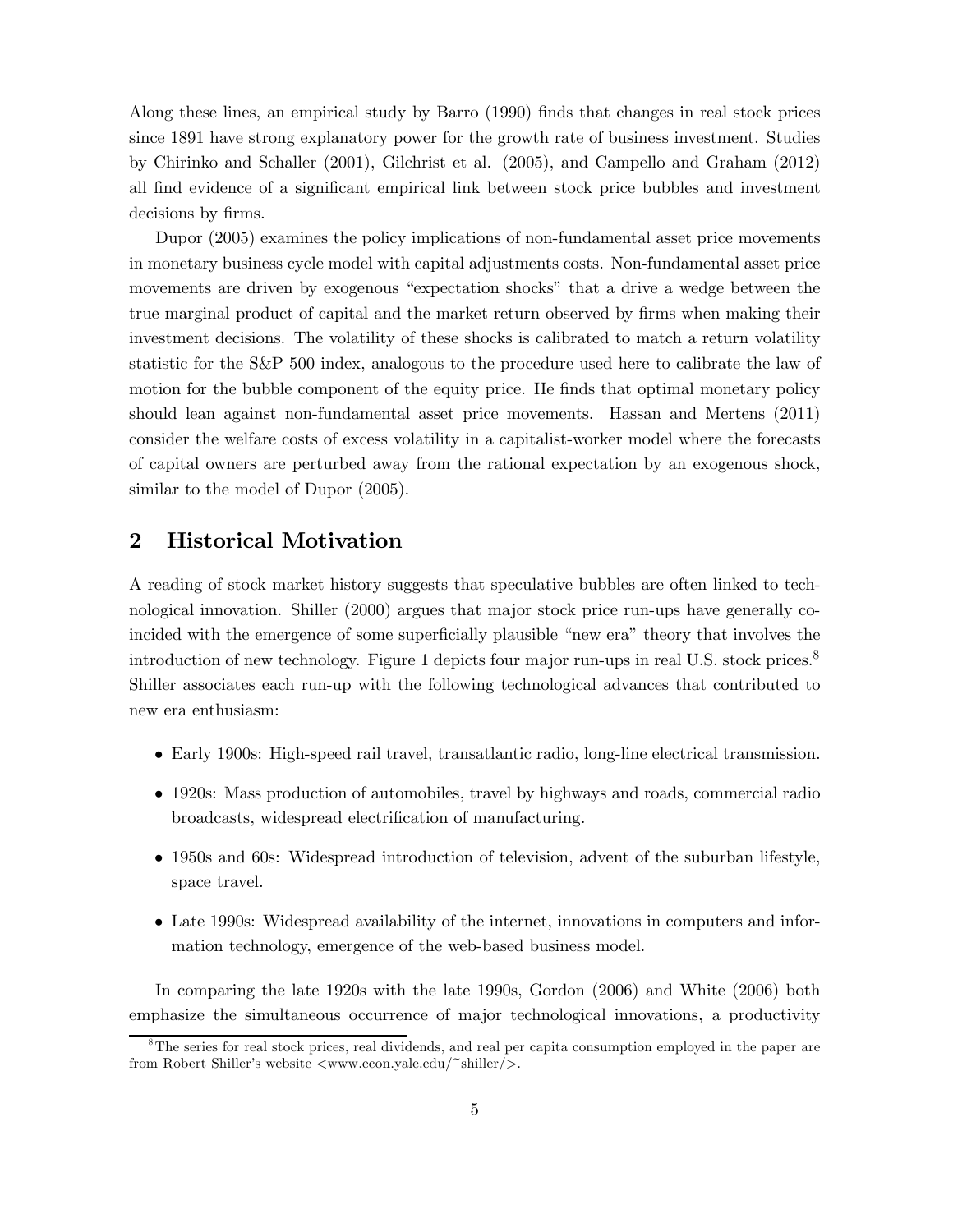Along these lines, an empirical study by Barro (1990) finds that changes in real stock prices since 1891 have strong explanatory power for the growth rate of business investment. Studies by Chirinko and Schaller (2001), Gilchrist et al. (2005), and Campello and Graham (2012) all find evidence of a significant empirical link between stock price bubbles and investment decisions by firms.

Dupor (2005) examines the policy implications of non-fundamental asset price movements in monetary business cycle model with capital adjustments costs. Non-fundamental asset price movements are driven by exogenous "expectation shocks" that a drive a wedge between the true marginal product of capital and the market return observed by firms when making their investment decisions. The volatility of these shocks is calibrated to match a return volatility statistic for the S&P 500 index, analogous to the procedure used here to calibrate the law of motion for the bubble component of the equity price. He finds that optimal monetary policy should lean against non-fundamental asset price movements. Hassan and Mertens (2011) consider the welfare costs of excess volatility in a capitalist-worker model where the forecasts of capital owners are perturbed away from the rational expectation by an exogenous shock, similar to the model of Dupor (2005).

# 2 Historical Motivation

A reading of stock market history suggests that speculative bubbles are often linked to technological innovation. Shiller (2000) argues that major stock price run-ups have generally coincided with the emergence of some superficially plausible "new era" theory that involves the introduction of new technology. Figure 1 depicts four major run-ups in real U.S. stock prices.<sup>8</sup> Shiller associates each run-up with the following technological advances that contributed to new era enthusiasm:

- Early 1900s: High-speed rail travel, transatlantic radio, long-line electrical transmission.
- 1920s: Mass production of automobiles, travel by highways and roads, commercial radio broadcasts, widespread electrification of manufacturing.
- 1950s and 60s: Widespread introduction of television, advent of the suburban lifestyle, space travel.
- Late 1990s: Widespread availability of the internet, innovations in computers and information technology, emergence of the web-based business model.

In comparing the late 1920s with the late 1990s, Gordon (2006) and White (2006) both emphasize the simultaneous occurrence of major technological innovations, a productivity

<sup>&</sup>lt;sup>8</sup>The series for real stock prices, real dividends, and real per capita consumption employed in the paper are from Robert Shiller's website  $\langle$ www.econ.yale.edu/~shiller/>.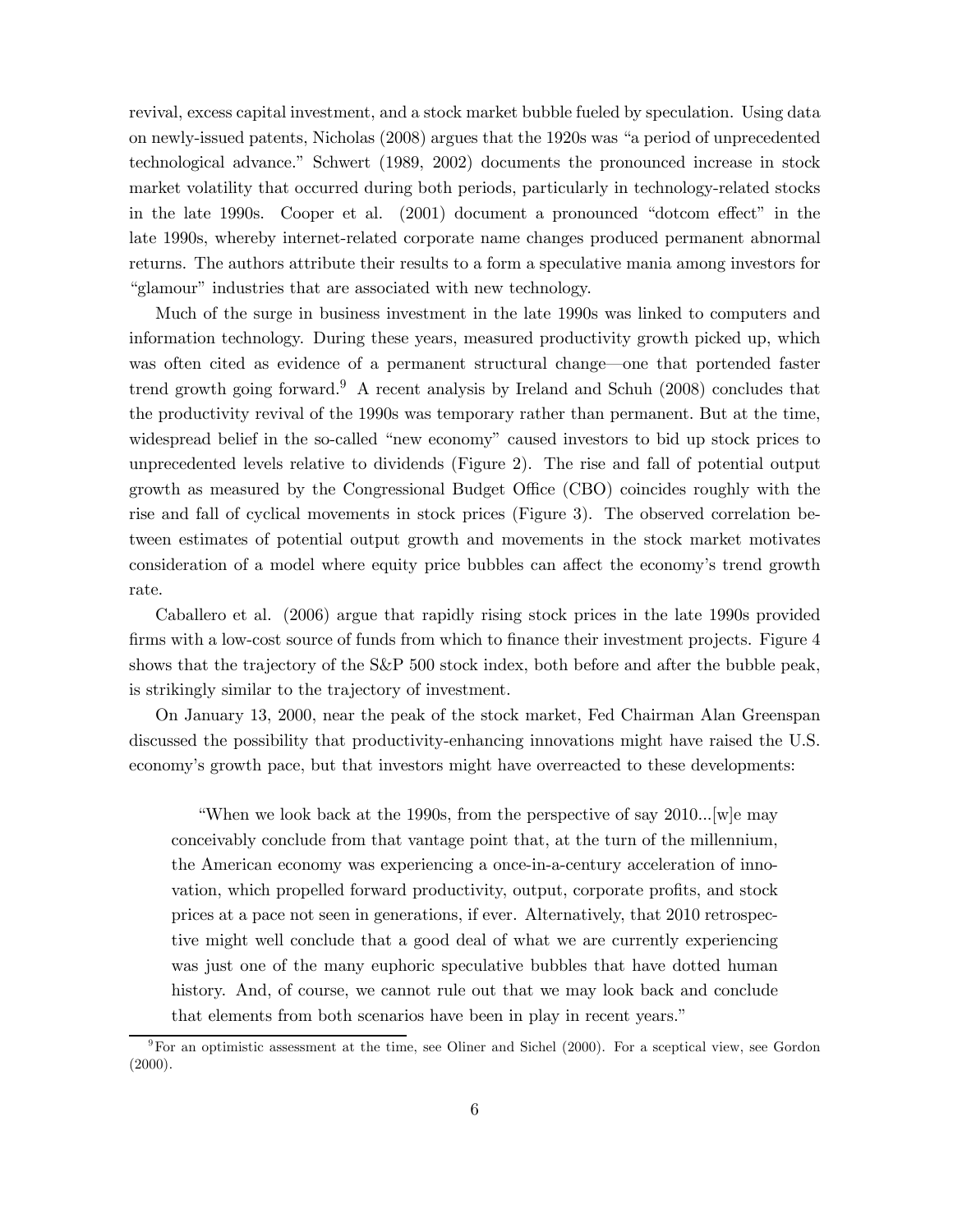revival, excess capital investment, and a stock market bubble fueled by speculation. Using data on newly-issued patents, Nicholas (2008) argues that the 1920s was "a period of unprecedented technological advance." Schwert (1989, 2002) documents the pronounced increase in stock market volatility that occurred during both periods, particularly in technology-related stocks in the late 1990s. Cooper et al. (2001) document a pronounced "dotcom effect" in the late 1990s, whereby internet-related corporate name changes produced permanent abnormal returns. The authors attribute their results to a form a speculative mania among investors for "glamour" industries that are associated with new technology.

Much of the surge in business investment in the late 1990s was linked to computers and information technology. During these years, measured productivity growth picked up, which was often cited as evidence of a permanent structural change–one that portended faster trend growth going forward.<sup>9</sup> A recent analysis by Ireland and Schuh (2008) concludes that the productivity revival of the 1990s was temporary rather than permanent. But at the time, widespread belief in the so-called "new economy" caused investors to bid up stock prices to unprecedented levels relative to dividends (Figure 2). The rise and fall of potential output growth as measured by the Congressional Budget Office (CBO) coincides roughly with the rise and fall of cyclical movements in stock prices (Figure 3). The observed correlation between estimates of potential output growth and movements in the stock market motivates consideration of a model where equity price bubbles can affect the economy's trend growth rate.

Caballero et al. (2006) argue that rapidly rising stock prices in the late 1990s provided firms with a low-cost source of funds from which to finance their investment projects. Figure 4 shows that the trajectory of the S&P 500 stock index, both before and after the bubble peak, is strikingly similar to the trajectory of investment.

On January 13, 2000, near the peak of the stock market, Fed Chairman Alan Greenspan discussed the possibility that productivity-enhancing innovations might have raised the U.S. economy's growth pace, but that investors might have overreacted to these developments:

"When we look back at the 1990s, from the perspective of say 2010...[w]e may conceivably conclude from that vantage point that, at the turn of the millennium, the American economy was experiencing a once-in-a-century acceleration of innovation, which propelled forward productivity, output, corporate profits, and stock prices at a pace not seen in generations, if ever. Alternatively, that 2010 retrospective might well conclude that a good deal of what we are currently experiencing was just one of the many euphoric speculative bubbles that have dotted human history. And, of course, we cannot rule out that we may look back and conclude that elements from both scenarios have been in play in recent years."

 $9^9$ For an optimistic assessment at the time, see Oliner and Sichel (2000). For a sceptical view, see Gordon  $(2000).$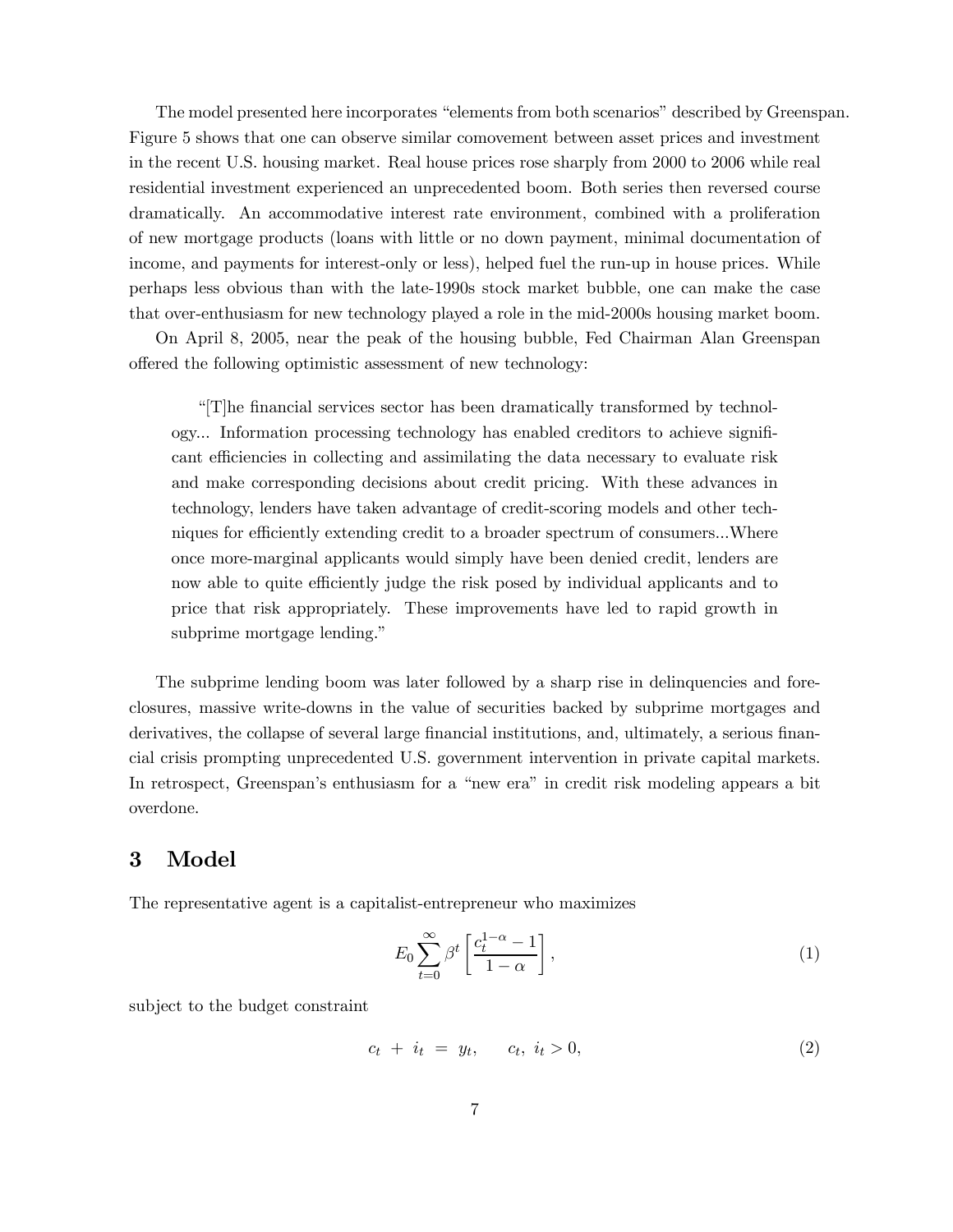The model presented here incorporates "elements from both scenarios" described by Greenspan. Figure 5 shows that one can observe similar comovement between asset prices and investment in the recent U.S. housing market. Real house prices rose sharply from 2000 to 2006 while real residential investment experienced an unprecedented boom. Both series then reversed course dramatically. An accommodative interest rate environment, combined with a proliferation of new mortgage products (loans with little or no down payment, minimal documentation of income, and payments for interest-only or less), helped fuel the run-up in house prices. While perhaps less obvious than with the late-1990s stock market bubble, one can make the case that over-enthusiasm for new technology played a role in the mid-2000s housing market boom.

On April 8, 2005, near the peak of the housing bubble, Fed Chairman Alan Greenspan offered the following optimistic assessment of new technology:

"[T]he financial services sector has been dramatically transformed by technology... Information processing technology has enabled creditors to achieve significant efficiencies in collecting and assimilating the data necessary to evaluate risk and make corresponding decisions about credit pricing. With these advances in technology, lenders have taken advantage of credit-scoring models and other techniques for efficiently extending credit to a broader spectrum of consumers...Where once more-marginal applicants would simply have been denied credit, lenders are now able to quite efficiently judge the risk posed by individual applicants and to price that risk appropriately. These improvements have led to rapid growth in subprime mortgage lending."

The subprime lending boom was later followed by a sharp rise in delinquencies and foreclosures, massive write-downs in the value of securities backed by subprime mortgages and derivatives, the collapse of several large financial institutions, and, ultimately, a serious financial crisis prompting unprecedented U.S. government intervention in private capital markets. In retrospect, Greenspan's enthusiasm for a "new era" in credit risk modeling appears a bit overdone.

### 3 Model

The representative agent is a capitalist-entrepreneur who maximizes

$$
E_0 \sum_{t=0}^{\infty} \beta^t \left[ \frac{c_t^{1-\alpha} - 1}{1 - \alpha} \right],\tag{1}
$$

subject to the budget constraint

$$
c_t + i_t = y_t, \quad c_t, \ i_t > 0,
$$
\n<sup>(2)</sup>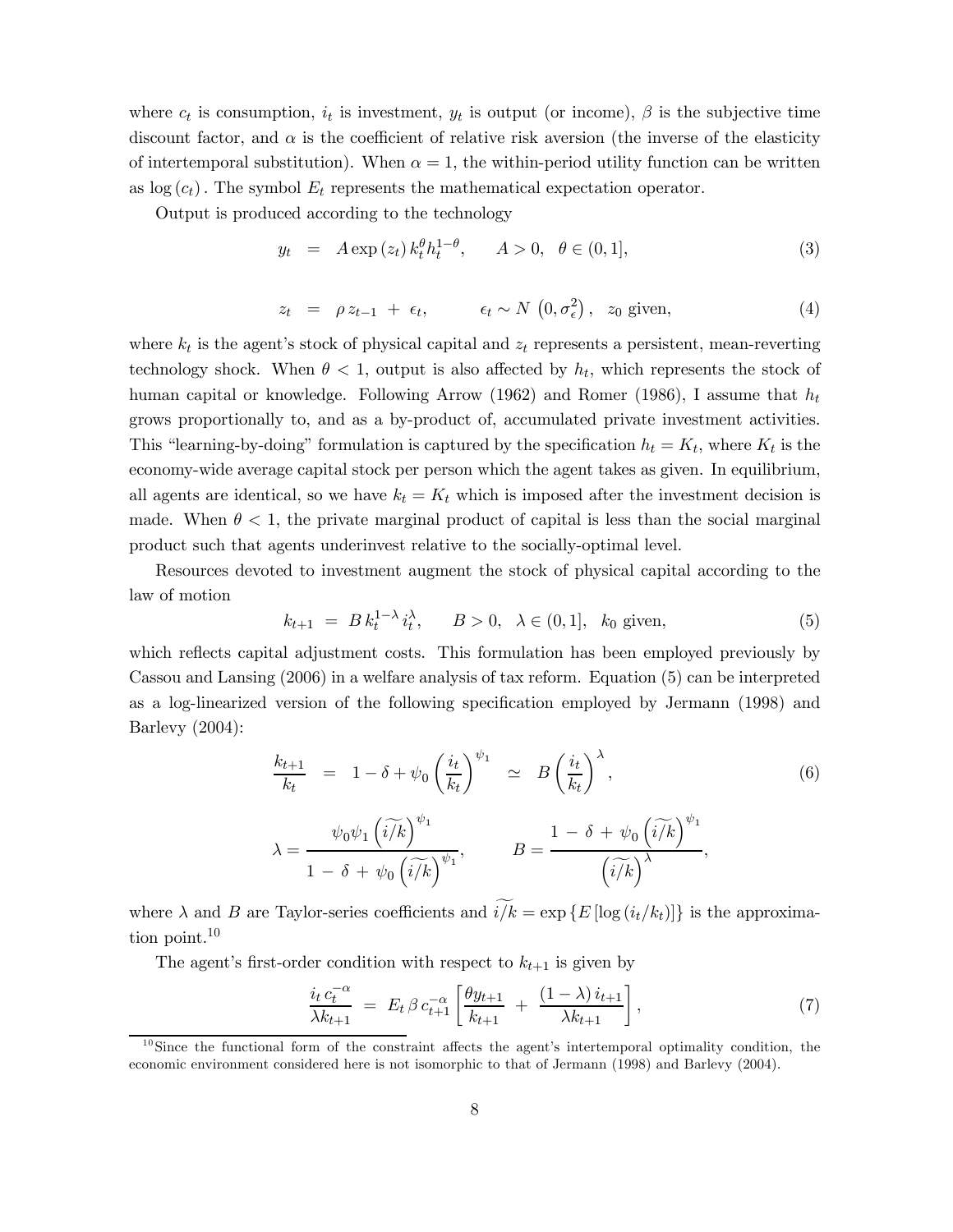where  $c_t$  is consumption,  $i_t$  is investment,  $y_t$  is output (or income),  $\beta$  is the subjective time discount factor, and  $\alpha$  is the coefficient of relative risk aversion (the inverse of the elasticity of intertemporal substitution). When  $\alpha = 1$ , the within-period utility function can be written as  $log(c_t)$ . The symbol  $E_t$  represents the mathematical expectation operator.

Output is produced according to the technology

$$
y_t = A \exp(z_t) k_t^{\theta} h_t^{1-\theta}, \qquad A > 0, \ \ \theta \in (0,1], \tag{3}
$$

$$
z_t = \rho z_{t-1} + \epsilon_t, \qquad \epsilon_t \sim N(0, \sigma_\epsilon^2), \quad z_0 \text{ given}, \tag{4}
$$

where  $k_t$  is the agent's stock of physical capital and  $z_t$  represents a persistent, mean-reverting technology shock. When  $\theta < 1$ , output is also affected by  $h_t$ , which represents the stock of human capital or knowledge. Following Arrow (1962) and Romer (1986), I assume that  $h_t$ grows proportionally to, and as a by-product of, accumulated private investment activities. This "learning-by-doing" formulation is captured by the specification  $h_t = K_t$ , where  $K_t$  is the economy-wide average capital stock per person which the agent takes as given. In equilibrium, all agents are identical, so we have  $k_t = K_t$  which is imposed after the investment decision is made. When  $\theta < 1$ , the private marginal product of capital is less than the social marginal product such that agents underinvest relative to the socially-optimal level.

Resources devoted to investment augment the stock of physical capital according to the law of motion

$$
k_{t+1} = B k_t^{1-\lambda} i_t^{\lambda}, \qquad B > 0, \quad \lambda \in (0, 1], \quad k_0 \text{ given}, \tag{5}
$$

which reflects capital adjustment costs. This formulation has been employed previously by Cassou and Lansing (2006) in a welfare analysis of tax reform. Equation (5) can be interpreted as a log-linearized version of the following specification employed by Jermann (1998) and Barlevy (2004):

$$
\frac{k_{t+1}}{k_t} = 1 - \delta + \psi_0 \left(\frac{i_t}{k_t}\right)^{\psi_1} \simeq B\left(\frac{i_t}{k_t}\right)^{\lambda},
$$
\n
$$
\lambda = \frac{\psi_0 \psi_1 \left(i\tilde{k}\right)^{\psi_1}}{1 - \delta + \psi_0 \left(i\tilde{k}\right)^{\psi_1}}, \qquad B = \frac{1 - \delta + \psi_0 \left(i\tilde{k}\right)^{\psi_1}}{\left(i\tilde{k}\right)^{\lambda}},
$$
\n(6)

where  $\lambda$  and B are Taylor-series coefficients and  $\widetilde{i/k} = \exp\{E[\log(i_t/k_t)]\}$  is the approximation point.<sup>10</sup>

The agent's first-order condition with respect to  $k_{t+1}$  is given by

$$
\frac{i_t c_t^{-\alpha}}{\lambda k_{t+1}} = E_t \beta c_{t+1}^{-\alpha} \left[ \frac{\theta y_{t+1}}{k_{t+1}} + \frac{(1-\lambda) i_{t+1}}{\lambda k_{t+1}} \right],
$$
\n(7)

 $10$ Since the functional form of the constraint affects the agent's intertemporal optimality condition, the economic environment considered here is not isomorphic to that of Jermann (1998) and Barlevy (2004).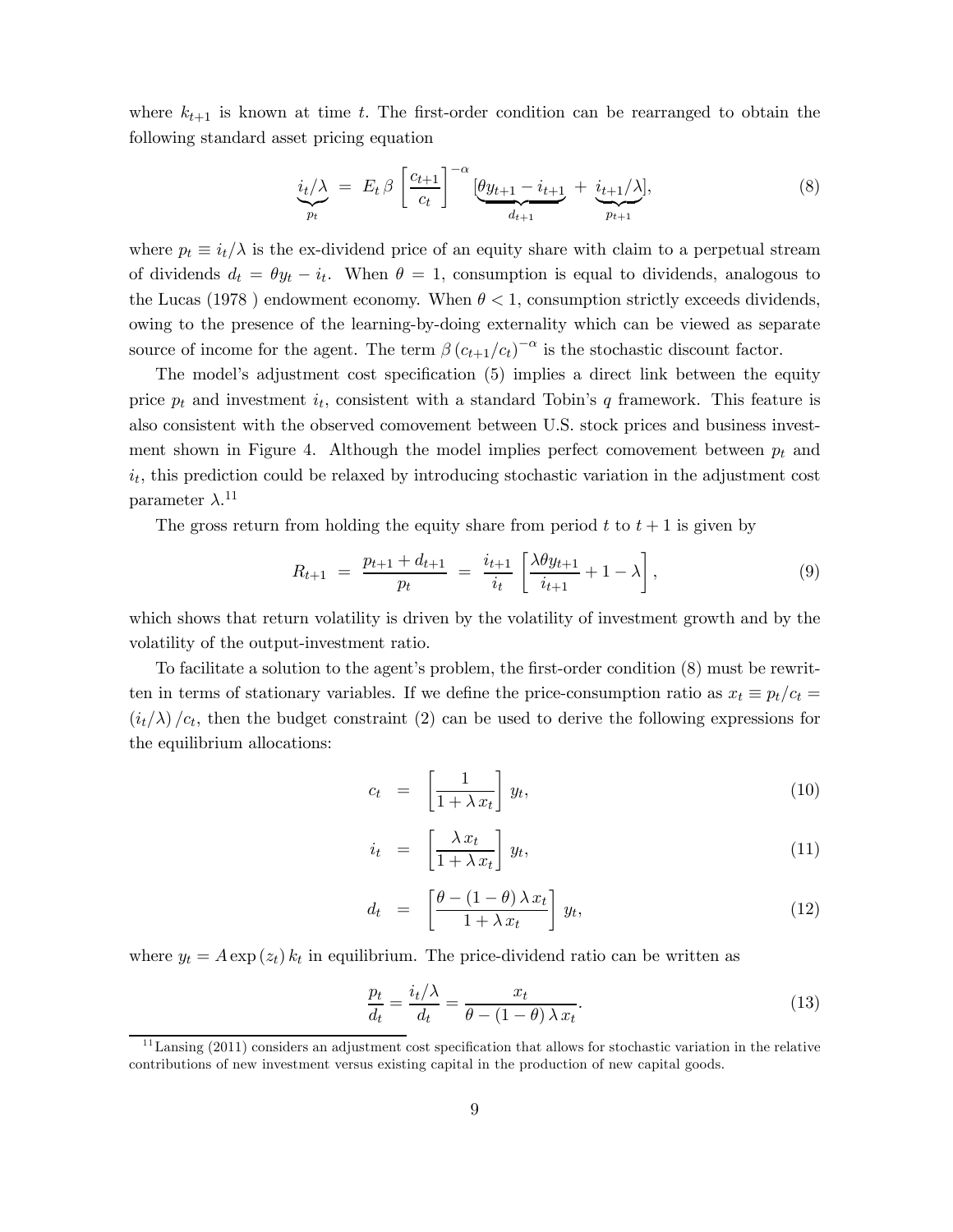where  $k_{t+1}$  is known at time t. The first-order condition can be rearranged to obtain the following standard asset pricing equation

$$
\underbrace{i_t/\lambda}_{p_t} \ = \ E_t \ \beta \ \left[ \frac{c_{t+1}}{c_t} \right]^{-\alpha} \left[ \underbrace{\theta y_{t+1} - i_{t+1}}_{d_{t+1}} + \underbrace{i_{t+1}/\lambda}_{p_{t+1}} \right], \tag{8}
$$

where  $p_t \equiv i_t/\lambda$  is the ex-dividend price of an equity share with claim to a perpetual stream of dividends  $d_t = \theta y_t - i_t$ . When  $\theta = 1$ , consumption is equal to dividends, analogous to the Lucas (1978) endowment economy. When  $\theta < 1$ , consumption strictly exceeds dividends, owing to the presence of the learning-by-doing externality which can be viewed as separate source of income for the agent. The term  $\beta (c_{t+1}/c_t)^{-\alpha}$  is the stochastic discount factor.

The model's adjustment cost specification (5) implies a direct link between the equity price  $p_t$  and investment  $i_t$ , consistent with a standard Tobin's q framework. This feature is also consistent with the observed comovement between U.S. stock prices and business investment shown in Figure 4. Although the model implies perfect comovement between  $p_t$  and  $i_t$ , this prediction could be relaxed by introducing stochastic variation in the adjustment cost parameter  $\lambda$ .<sup>11</sup>

The gross return from holding the equity share from period  $t$  to  $t + 1$  is given by

$$
R_{t+1} = \frac{p_{t+1} + d_{t+1}}{p_t} = \frac{i_{t+1}}{i_t} \left[ \frac{\lambda \theta y_{t+1}}{i_{t+1}} + 1 - \lambda \right], \tag{9}
$$

which shows that return volatility is driven by the volatility of investment growth and by the volatility of the output-investment ratio.

To facilitate a solution to the agent's problem, the first-order condition (8) must be rewritten in terms of stationary variables. If we define the price-consumption ratio as  $x_t \equiv p_t/c_t =$  $(i_t/\lambda)/c_t$ , then the budget constraint (2) can be used to derive the following expressions for the equilibrium allocations:

$$
c_t = \left[\frac{1}{1 + \lambda x_t}\right] y_t,\tag{10}
$$

$$
i_t = \left[\frac{\lambda x_t}{1 + \lambda x_t}\right] y_t, \tag{11}
$$

$$
d_t = \left[ \frac{\theta - (1 - \theta) \lambda x_t}{1 + \lambda x_t} \right] y_t,
$$
\n(12)

where  $y_t = A \exp(z_t) k_t$  in equilibrium. The price-dividend ratio can be written as

$$
\frac{p_t}{d_t} = \frac{i_t/\lambda}{d_t} = \frac{x_t}{\theta - (1-\theta)\lambda x_t}.
$$
\n(13)

 $11$  Lansing (2011) considers an adjustment cost specification that allows for stochastic variation in the relative contributions of new investment versus existing capital in the production of new capital goods.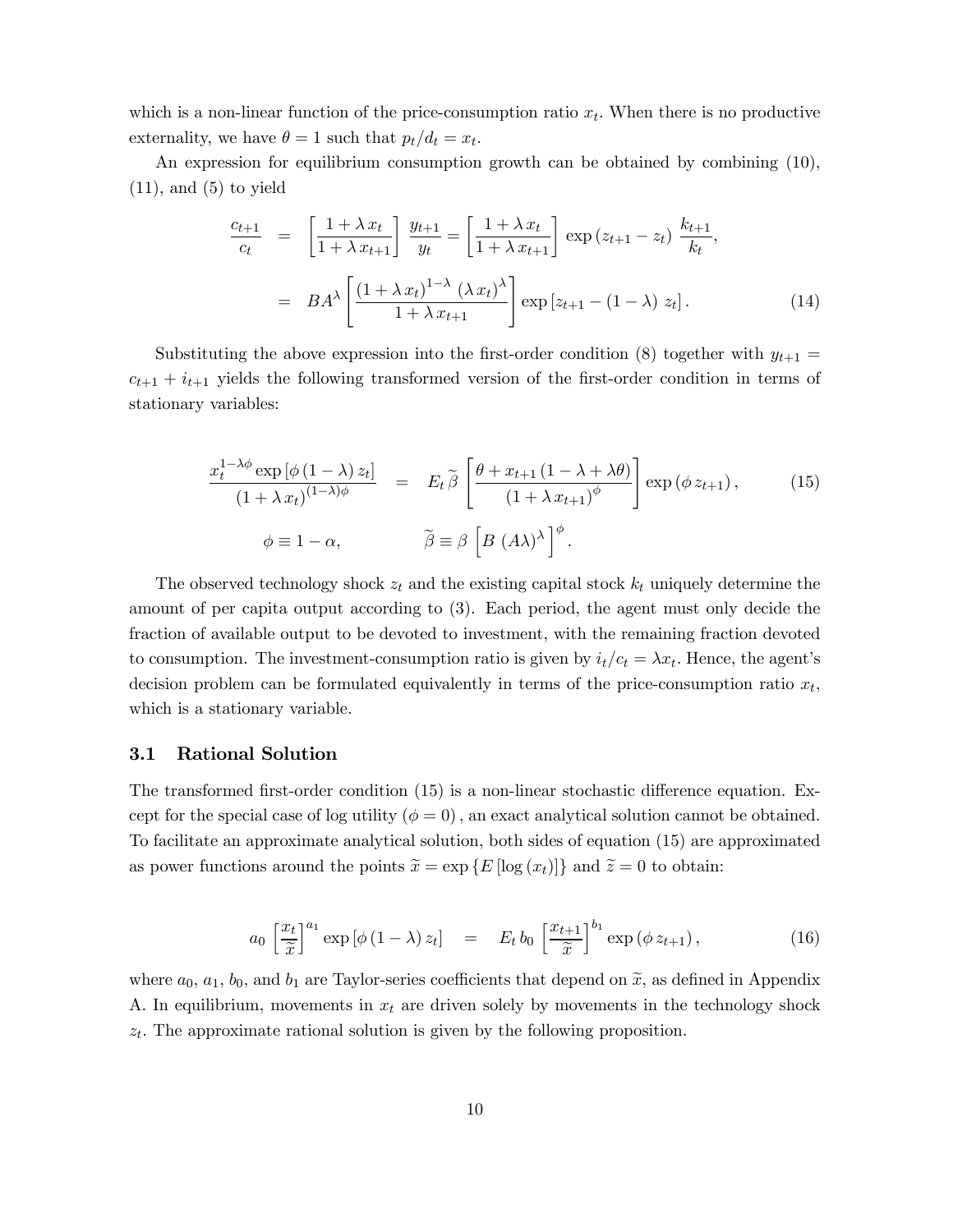which is a non-linear function of the price-consumption ratio  $x_t$ . When there is no productive externality, we have  $\theta = 1$  such that  $p_t/d_t = x_t$ .

An expression for equilibrium consumption growth can be obtained by combining (10),  $(11)$ , and  $(5)$  to yield

$$
\frac{c_{t+1}}{c_t} = \left[\frac{1+\lambda x_t}{1+\lambda x_{t+1}}\right] \frac{y_{t+1}}{y_t} = \left[\frac{1+\lambda x_t}{1+\lambda x_{t+1}}\right] \exp\left(z_{t+1} - z_t\right) \frac{k_{t+1}}{k_t},
$$
\n
$$
= BA^{\lambda} \left[\frac{\left(1+\lambda x_t\right)^{1-\lambda} \left(\lambda x_t\right)^{\lambda}}{1+\lambda x_{t+1}}\right] \exp\left[z_{t+1} - \left(1-\lambda\right) z_t\right].
$$
\n(14)

Substituting the above expression into the first-order condition (8) together with  $y_{t+1} =$  $c_{t+1} + i_{t+1}$  yields the following transformed version of the first-order condition in terms of stationary variables:

$$
\frac{x_t^{1-\lambda\phi}\exp\left[\phi\left(1-\lambda\right)z_t\right]}{(1+\lambda x_t)^{(1-\lambda)\phi}} = E_t \tilde{\beta}\left[\frac{\theta + x_{t+1}\left(1-\lambda+\lambda\theta\right)}{\left(1+\lambda x_{t+1}\right)^{\phi}}\right] \exp\left(\phi z_{t+1}\right),\tag{15}
$$
\n
$$
\phi \equiv 1-\alpha, \qquad \qquad \tilde{\beta} \equiv \beta\left[B\left(A\lambda\right)^{\lambda}\right]^{\phi}.
$$

The observed technology shock  $z_t$  and the existing capital stock  $k_t$  uniquely determine the amount of per capita output according to (3). Each period, the agent must only decide the fraction of available output to be devoted to investment, with the remaining fraction devoted to consumption. The investment-consumption ratio is given by  $i_t/c_t = \lambda x_t$ . Hence, the agent's decision problem can be formulated equivalently in terms of the price-consumption ratio  $x_t$ , which is a stationary variable.

#### 3.1 Rational Solution

The transformed first-order condition (15) is a non-linear stochastic difference equation. Except for the special case of log utility  $(\phi = 0)$ , an exact analytical solution cannot be obtained. To facilitate an approximate analytical solution, both sides of equation (15) are approximated as power functions around the points  $\tilde{x} = \exp\{E[\log(x_t)]\}$  and  $\tilde{z} = 0$  to obtain:

$$
a_0 \left[ \frac{x_t}{\widetilde{x}} \right]^{a_1} \exp \left[ \phi \left( 1 - \lambda \right) z_t \right] = E_t b_0 \left[ \frac{x_{t+1}}{\widetilde{x}} \right]^{b_1} \exp \left( \phi z_{t+1} \right), \tag{16}
$$

where  $a_0, a_1, b_0$ , and  $b_1$  are Taylor-series coefficients that depend on  $\tilde{x}$ , as defined in Appendix A. In equilibrium, movements in  $x_t$  are driven solely by movements in the technology shock  $z_t$ . The approximate rational solution is given by the following proposition.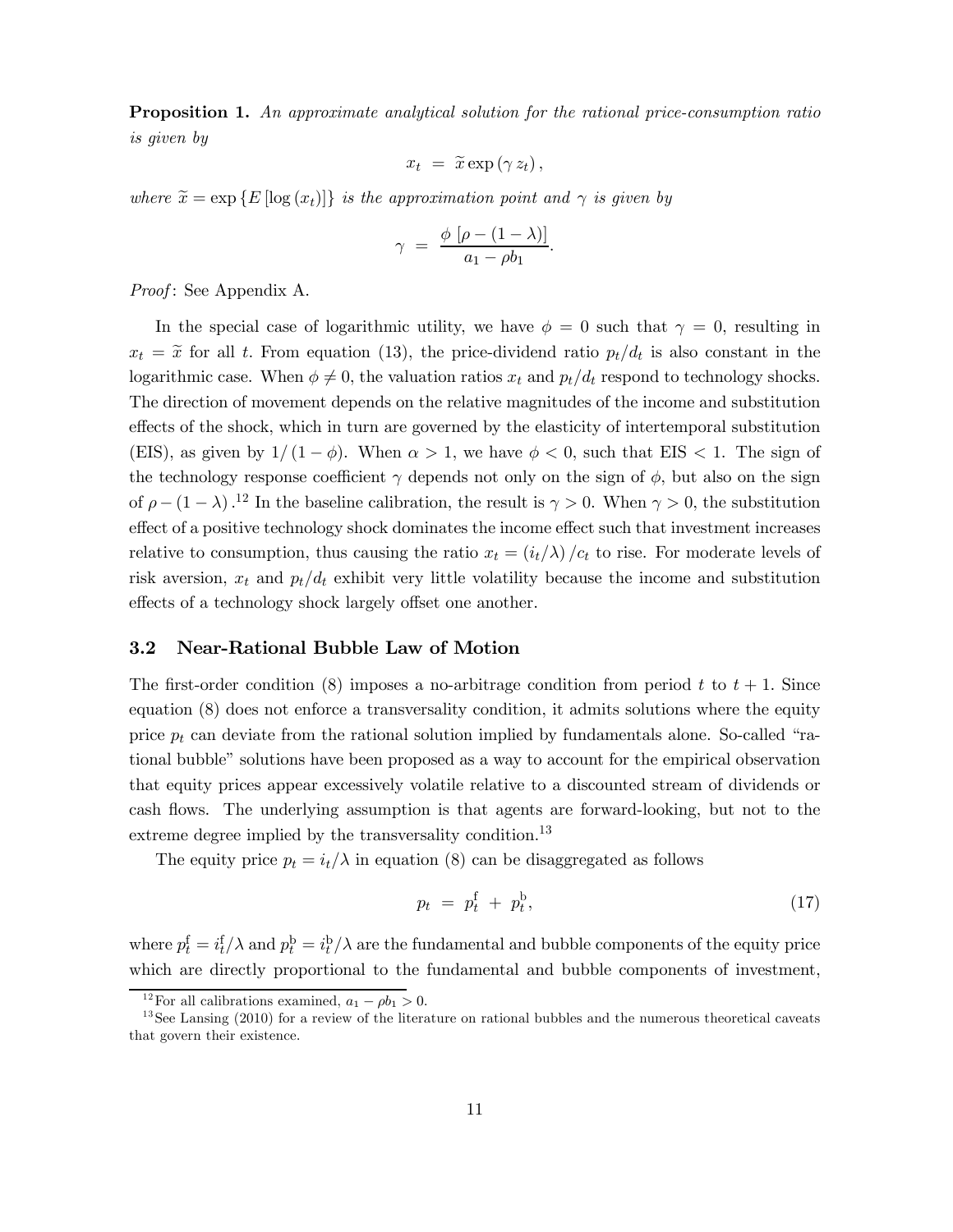Proposition 1. An approximate analytical solution for the rational price-consumption ratio is given by

$$
x_t = \widetilde{x} \exp(\gamma z_t),
$$

where  $\tilde{x} = \exp\{E[\log(x_t)]\}$  is the approximation point and  $\gamma$  is given by

$$
\gamma = \frac{\phi \left[ \rho - (1 - \lambda) \right]}{a_1 - \rho b_1}.
$$

Proof: See Appendix A.

In the special case of logarithmic utility, we have  $\phi = 0$  such that  $\gamma = 0$ , resulting in  $x_t = \tilde{x}$  for all t. From equation (13), the price-dividend ratio  $p_t/d_t$  is also constant in the logarithmic case. When  $\phi \neq 0$ , the valuation ratios  $x_t$  and  $p_t/d_t$  respond to technology shocks. The direction of movement depends on the relative magnitudes of the income and substitution effects of the shock, which in turn are governed by the elasticity of intertemporal substitution (EIS), as given by  $1/(1 - \phi)$ . When  $\alpha > 1$ , we have  $\phi < 0$ , such that EIS  $< 1$ . The sign of the technology response coefficient  $\gamma$  depends not only on the sign of  $\phi$ , but also on the sign of  $\rho - (1 - \lambda)$ .<sup>12</sup> In the baseline calibration, the result is  $\gamma > 0$ . When  $\gamma > 0$ , the substitution effect of a positive technology shock dominates the income effect such that investment increases relative to consumption, thus causing the ratio  $x_t = (i_t/\lambda)/c_t$  to rise. For moderate levels of risk aversion,  $x_t$  and  $p_t/d_t$  exhibit very little volatility because the income and substitution effects of a technology shock largely offset one another.

#### 3.2 Near-Rational Bubble Law of Motion

The first-order condition (8) imposes a no-arbitrage condition from period  $t$  to  $t + 1$ . Since equation (8) does not enforce a transversality condition, it admits solutions where the equity price  $p_t$  can deviate from the rational solution implied by fundamentals alone. So-called "rational bubble" solutions have been proposed as a way to account for the empirical observation that equity prices appear excessively volatile relative to a discounted stream of dividends or cash flows. The underlying assumption is that agents are forward-looking, but not to the extreme degree implied by the transversality condition.<sup>13</sup>

The equity price  $p_t = i_t / \lambda$  in equation (8) can be disaggregated as follows

$$
p_t = p_t^{\mathrm{f}} + p_t^{\mathrm{b}},\tag{17}
$$

where  $p_t^{\rm f} = i_t^{\rm f}/\lambda$  and  $p_t^{\rm b} = i_t^{\rm b}/\lambda$  are the fundamental and bubble components of the equity price which are directly proportional to the fundamental and bubble components of investment,

<sup>&</sup>lt;sup>12</sup> For all calibrations examined,  $a_1 - \rho b_1 > 0$ .<br><sup>13</sup> See Lansing (2010) for a review of the literature on rational bubbles and the numerous theoretical caveats that govern their existence.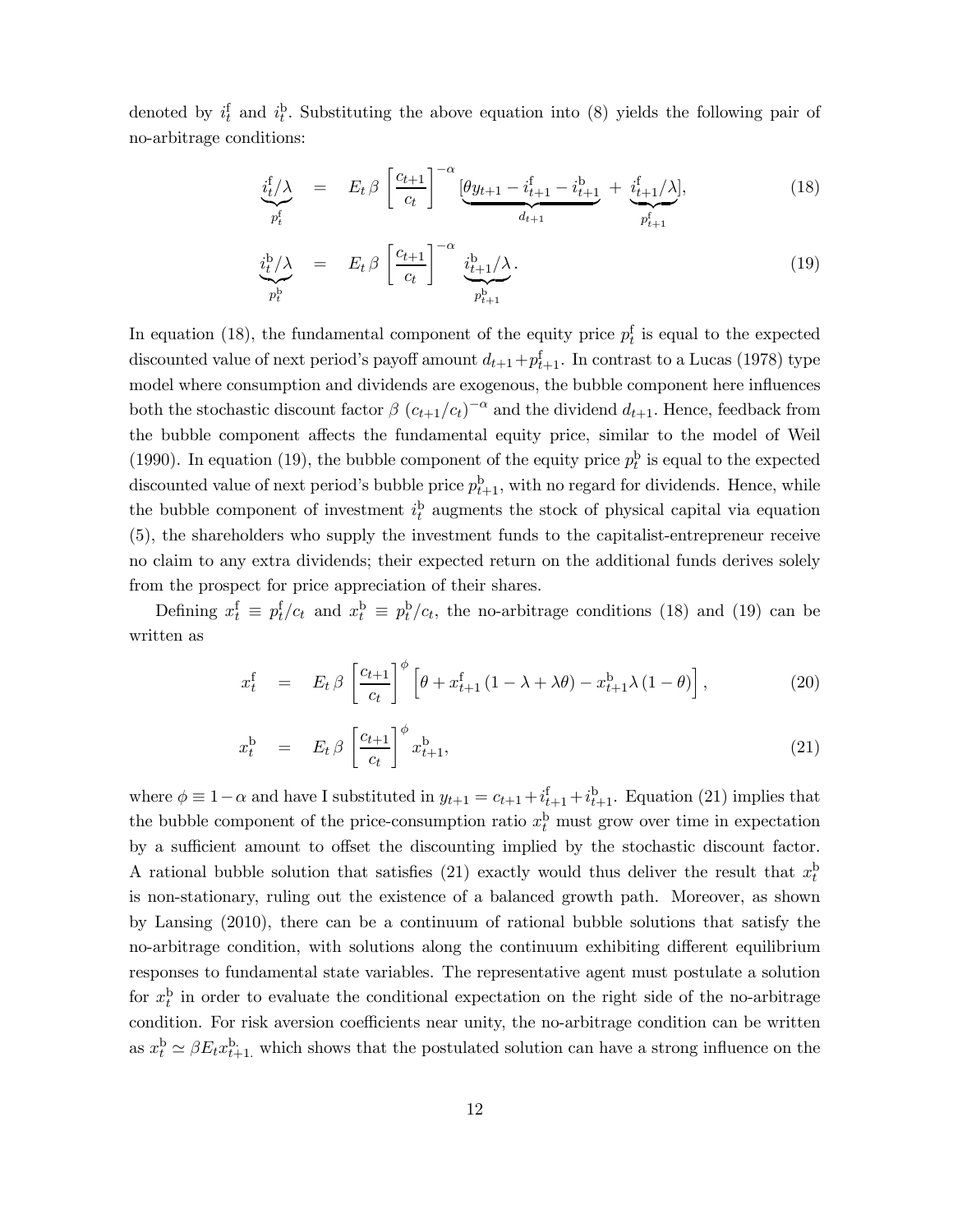denoted by  $i_t^f$  and  $i_t^b$ . Substituting the above equation into (8) yields the following pair of no-arbitrage conditions:

$$
\underbrace{i_{t}^{f} / \lambda}_{p_{t}^{f}} = E_{t} \beta \left[ \frac{c_{t+1}}{c_{t}} \right]^{-\alpha} \underbrace{[\theta y_{t+1} - i_{t+1}^{f} - i_{t+1}^{b} + \underbrace{i_{t+1}^{f} / \lambda}_{p_{t+1}^{f}],} \qquad (18)
$$

$$
\underbrace{i_t^b/\lambda}_{p_t^b} = E_t \beta \underbrace{\begin{bmatrix} c_{t+1} \\ c_t \end{bmatrix}^{-\alpha}}_{p_{t+1}^b} \underbrace{i_{t+1}^b/\lambda}_{p_{t+1}^b}.
$$
\n(19)

In equation (18), the fundamental component of the equity price  $p_t^f$  is equal to the expected discounted value of next period's payoff amount  $d_{t+1}+p_{t+1}^{\text{f}}$ . In contrast to a Lucas (1978) type model where consumption and dividends are exogenous, the bubble component here influences both the stochastic discount factor  $\beta (c_{t+1}/c_t)^{-\alpha}$  and the dividend  $d_{t+1}$ . Hence, feedback from the bubble component affects the fundamental equity price, similar to the model of Weil (1990). In equation (19), the bubble component of the equity price  $p_t^b$  is equal to the expected discounted value of next period's bubble price  $p_{t+1}^{\mathrm{b}}$ , with no regard for dividends. Hence, while the bubble component of investment  $i_t^b$  augments the stock of physical capital via equation (5), the shareholders who supply the investment funds to the capitalist-entrepreneur receive no claim to any extra dividends; their expected return on the additional funds derives solely from the prospect for price appreciation of their shares.

Defining  $x_t^f \equiv p_t^f/c_t$  and  $x_t^b \equiv p_t^b/c_t$ , the no-arbitrage conditions (18) and (19) can be written as

$$
x_t^{\mathbf{f}} = E_t \beta \left[ \frac{c_{t+1}}{c_t} \right]^\phi \left[ \theta + x_{t+1}^{\mathbf{f}} \left( 1 - \lambda + \lambda \theta \right) - x_{t+1}^{\mathbf{b}} \lambda \left( 1 - \theta \right) \right], \tag{20}
$$

$$
x_t^{\mathbf{b}} = E_t \beta \left[ \frac{c_{t+1}}{c_t} \right]^{\phi} x_{t+1}^{\mathbf{b}}, \tag{21}
$$

where  $\phi \equiv 1 - \alpha$  and have I substituted in  $y_{t+1} = c_{t+1} + i_{t+1}^{\text{f}} + i_{t+1}^{\text{b}}$ . Equation (21) implies that the bubble component of the price-consumption ratio  $x_t^{\mathrm{b}}$  must grow over time in expectation by a sufficient amount to offset the discounting implied by the stochastic discount factor. A rational bubble solution that satisfies (21) exactly would thus deliver the result that  $x_t^b$ is non-stationary, ruling out the existence of a balanced growth path. Moreover, as shown by Lansing (2010), there can be a continuum of rational bubble solutions that satisfy the no-arbitrage condition, with solutions along the continuum exhibiting different equilibrium responses to fundamental state variables. The representative agent must postulate a solution for  $x_t^b$  in order to evaluate the conditional expectation on the right side of the no-arbitrage condition. For risk aversion coefficients near unity, the no-arbitrage condition can be written as  $x_t^{\rm b} \simeq \beta E_t x_{t+1}^{\rm b}$ , which shows that the postulated solution can have a strong influence on the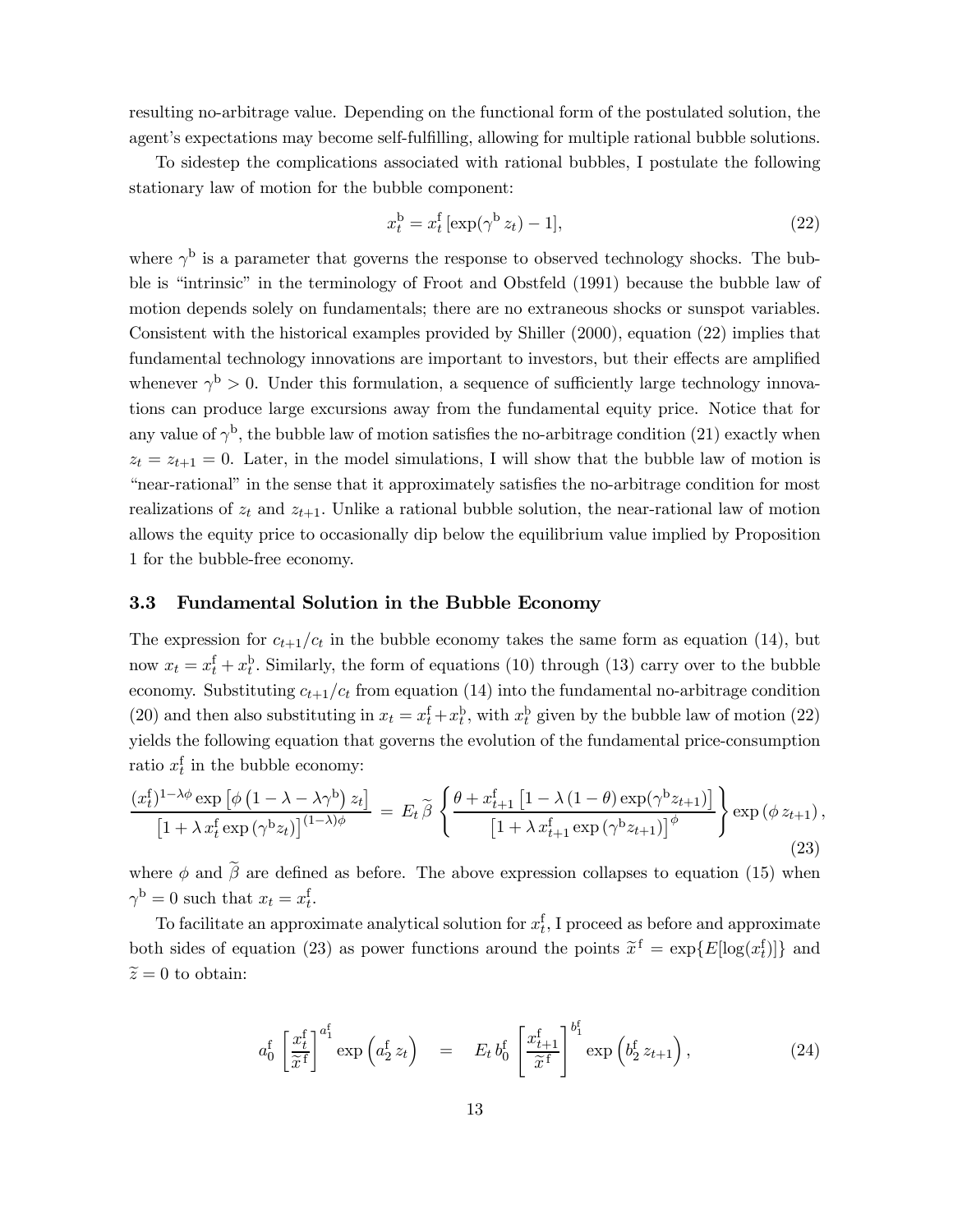resulting no-arbitrage value. Depending on the functional form of the postulated solution, the agent's expectations may become self-fulfilling, allowing for multiple rational bubble solutions.

To sidestep the complications associated with rational bubbles, I postulate the following stationary law of motion for the bubble component:

$$
x_t^{\mathrm{b}} = x_t^{\mathrm{f}} \left[ \exp(\gamma^{\mathrm{b}} z_t) - 1 \right],\tag{22}
$$

where  $\gamma^{\rm b}$  is a parameter that governs the response to observed technology shocks. The bubble is "intrinsic" in the terminology of Froot and Obstfeld (1991) because the bubble law of motion depends solely on fundamentals; there are no extraneous shocks or sunspot variables. Consistent with the historical examples provided by Shiller (2000), equation (22) implies that fundamental technology innovations are important to investors, but their effects are amplified whenever  $\gamma^{\rm b} > 0$ . Under this formulation, a sequence of sufficiently large technology innovations can produce large excursions away from the fundamental equity price. Notice that for any value of  $\gamma^b$ , the bubble law of motion satisfies the no-arbitrage condition (21) exactly when  $z_t = z_{t+1} = 0$ . Later, in the model simulations, I will show that the bubble law of motion is "near-rational" in the sense that it approximately satisfies the no-arbitrage condition for most realizations of  $z_t$  and  $z_{t+1}$ . Unlike a rational bubble solution, the near-rational law of motion allows the equity price to occasionally dip below the equilibrium value implied by Proposition 1 for the bubble-free economy.

#### 3.3 Fundamental Solution in the Bubble Economy

The expression for  $c_{t+1}/c_t$  in the bubble economy takes the same form as equation (14), but now  $x_t = x_t^{\text{f}} + x_t^{\text{b}}$ . Similarly, the form of equations (10) through (13) carry over to the bubble economy. Substituting  $c_{t+1}/c_t$  from equation (14) into the fundamental no-arbitrage condition (20) and then also substituting in  $x_t = x_t^f + x_t^b$ , with  $x_t^b$  given by the bubble law of motion (22) yields the following equation that governs the evolution of the fundamental price-consumption ratio  $x_t^f$  in the bubble economy:

$$
\frac{(x_t^f)^{1-\lambda\phi}\exp\left[\phi\left(1-\lambda-\lambda\gamma^b\right)z_t\right]}{\left[1+\lambda\,x_t^f\exp\left(\gamma^b z_t\right)\right]^{(1-\lambda)\phi}} = E_t\,\widetilde{\beta}\,\left\{\frac{\theta+x_{t+1}^f\left[1-\lambda\left(1-\theta\right)\exp\left(\gamma^b z_{t+1}\right)\right]}{\left[1+\lambda\,x_{t+1}^f\exp\left(\gamma^b z_{t+1}\right)\right]^\phi}\right\}\exp\left(\phi z_{t+1}\right),\tag{23}
$$

where  $\phi$  and  $\beta$  are defined as before. The above expression collapses to equation (15) when  $\gamma^{\rm b} = 0$  such that  $x_t = x_t^{\rm f}$ .

To facilitate an approximate analytical solution for  $x_t^f$ , I proceed as before and approximate both sides of equation (23) as power functions around the points  $\tilde{x}^f = \exp\{E[\log(x_t^f)]\}$  and  $\tilde{z} = 0$  to obtain:

$$
a_0^f \left[ \frac{x_t^f}{\widetilde{x}^f} \right]^{a_1^f} \exp\left(a_2^f z_t\right) = E_t b_0^f \left[ \frac{x_{t+1}^f}{\widetilde{x}^f} \right]^{b_1^f} \exp\left(b_2^f z_{t+1}\right), \tag{24}
$$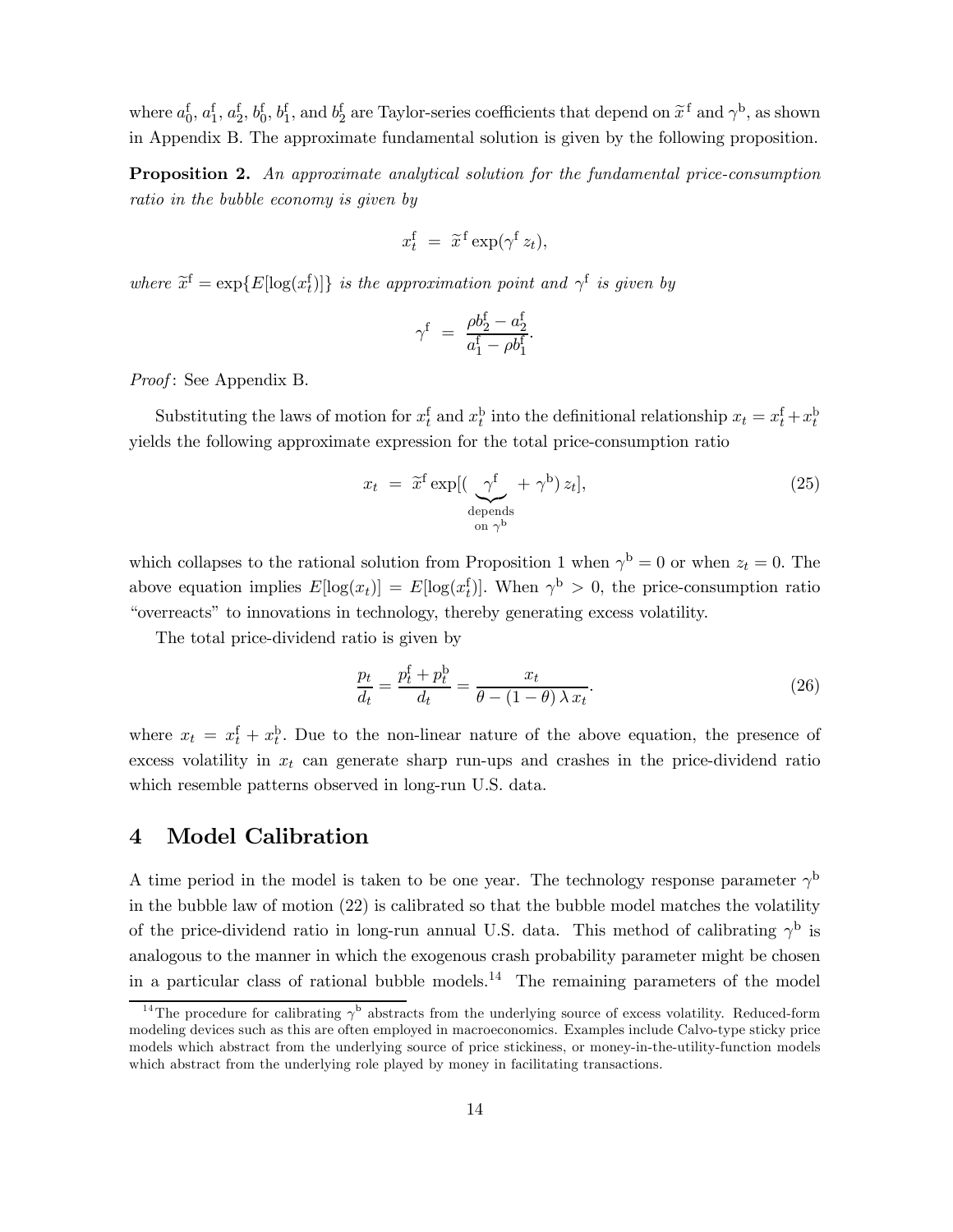where  $a_0^f$ ,  $a_1^f$ ,  $a_2^f$ ,  $b_0^f$ ,  $b_1^f$ , and  $b_2^f$  are Taylor-series coefficients that depend on  $\tilde{x}^f$  and  $\gamma^b$ , as shown in Appendix B. The approximate fundamental solution is given by the following proposition.

Proposition 2. An approximate analytical solution for the fundamental price-consumption ratio in the bubble economy is given by

$$
x_t^{\rm f} = \tilde{x}^{\rm f} \exp(\gamma^{\rm f} z_t),
$$

where  $\widetilde{x}^{\text{f}} = \exp\{E[\log(x_t^{\text{f}})]\}$  is the approximation point and  $\gamma^{\text{f}}$  is given by

$$
\gamma^{\text{f}} = \frac{\rho b_2^{\text{f}} - a_2^{\text{f}}}{a_1^{\text{f}} - \rho b_1^{\text{f}}}.
$$

Proof: See Appendix B.

Substituting the laws of motion for  $x_t^f$  and  $x_t^b$  into the definitional relationship  $x_t = x_t^f + x_t^b$ yields the following approximate expression for the total price-consumption ratio

$$
x_t = \tilde{x}^f \exp[(\underbrace{\gamma^f}_{\text{depends}} + \gamma^b) z_t],
$$
\n(25)

which collapses to the rational solution from Proposition 1 when  $\gamma^{\rm b} = 0$  or when  $z_t = 0$ . The above equation implies  $E[\log(x_t)] = E[\log(x_t)]$ . When  $\gamma^{\rm b} > 0$ , the price-consumption ratio "overreacts" to innovations in technology, thereby generating excess volatility.

The total price-dividend ratio is given by

$$
\frac{p_t}{d_t} = \frac{p_t^{\text{f}} + p_t^{\text{b}}}{d_t} = \frac{x_t}{\theta - (1 - \theta) \lambda x_t}.
$$
\n(26)

where  $x_t = x_t^{\text{f}} + x_t^{\text{b}}$ . Due to the non-linear nature of the above equation, the presence of excess volatility in  $x_t$  can generate sharp run-ups and crashes in the price-dividend ratio which resemble patterns observed in long-run U.S. data.

### 4 Model Calibration

A time period in the model is taken to be one year. The technology response parameter  $\gamma^{\rm b}$ in the bubble law of motion (22) is calibrated so that the bubble model matches the volatility of the price-dividend ratio in long-run annual U.S. data. This method of calibrating  $\gamma^{\rm b}$  is analogous to the manner in which the exogenous crash probability parameter might be chosen in a particular class of rational bubble models.<sup>14</sup> The remaining parameters of the model

<sup>&</sup>lt;sup>14</sup>The procedure for calibrating  $\gamma^b$  abstracts from the underlying source of excess volatility. Reduced-form modeling devices such as this are often employed in macroeconomics. Examples include Calvo-type sticky price models which abstract from the underlying source of price stickiness, or money-in-the-utility-function models which abstract from the underlying role played by money in facilitating transactions.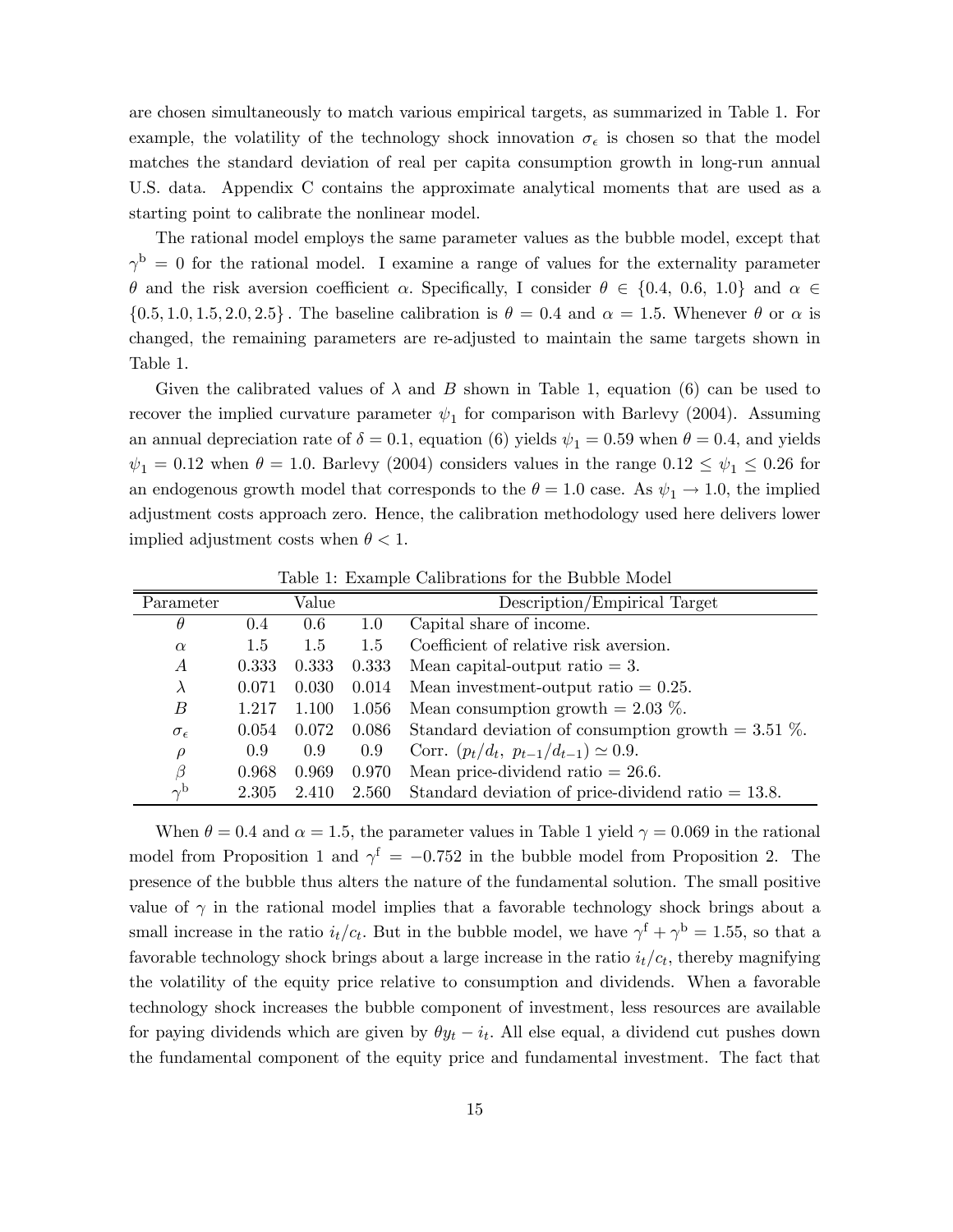are chosen simultaneously to match various empirical targets, as summarized in Table 1. For example, the volatility of the technology shock innovation  $\sigma_{\epsilon}$  is chosen so that the model matches the standard deviation of real per capita consumption growth in long-run annual U.S. data. Appendix C contains the approximate analytical moments that are used as a starting point to calibrate the nonlinear model.

The rational model employs the same parameter values as the bubble model, except that  $\gamma^{\rm b} = 0$  for the rational model. I examine a range of values for the externality parameter  $\theta$  and the risk aversion coefficient  $\alpha$ . Specifically, I consider  $\theta \in \{0.4, 0.6, 1.0\}$  and  $\alpha \in$  $\{0.5, 1.0, 1.5, 2.0, 2.5\}$ . The baseline calibration is  $\theta = 0.4$  and  $\alpha = 1.5$ . Whenever  $\theta$  or  $\alpha$  is changed, the remaining parameters are re-adjusted to maintain the same targets shown in Table 1.

Given the calibrated values of  $\lambda$  and  $B$  shown in Table 1, equation (6) can be used to recover the implied curvature parameter  $\psi_1$  for comparison with Barlevy (2004). Assuming an annual depreciation rate of  $\delta = 0.1$ , equation (6) yields  $\psi_1 = 0.59$  when  $\theta = 0.4$ , and yields  $\psi_1 = 0.12$  when  $\theta = 1.0$ . Barlevy (2004) considers values in the range  $0.12 \le \psi_1 \le 0.26$  for an endogenous growth model that corresponds to the  $\theta = 1.0$  case. As  $\psi_1 \rightarrow 1.0$ , the implied adjustment costs approach zero. Hence, the calibration methodology used here delivers lower implied adjustment costs when  $\theta$  < 1.

| Parameter           |       | Value |                    | Description/Empirical Target                          |
|---------------------|-------|-------|--------------------|-------------------------------------------------------|
| $\theta$            | 0.4   | 0.6   | 1.0                | Capital share of income.                              |
| $\alpha$            | 1.5   | 1.5   | 1.5                | Coefficient of relative risk aversion.                |
| А                   | 0.333 | 0.333 | 0.333              | Mean capital-output ratio $= 3$ .                     |
| $\lambda$           | 0.071 | 0.030 | 0.014              | Mean investment-output ratio $= 0.25$ .               |
| В                   | 1.217 | 1.100 | 1.056              | Mean consumption growth $= 2.03$ %.                   |
| $\sigma_{\epsilon}$ | 0.054 |       | $0.072\quad 0.086$ | Standard deviation of consumption growth $= 3.51$ %.  |
| $\rho$              | 0.9   | 0.9   | 0.9                | Corr. $(p_t/d_t, p_{t-1}/d_{t-1}) \simeq 0.9$ .       |
| β                   | 0.968 | 0.969 | 0.970              | Mean price-dividend ratio $= 26.6$ .                  |
| $\sim$ b            | 2.305 | 2.410 | 2.560              | Standard deviation of price-dividend ratio $= 13.8$ . |

Table 1: Example Calibrations for the Bubble Model

When  $\theta = 0.4$  and  $\alpha = 1.5$ , the parameter values in Table 1 yield  $\gamma = 0.069$  in the rational model from Proposition 1 and  $\gamma^f = -0.752$  in the bubble model from Proposition 2. The presence of the bubble thus alters the nature of the fundamental solution. The small positive value of  $\gamma$  in the rational model implies that a favorable technology shock brings about a small increase in the ratio  $i_t/c_t$ . But in the bubble model, we have  $\gamma^{\rm f} + \gamma^{\rm b} = 1.55$ , so that a favorable technology shock brings about a large increase in the ratio  $i_t/c_t$ , thereby magnifying the volatility of the equity price relative to consumption and dividends. When a favorable technology shock increases the bubble component of investment, less resources are available for paying dividends which are given by  $\theta y_t - i_t$ . All else equal, a dividend cut pushes down the fundamental component of the equity price and fundamental investment. The fact that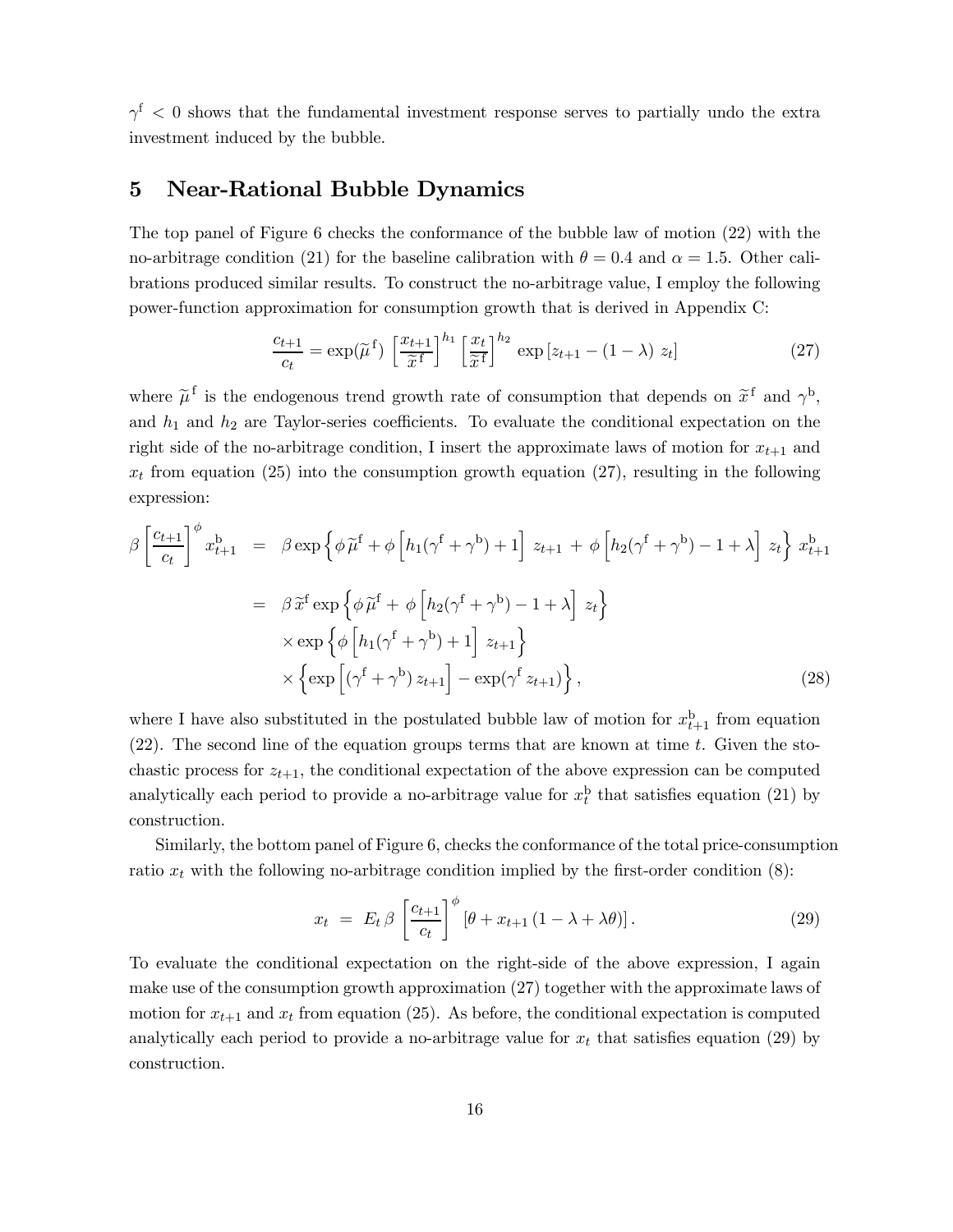$\gamma^{\rm f}$  < 0 shows that the fundamental investment response serves to partially undo the extra investment induced by the bubble.

### 5 Near-Rational Bubble Dynamics

The top panel of Figure 6 checks the conformance of the bubble law of motion (22) with the no-arbitrage condition (21) for the baseline calibration with  $\theta = 0.4$  and  $\alpha = 1.5$ . Other calibrations produced similar results. To construct the no-arbitrage value, I employ the following power-function approximation for consumption growth that is derived in Appendix C:

$$
\frac{c_{t+1}}{c_t} = \exp(\widetilde{\mu}^f) \left[ \frac{x_{t+1}}{\widetilde{x}^f} \right]^{h_1} \left[ \frac{x_t}{\widetilde{x}^f} \right]^{h_2} \exp\left[z_{t+1} - (1-\lambda) z_t\right] \tag{27}
$$

where  $\tilde{\mu}^f$  is the endogenous trend growth rate of consumption that depends on  $\tilde{x}^f$  and  $\gamma^b$ , and  $h_1$  and  $h_2$  are Taylor-series coefficients. To evaluate the conditional expectation on the right side of the no-arbitrage condition, I insert the approximate laws of motion for  $x_{t+1}$  and  $x_t$  from equation (25) into the consumption growth equation (27), resulting in the following expression:

$$
\beta \left[ \frac{c_{t+1}}{c_t} \right]^{\phi} x_{t+1}^b = \beta \exp \left\{ \phi \widetilde{\mu}^f + \phi \left[ h_1(\gamma^f + \gamma^b) + 1 \right] z_{t+1} + \phi \left[ h_2(\gamma^f + \gamma^b) - 1 + \lambda \right] z_t \right\} x_{t+1}^b
$$

$$
= \beta \widetilde{x}^f \exp \left\{ \phi \widetilde{\mu}^f + \phi \left[ h_2(\gamma^f + \gamma^b) - 1 + \lambda \right] z_t \right\}
$$

$$
\times \exp \left\{ \phi \left[ h_1(\gamma^f + \gamma^b) + 1 \right] z_{t+1} \right\}
$$

$$
\times \left\{ \exp \left[ (\gamma^f + \gamma^b) z_{t+1} \right] - \exp(\gamma^f z_{t+1}) \right\}, \tag{28}
$$

where I have also substituted in the postulated bubble law of motion for  $x_{t+1}^{\mathrm{b}}$  from equation  $(22)$ . The second line of the equation groups terms that are known at time t. Given the stochastic process for  $z_{t+1}$ , the conditional expectation of the above expression can be computed analytically each period to provide a no-arbitrage value for  $x_t^{\text{b}}$  that satisfies equation (21) by construction.

Similarly, the bottom panel of Figure 6, checks the conformance of the total price-consumption ratio  $x_t$  with the following no-arbitrage condition implied by the first-order condition  $(8)$ :

$$
x_t = E_t \beta \left[ \frac{c_{t+1}}{c_t} \right]^{\phi} \left[ \theta + x_{t+1} \left( 1 - \lambda + \lambda \theta \right) \right]. \tag{29}
$$

To evaluate the conditional expectation on the right-side of the above expression, I again make use of the consumption growth approximation (27) together with the approximate laws of motion for  $x_{t+1}$  and  $x_t$  from equation (25). As before, the conditional expectation is computed analytically each period to provide a no-arbitrage value for  $x_t$  that satisfies equation (29) by construction.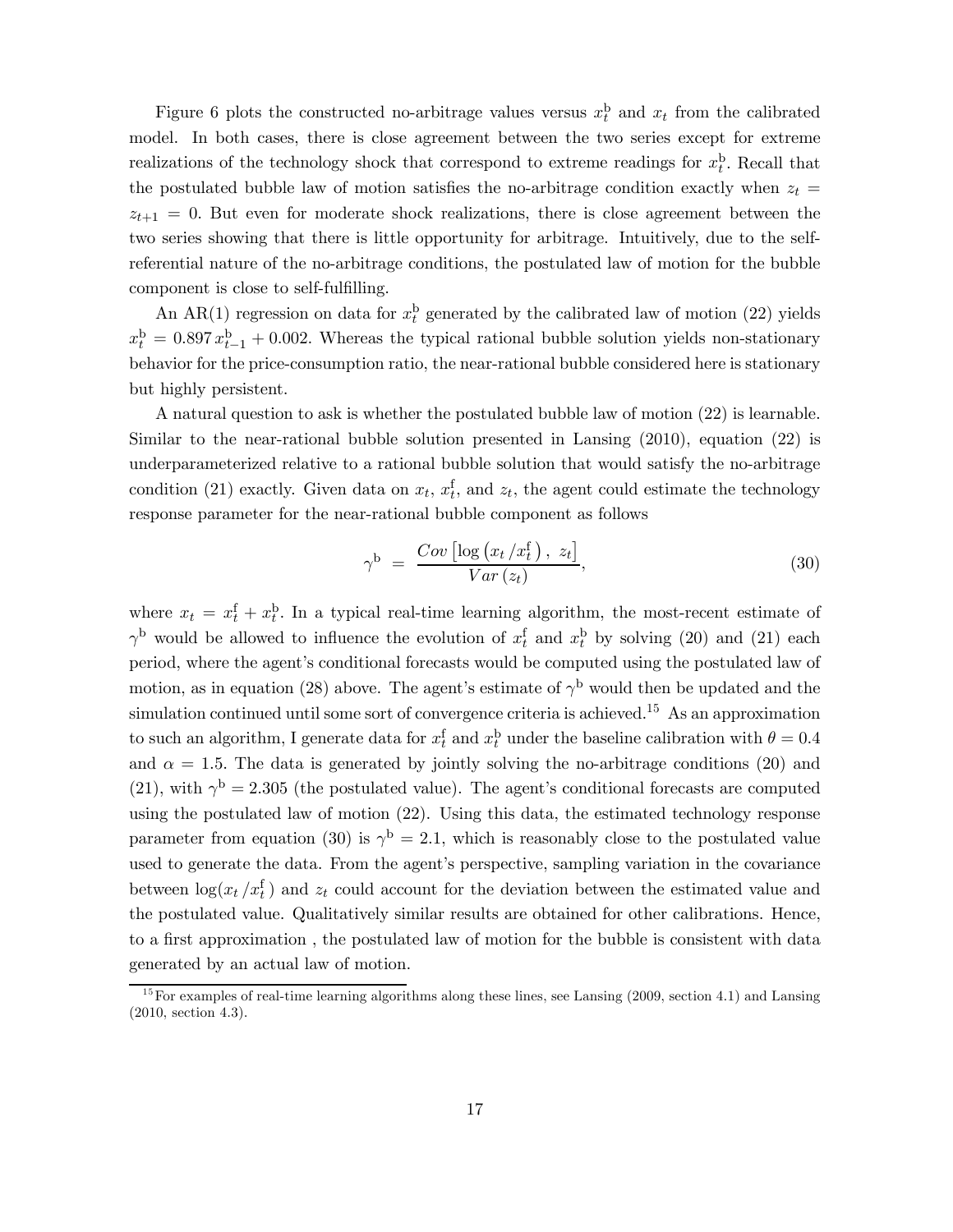Figure 6 plots the constructed no-arbitrage values versus  $x_t^b$  and  $x_t$  from the calibrated model. In both cases, there is close agreement between the two series except for extreme realizations of the technology shock that correspond to extreme readings for  $x_t^{\text{b}}$ . Recall that the postulated bubble law of motion satisfies the no-arbitrage condition exactly when  $z_t$  $z_{t+1} = 0$ . But even for moderate shock realizations, there is close agreement between the two series showing that there is little opportunity for arbitrage. Intuitively, due to the selfreferential nature of the no-arbitrage conditions, the postulated law of motion for the bubble component is close to self-fulfilling.

An AR(1) regression on data for  $x_t^b$  generated by the calibrated law of motion (22) yields  $x_t^b = 0.897 x_{t-1}^b + 0.002$ . Whereas the typical rational bubble solution yields non-stationary behavior for the price-consumption ratio, the near-rational bubble considered here is stationary but highly persistent.

A natural question to ask is whether the postulated bubble law of motion (22) is learnable. Similar to the near-rational bubble solution presented in Lansing (2010), equation (22) is underparameterized relative to a rational bubble solution that would satisfy the no-arbitrage condition (21) exactly. Given data on  $x_t$ ,  $x_t^f$ , and  $z_t$ , the agent could estimate the technology response parameter for the near-rational bubble component as follows

$$
\gamma^{\mathrm{b}} = \frac{Cov\left[\log\left(x_t/x_t^{\mathrm{f}}\right), z_t\right]}{Var\left(z_t\right)},\tag{30}
$$

where  $x_t = x_t^{\text{f}} + x_t^{\text{b}}$ . In a typical real-time learning algorithm, the most-recent estimate of  $\gamma^{\rm b}$  would be allowed to influence the evolution of  $x_t^{\rm f}$  and  $x_t^{\rm b}$  by solving (20) and (21) each period, where the agent's conditional forecasts would be computed using the postulated law of motion, as in equation (28) above. The agent's estimate of  $\gamma^{\rm b}$  would then be updated and the simulation continued until some sort of convergence criteria is achieved.<sup>15</sup> As an approximation to such an algorithm, I generate data for  $x_t^f$  and  $x_t^b$  under the baseline calibration with  $\theta = 0.4$ and  $\alpha = 1.5$ . The data is generated by jointly solving the no-arbitrage conditions (20) and (21), with  $\gamma^{\rm b} = 2.305$  (the postulated value). The agent's conditional forecasts are computed using the postulated law of motion (22). Using this data, the estimated technology response parameter from equation (30) is  $\gamma^{b} = 2.1$ , which is reasonably close to the postulated value used to generate the data. From the agent's perspective, sampling variation in the covariance between  $\log(x_t/x_t^{\text{f}})$  and  $z_t$  could account for the deviation between the estimated value and the postulated value. Qualitatively similar results are obtained for other calibrations. Hence, to a first approximation , the postulated law of motion for the bubble is consistent with data generated by an actual law of motion.

 $15$  For examples of real-time learning algorithms along these lines, see Lansing (2009, section 4.1) and Lansing (2010, section 4.3).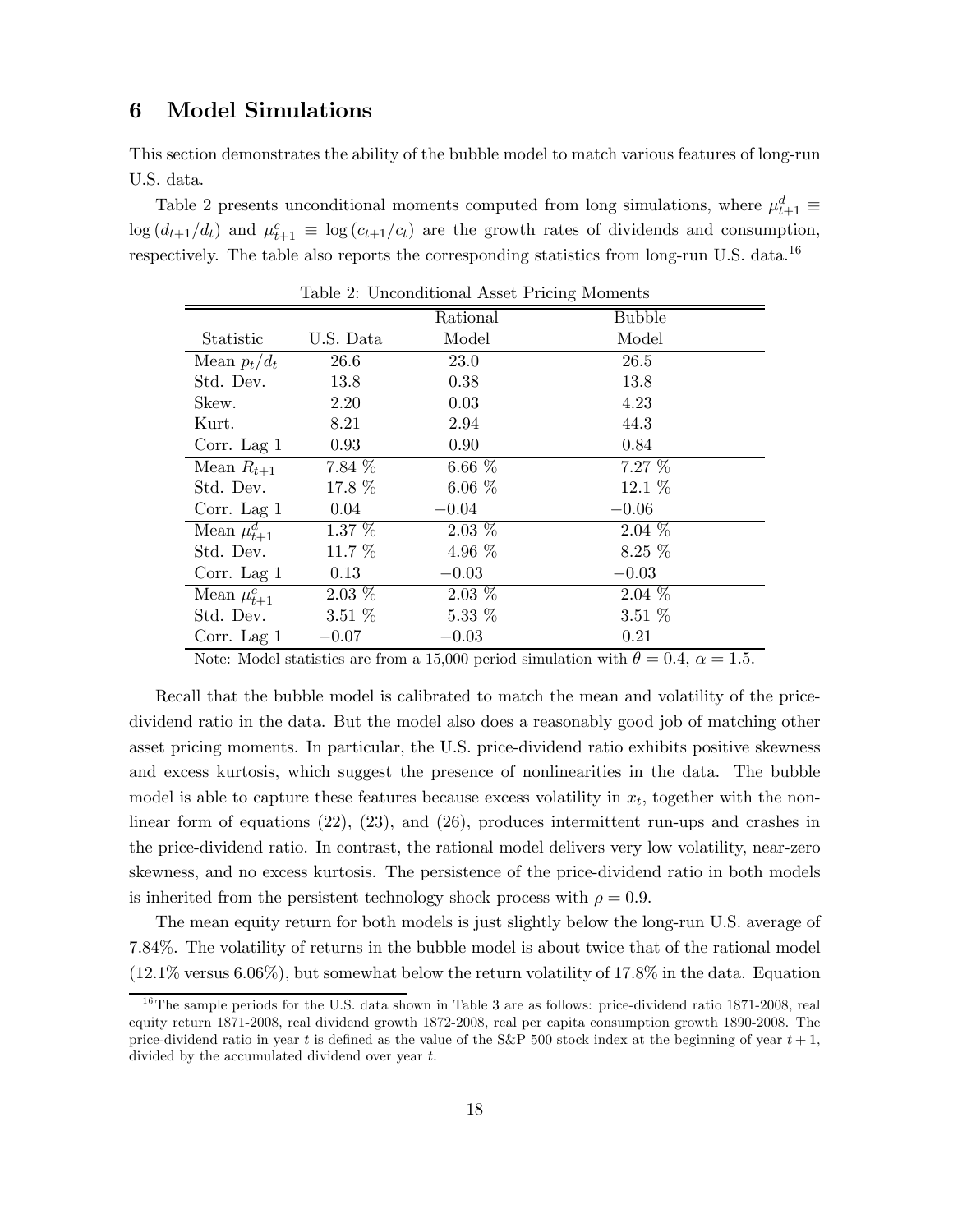### 6 Model Simulations

This section demonstrates the ability of the bubble model to match various features of long-run U.S. data.

Table 2 presents unconditional moments computed from long simulations, where  $\mu_{t+1}^d \equiv$  $\log (d_{t+1}/d_t)$  and  $\mu_{t+1}^c \equiv \log (c_{t+1}/c_t)$  are the growth rates of dividends and consumption, respectively. The table also reports the corresponding statistics from long-run U.S. data.<sup>16</sup>

|                    |           | Rational  | <b>Bubble</b> |
|--------------------|-----------|-----------|---------------|
| Statistic          | U.S. Data | Model     | Model         |
| Mean $p_t/d_t$     | 26.6      | 23.0      | 26.5          |
| Std. Dev.          | 13.8      | 0.38      | 13.8          |
| Skew.              | 2.20      | 0.03      | 4.23          |
| Kurt.              | 8.21      | 2.94      | 44.3          |
| Corr. Lag $1$      | 0.93      | 0.90      | 0.84          |
| Mean $R_{t+1}$     | $7.84\%$  | $6.66~\%$ | $7.27\%$      |
| Std. Dev.          | 17.8 %    | $6.06\%$  | 12.1 %        |
| Corr. Lag 1        | 0.04      | $-0.04$   | $-0.06$       |
| Mean $\mu_{t+1}^d$ | $1.37\%$  | $2.03\%$  | $2.04\%$      |
| Std. Dev.          | 11.7 %    | 4.96 $%$  | $8.25\%$      |
| Corr. Lag $1$      | 0.13      | $-0.03$   | $-0.03$       |
| Mean $\mu_{t+1}^c$ | $2.03\%$  | $2.03\%$  | $2.04\%$      |
| Std. Dev.          | $3.51\%$  | $5.33\%$  | $3.51\%$      |
| Corr. Lag $1$      | $-0.07$   | $-0.03$   | 0.21          |

Table 2: Unconditional Asset Pricing Moments

Note: Model statistics are from a 15,000 period simulation with  $\theta = 0.4$ ,  $\alpha = 1.5$ .

Recall that the bubble model is calibrated to match the mean and volatility of the pricedividend ratio in the data. But the model also does a reasonably good job of matching other asset pricing moments. In particular, the U.S. price-dividend ratio exhibits positive skewness and excess kurtosis, which suggest the presence of nonlinearities in the data. The bubble model is able to capture these features because excess volatility in  $x_t$ , together with the nonlinear form of equations (22), (23), and (26), produces intermittent run-ups and crashes in the price-dividend ratio. In contrast, the rational model delivers very low volatility, near-zero skewness, and no excess kurtosis. The persistence of the price-dividend ratio in both models is inherited from the persistent technology shock process with  $\rho = 0.9$ .

The mean equity return for both models is just slightly below the long-run U.S. average of 7.84%. The volatility of returns in the bubble model is about twice that of the rational model (12.1% versus 6.06%), but somewhat below the return volatility of 17.8% in the data. Equation

 $16$ The sample periods for the U.S. data shown in Table 3 are as follows: price-dividend ratio 1871-2008, real equity return 1871-2008, real dividend growth 1872-2008, real per capita consumption growth 1890-2008. The price-dividend ratio in year t is defined as the value of the S&P 500 stock index at the beginning of year  $t + 1$ , divided by the accumulated dividend over year  $t$ .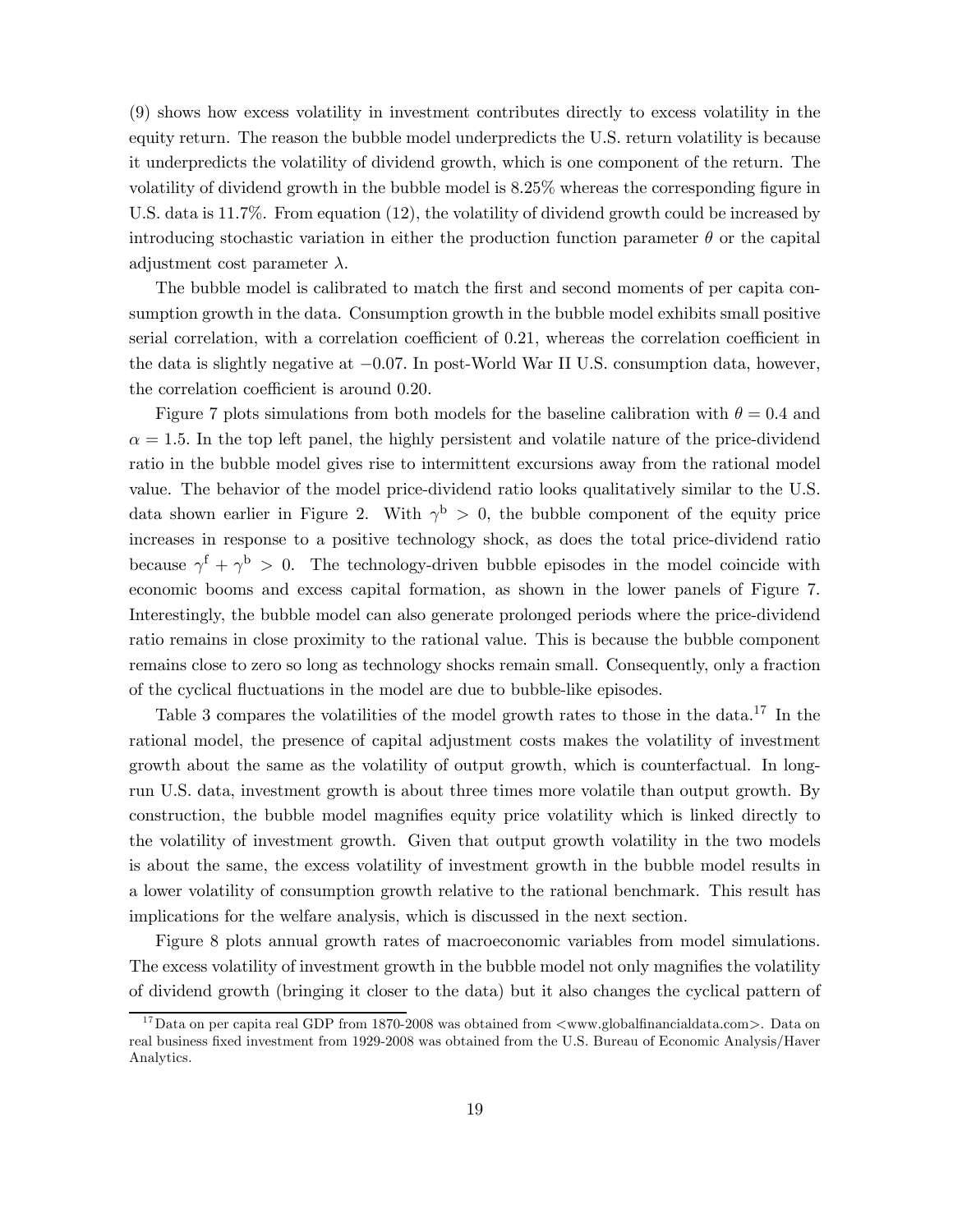(9) shows how excess volatility in investment contributes directly to excess volatility in the equity return. The reason the bubble model underpredicts the U.S. return volatility is because it underpredicts the volatility of dividend growth, which is one component of the return. The volatility of dividend growth in the bubble model is 8.25% whereas the corresponding figure in U.S. data is 11.7%. From equation (12), the volatility of dividend growth could be increased by introducing stochastic variation in either the production function parameter  $\theta$  or the capital adjustment cost parameter  $\lambda$ .

The bubble model is calibrated to match the first and second moments of per capita consumption growth in the data. Consumption growth in the bubble model exhibits small positive serial correlation, with a correlation coefficient of 0.21, whereas the correlation coefficient in the data is slightly negative at −007 In post-World War II U.S. consumption data, however, the correlation coefficient is around 0.20.

Figure 7 plots simulations from both models for the baseline calibration with  $\theta = 0.4$  and  $\alpha = 1.5$ . In the top left panel, the highly persistent and volatile nature of the price-dividend ratio in the bubble model gives rise to intermittent excursions away from the rational model value. The behavior of the model price-dividend ratio looks qualitatively similar to the U.S. data shown earlier in Figure 2. With  $\gamma^{b} > 0$ , the bubble component of the equity price increases in response to a positive technology shock, as does the total price-dividend ratio because  $\gamma^f + \gamma^b > 0$ . The technology-driven bubble episodes in the model coincide with economic booms and excess capital formation, as shown in the lower panels of Figure 7. Interestingly, the bubble model can also generate prolonged periods where the price-dividend ratio remains in close proximity to the rational value. This is because the bubble component remains close to zero so long as technology shocks remain small. Consequently, only a fraction of the cyclical fluctuations in the model are due to bubble-like episodes.

Table 3 compares the volatilities of the model growth rates to those in the data.<sup>17</sup> In the rational model, the presence of capital adjustment costs makes the volatility of investment growth about the same as the volatility of output growth, which is counterfactual. In longrun U.S. data, investment growth is about three times more volatile than output growth. By construction, the bubble model magnifies equity price volatility which is linked directly to the volatility of investment growth. Given that output growth volatility in the two models is about the same, the excess volatility of investment growth in the bubble model results in a lower volatility of consumption growth relative to the rational benchmark. This result has implications for the welfare analysis, which is discussed in the next section.

Figure 8 plots annual growth rates of macroeconomic variables from model simulations. The excess volatility of investment growth in the bubble model not only magnifies the volatility of dividend growth (bringing it closer to the data) but it also changes the cyclical pattern of

<sup>&</sup>lt;sup>17</sup>Data on per capita real GDP from 1870-2008 was obtained from  $\langle$ www.globalfinancialdata.com>. Data on real business fixed investment from 1929-2008 was obtained from the U.S. Bureau of Economic Analysis/Haver Analytics.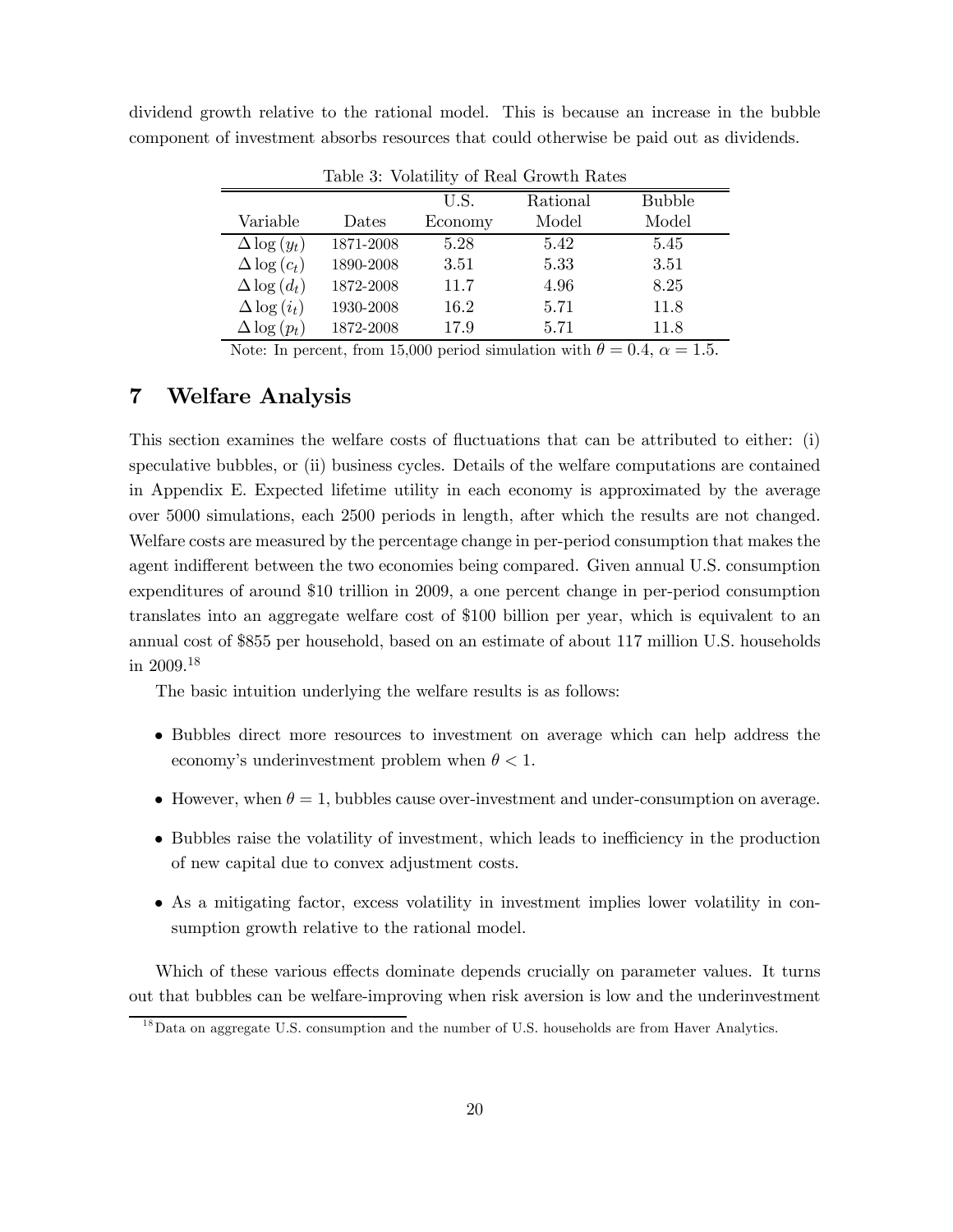| dividend growth relative to the rational model. This is because an increase in the bubble |  |  |  |  |  |  |  |
|-------------------------------------------------------------------------------------------|--|--|--|--|--|--|--|
| component of investment absorbs resources that could otherwise be paid out as dividends.  |  |  |  |  |  |  |  |

|                     |           |         | Lable 9. VOIGUILLY OF REGI CLOWER RACES |               |
|---------------------|-----------|---------|-----------------------------------------|---------------|
|                     |           | U.S.    | Rational                                | <b>Bubble</b> |
| Variable            | Dates     | Economy | Model                                   | Model         |
| $\Delta \log(y_t)$  | 1871-2008 | 5.28    | 5.42                                    | 5.45          |
| $\Delta \log(c_t)$  | 1890-2008 | 3.51    | 5.33                                    | 3.51          |
| $\Delta \log (d_t)$ | 1872-2008 | 11.7    | 4.96                                    | 8.25          |
| $\Delta \log(i_t)$  | 1930-2008 | 16.2    | 5.71                                    | 11.8          |
| $\Delta \log (p_t)$ | 1872-2008 | 17.9    | 5.71                                    | 11.8          |

Table 3: Volatility of Real Growth Rates

Note: In percent, from 15,000 period simulation with  $\theta = 0.4$ ,  $\alpha = 1.5$ .

### 7 Welfare Analysis

This section examines the welfare costs of fluctuations that can be attributed to either: (i) speculative bubbles, or (ii) business cycles. Details of the welfare computations are contained in Appendix E. Expected lifetime utility in each economy is approximated by the average over 5000 simulations, each 2500 periods in length, after which the results are not changed. Welfare costs are measured by the percentage change in per-period consumption that makes the agent indifferent between the two economies being compared. Given annual U.S. consumption expenditures of around \$10 trillion in 2009, a one percent change in per-period consumption translates into an aggregate welfare cost of \$100 billion per year, which is equivalent to an annual cost of \$855 per household, based on an estimate of about 117 million U.S. households in 2009.<sup>18</sup>

The basic intuition underlying the welfare results is as follows:

- Bubbles direct more resources to investment on average which can help address the economy's underinvestment problem when  $\theta < 1$ .
- However, when  $\theta = 1$ , bubbles cause over-investment and under-consumption on average.
- Bubbles raise the volatility of investment, which leads to inefficiency in the production of new capital due to convex adjustment costs.
- As a mitigating factor, excess volatility in investment implies lower volatility in consumption growth relative to the rational model.

Which of these various effects dominate depends crucially on parameter values. It turns out that bubbles can be welfare-improving when risk aversion is low and the underinvestment

 $^{18}$ Data on aggregate U.S. consumption and the number of U.S. households are from Haver Analytics.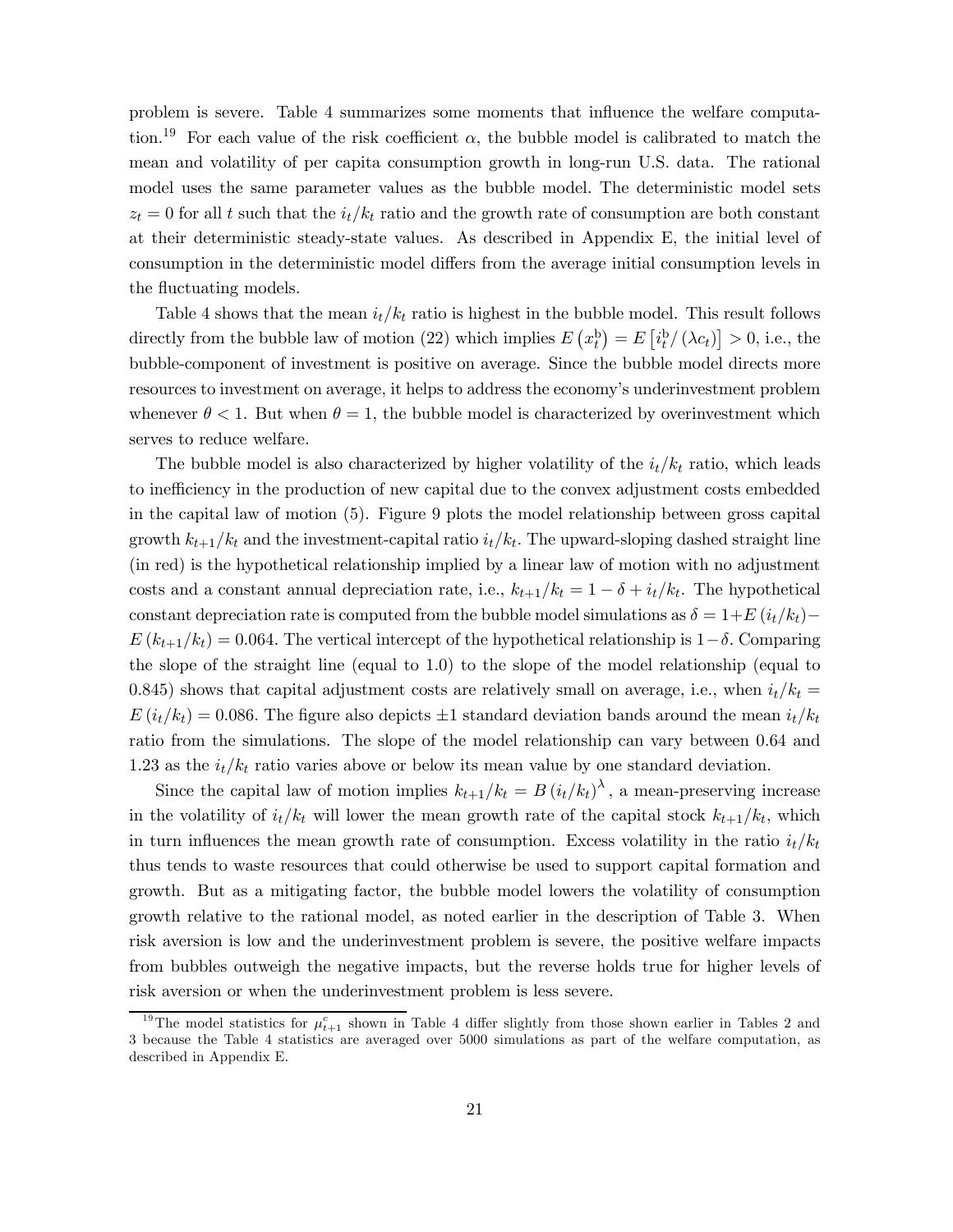problem is severe. Table 4 summarizes some moments that influence the welfare computation.<sup>19</sup> For each value of the risk coefficient  $\alpha$ , the bubble model is calibrated to match the mean and volatility of per capita consumption growth in long-run U.S. data. The rational model uses the same parameter values as the bubble model. The deterministic model sets  $z_t = 0$  for all t such that the  $i_t/k_t$  ratio and the growth rate of consumption are both constant at their deterministic steady-state values. As described in Appendix E, the initial level of consumption in the deterministic model differs from the average initial consumption levels in the fluctuating models.

Table 4 shows that the mean  $i_t/k_t$  ratio is highest in the bubble model. This result follows directly from the bubble law of motion (22) which implies  $E(r_t^b) = E[i_t^b/(\lambda c_t)] > 0$ , i.e., the bubble-component of investment is positive on average. Since the bubble model directs more resources to investment on average, it helps to address the economy's underinvestment problem whenever  $\theta < 1$ . But when  $\theta = 1$ , the bubble model is characterized by overinvestment which serves to reduce welfare.

The bubble model is also characterized by higher volatility of the  $i_t/k_t$  ratio, which leads to inefficiency in the production of new capital due to the convex adjustment costs embedded in the capital law of motion (5). Figure 9 plots the model relationship between gross capital growth  $k_{t+1}/k_t$  and the investment-capital ratio  $i_t/k_t$ . The upward-sloping dashed straight line (in red) is the hypothetical relationship implied by a linear law of motion with no adjustment costs and a constant annual depreciation rate, i.e.,  $k_{t+1}/k_t = 1 - \delta + i_t/k_t$ . The hypothetical constant depreciation rate is computed from the bubble model simulations as  $\delta = 1+E(i_t/k_t)$  –  $E(k_{t+1}/k_t)=0.064$ . The vertical intercept of the hypothetical relationship is  $1-\delta$ . Comparing the slope of the straight line (equal to 1.0) to the slope of the model relationship (equal to 0.845) shows that capital adjustment costs are relatively small on average, i.e., when  $i_t/k_t =$  $E(i_t/k_t) = 0.086$ . The figure also depicts  $\pm 1$  standard deviation bands around the mean  $i_t/k_t$ ratio from the simulations. The slope of the model relationship can vary between 0.64 and 1.23 as the  $i_t/k_t$  ratio varies above or below its mean value by one standard deviation.

Since the capital law of motion implies  $k_{t+1}/k_t = B(i_t/k_t)^{\lambda}$ , a mean-preserving increase in the volatility of  $i_t/k_t$  will lower the mean growth rate of the capital stock  $k_{t+1}/k_t$ , which in turn influences the mean growth rate of consumption. Excess volatility in the ratio  $i_t/k_t$ thus tends to waste resources that could otherwise be used to support capital formation and growth. But as a mitigating factor, the bubble model lowers the volatility of consumption growth relative to the rational model, as noted earlier in the description of Table 3. When risk aversion is low and the underinvestment problem is severe, the positive welfare impacts from bubbles outweigh the negative impacts, but the reverse holds true for higher levels of risk aversion or when the underinvestment problem is less severe.

<sup>&</sup>lt;sup>19</sup>The model statistics for  $\mu_{t+1}^c$  shown in Table 4 differ slightly from those shown earlier in Tables 2 and 3 because the Table 4 statistics are averaged over 5000 simulations as part of the welfare computation, as described in Appendix E.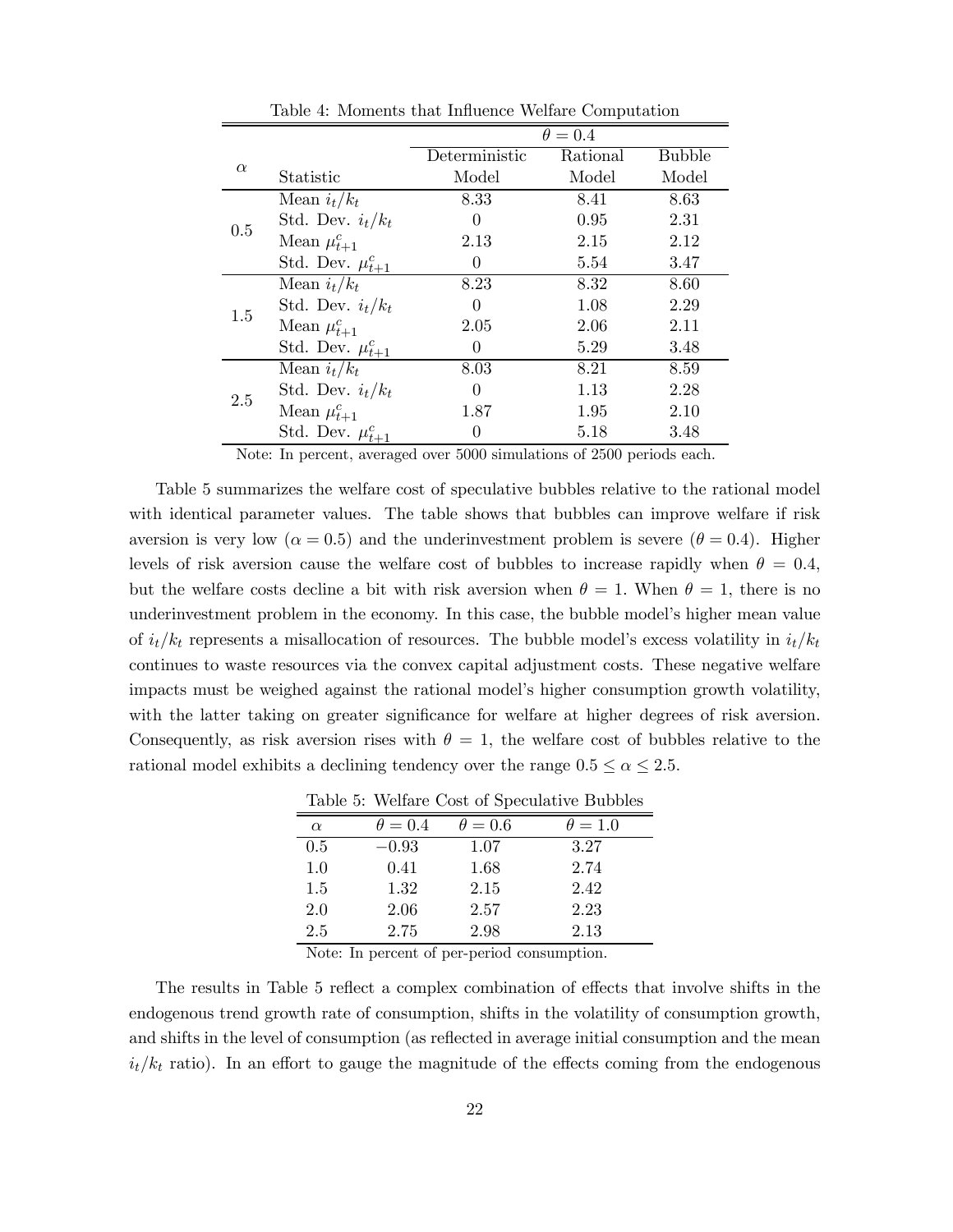|          |                         | $\theta = 0.4$ |          |               |  |
|----------|-------------------------|----------------|----------|---------------|--|
|          |                         | Deterministic  | Rational | <b>Bubble</b> |  |
| $\alpha$ | Statistic               | Model          | Model    | Model         |  |
|          | Mean $i_t/k_t$          | 8.33           | 8.41     | 8.63          |  |
| 0.5      | Std. Dev. $i_t/k_t$     | 0              | 0.95     | 2.31          |  |
|          | Mean $\mu_{t+1}^c$      | 2.13           | 2.15     | 2.12          |  |
|          | Std. Dev. $\mu_{t+1}^c$ | 0              | 5.54     | 3.47          |  |
|          | Mean $i_t/k_t$          | 8.23           | 8.32     | 8.60          |  |
|          | Std. Dev. $i_t/k_t$     | 0              | 1.08     | 2.29          |  |
| 1.5      | Mean $\mu_{t+1}^c$      | 2.05           | 2.06     | 2.11          |  |
|          | Std. Dev. $\mu_{t+1}^c$ | 0              | 5.29     | 3.48          |  |
|          | Mean $i_t/k_t$          | 8.03           | 8.21     | 8.59          |  |
| 2.5      | Std. Dev. $i_t/k_t$     | 0              | 1.13     | 2.28          |  |
|          | Mean $\mu_{t+1}^c$      | 1.87           | 1.95     | 2.10          |  |
|          | Std. Dev. $\mu_{t+1}^c$ | 0              | 5.18     | 3.48          |  |

Table 4: Moments that Influence Welfare Computation

Note: In percent, averaged over 5000 simulations of 2500 periods each.

Table 5 summarizes the welfare cost of speculative bubbles relative to the rational model with identical parameter values. The table shows that bubbles can improve welfare if risk aversion is very low ( $\alpha = 0.5$ ) and the underinvestment problem is severe ( $\theta = 0.4$ ). Higher levels of risk aversion cause the welfare cost of bubbles to increase rapidly when  $\theta = 0.4$ , but the welfare costs decline a bit with risk aversion when  $\theta = 1$ . When  $\theta = 1$ , there is no underinvestment problem in the economy. In this case, the bubble model's higher mean value of  $i_t/k_t$  represents a misallocation of resources. The bubble model's excess volatility in  $i_t/k_t$ continues to waste resources via the convex capital adjustment costs. These negative welfare impacts must be weighed against the rational model's higher consumption growth volatility, with the latter taking on greater significance for welfare at higher degrees of risk aversion. Consequently, as risk aversion rises with  $\theta = 1$ , the welfare cost of bubbles relative to the rational model exhibits a declining tendency over the range  $0.5 \le \alpha \le 2.5$ .

Table 5: Welfare Cost of Speculative Bubbles

| $\alpha$ | $\theta = 0.4$ | $\theta = 0.6$ | $\theta = 1.0$ |
|----------|----------------|----------------|----------------|
| 0.5      | $-0.93$        | 1.07           | 3.27           |
| 1.0      | 0.41           | 1.68           | 2.74           |
| 1.5      | 1.32           | 2.15           | 2.42           |
| 2.0      | 2.06           | 2.57           | 2.23           |
| 2.5      | 2.75           | 2.98           | 2.13           |

Note: In percent of per-period consumption.

The results in Table 5 reflect a complex combination of effects that involve shifts in the endogenous trend growth rate of consumption, shifts in the volatility of consumption growth, and shifts in the level of consumption (as reflected in average initial consumption and the mean  $i_t/k_t$  ratio). In an effort to gauge the magnitude of the effects coming from the endogenous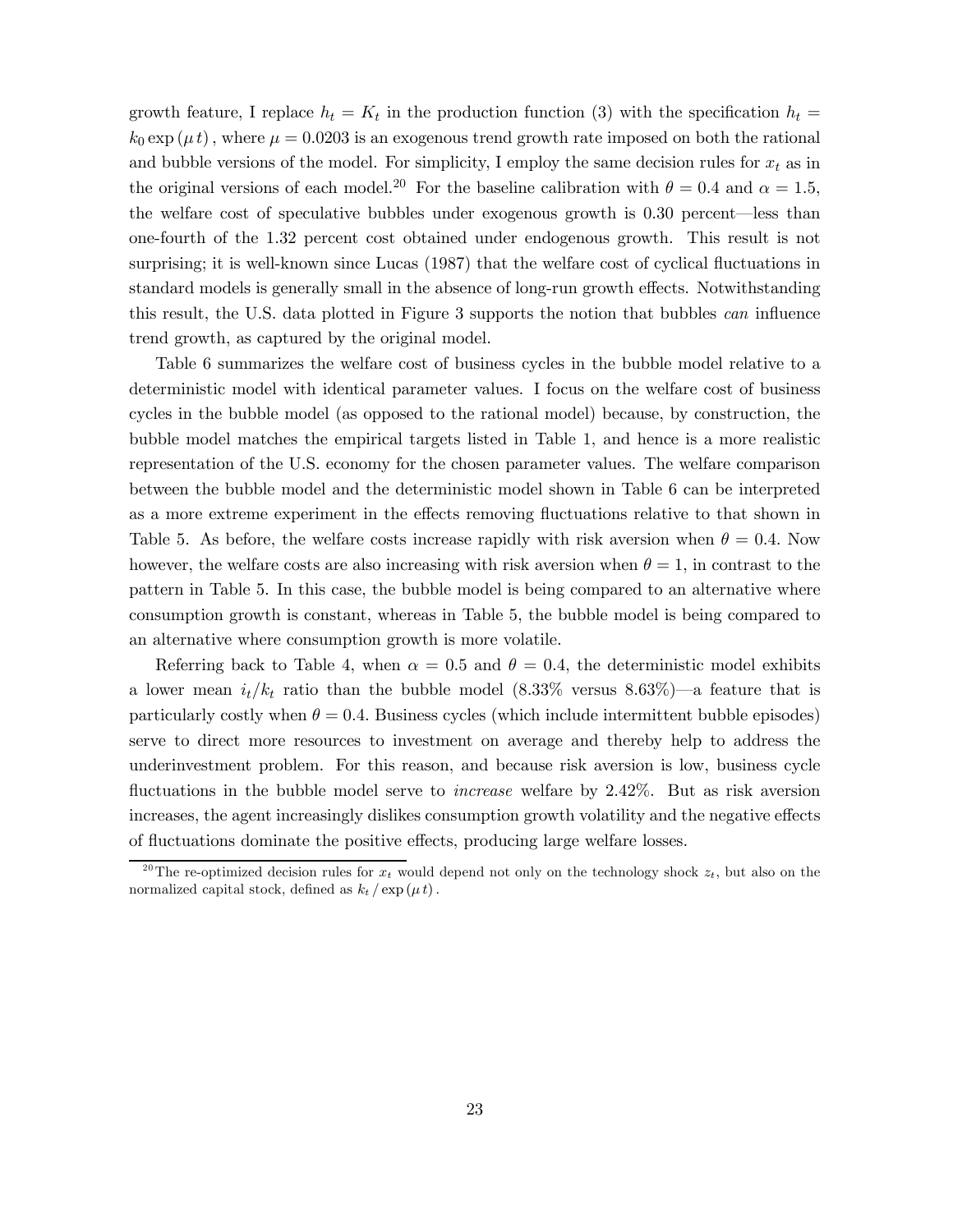growth feature, I replace  $h_t = K_t$  in the production function (3) with the specification  $h_t =$  $k_0 \exp(\mu t)$ , where  $\mu = 0.0203$  is an exogenous trend growth rate imposed on both the rational and bubble versions of the model. For simplicity, I employ the same decision rules for  $x_t$  as in the original versions of each model.<sup>20</sup> For the baseline calibration with  $\theta = 0.4$  and  $\alpha = 1.5$ , the welfare cost of speculative bubbles under exogenous growth is 0.30 percent–less than one-fourth of the 1.32 percent cost obtained under endogenous growth. This result is not surprising; it is well-known since Lucas (1987) that the welfare cost of cyclical fluctuations in standard models is generally small in the absence of long-run growth effects. Notwithstanding this result, the U.S. data plotted in Figure 3 supports the notion that bubbles can influence trend growth, as captured by the original model.

Table 6 summarizes the welfare cost of business cycles in the bubble model relative to a deterministic model with identical parameter values. I focus on the welfare cost of business cycles in the bubble model (as opposed to the rational model) because, by construction, the bubble model matches the empirical targets listed in Table 1, and hence is a more realistic representation of the U.S. economy for the chosen parameter values. The welfare comparison between the bubble model and the deterministic model shown in Table 6 can be interpreted as a more extreme experiment in the effects removing fluctuations relative to that shown in Table 5. As before, the welfare costs increase rapidly with risk aversion when  $\theta = 0.4$ . Now however, the welfare costs are also increasing with risk aversion when  $\theta = 1$ , in contrast to the pattern in Table 5. In this case, the bubble model is being compared to an alternative where consumption growth is constant, whereas in Table 5, the bubble model is being compared to an alternative where consumption growth is more volatile.

Referring back to Table 4, when  $\alpha = 0.5$  and  $\theta = 0.4$ , the deterministic model exhibits a lower mean  $i_t/k_t$  ratio than the bubble model  $(8.33\%$  versus  $8.63\%)$ —a feature that is particularly costly when  $\theta = 0.4$ . Business cycles (which include intermittent bubble episodes) serve to direct more resources to investment on average and thereby help to address the underinvestment problem. For this reason, and because risk aversion is low, business cycle fluctuations in the bubble model serve to increase welfare by 2.42%. But as risk aversion increases, the agent increasingly dislikes consumption growth volatility and the negative effects of fluctuations dominate the positive effects, producing large welfare losses.

<sup>&</sup>lt;sup>20</sup>The re-optimized decision rules for  $x_t$  would depend not only on the technology shock  $z_t$ , but also on the normalized capital stock, defined as  $k_t / \exp(\mu t)$ .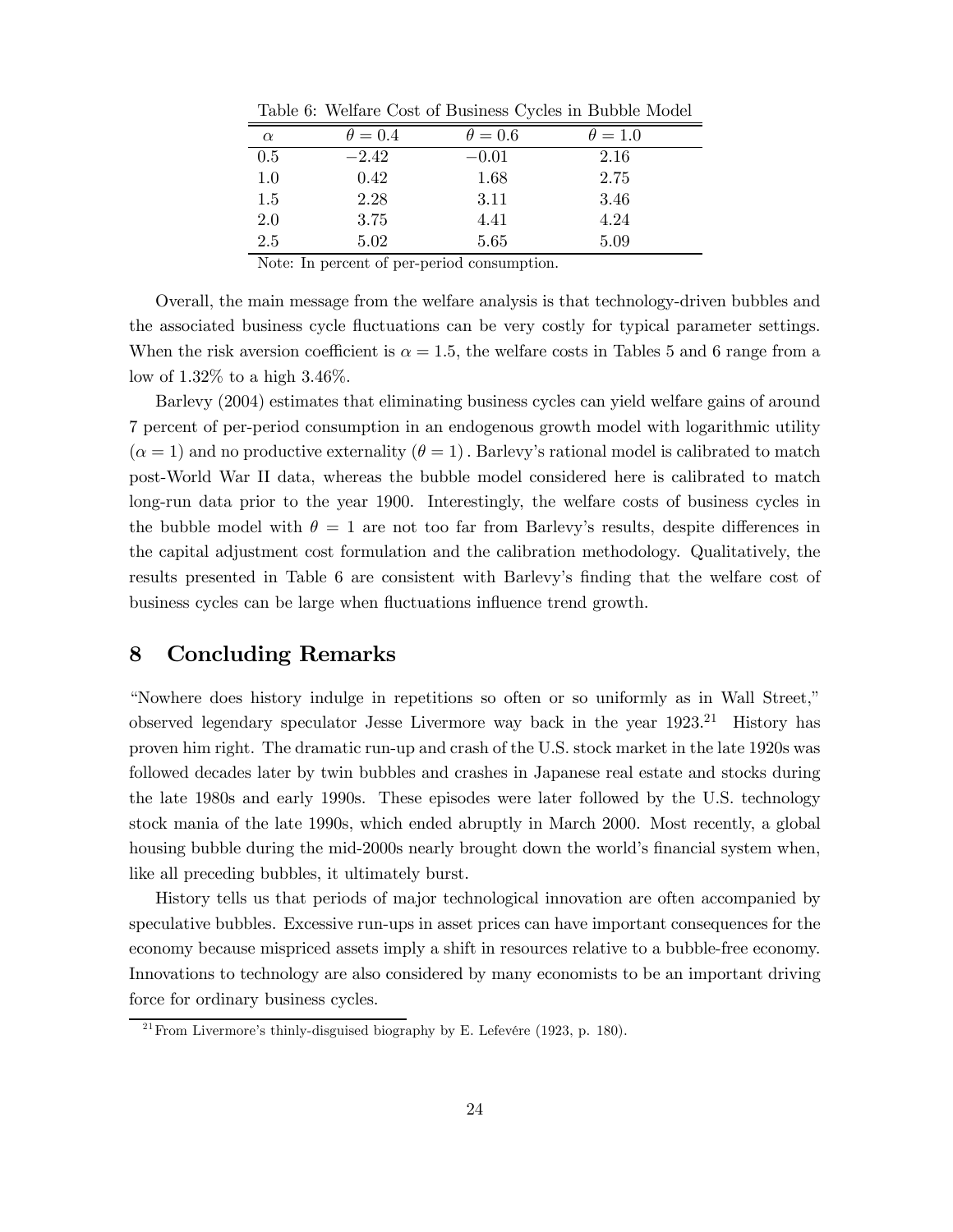|          |                | .              |                |
|----------|----------------|----------------|----------------|
| $\alpha$ | $\theta = 0.4$ | $\theta = 0.6$ | $\theta = 1.0$ |
| 0.5      | $-2.42$        | $-0.01$        | 2.16           |
| $1.0\,$  | 0.42           | 1.68           | 2.75           |
| $1.5\,$  | 2.28           | 3.11           | 3.46           |
| 2.0      | 3.75           | 4.41           | 4.24           |
| 2.5      | 5.02           | 5.65           | 5.09           |

Table 6: Welfare Cost of Business Cycles in Bubble Model

Note: In percent of per-period consumption.

Overall, the main message from the welfare analysis is that technology-driven bubbles and the associated business cycle fluctuations can be very costly for typical parameter settings. When the risk aversion coefficient is  $\alpha = 1.5$ , the welfare costs in Tables 5 and 6 range from a low of 1.32% to a high 3.46%.

Barlevy (2004) estimates that eliminating business cycles can yield welfare gains of around 7 percent of per-period consumption in an endogenous growth model with logarithmic utility  $(\alpha = 1)$  and no productive externality  $(\theta = 1)$ . Barlevy's rational model is calibrated to match post-World War II data, whereas the bubble model considered here is calibrated to match long-run data prior to the year 1900. Interestingly, the welfare costs of business cycles in the bubble model with  $\theta = 1$  are not too far from Barlevy's results, despite differences in the capital adjustment cost formulation and the calibration methodology. Qualitatively, the results presented in Table 6 are consistent with Barlevy's finding that the welfare cost of business cycles can be large when fluctuations influence trend growth.

### 8 Concluding Remarks

"Nowhere does history indulge in repetitions so often or so uniformly as in Wall Street," observed legendary speculator Jesse Livermore way back in the year  $1923.^{21}$  History has proven him right. The dramatic run-up and crash of the U.S. stock market in the late 1920s was followed decades later by twin bubbles and crashes in Japanese real estate and stocks during the late 1980s and early 1990s. These episodes were later followed by the U.S. technology stock mania of the late 1990s, which ended abruptly in March 2000. Most recently, a global housing bubble during the mid-2000s nearly brought down the world's financial system when, like all preceding bubbles, it ultimately burst.

History tells us that periods of major technological innovation are often accompanied by speculative bubbles. Excessive run-ups in asset prices can have important consequences for the economy because mispriced assets imply a shift in resources relative to a bubble-free economy. Innovations to technology are also considered by many economists to be an important driving force for ordinary business cycles.

<sup>&</sup>lt;sup>21</sup> From Livermore's thinly-disguised biography by E. Lefevére (1923, p. 180).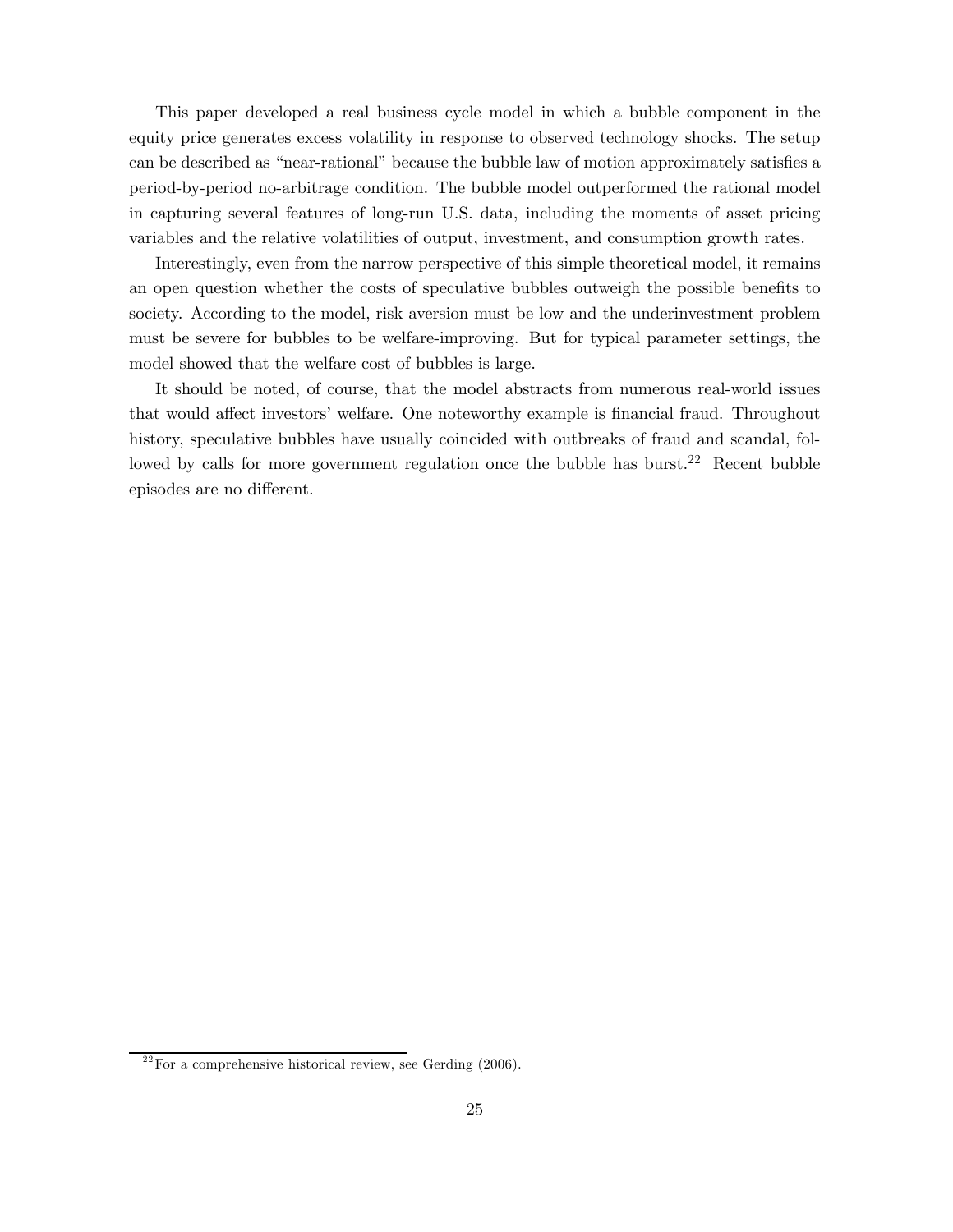This paper developed a real business cycle model in which a bubble component in the equity price generates excess volatility in response to observed technology shocks. The setup can be described as "near-rational" because the bubble law of motion approximately satisfies a period-by-period no-arbitrage condition. The bubble model outperformed the rational model in capturing several features of long-run U.S. data, including the moments of asset pricing variables and the relative volatilities of output, investment, and consumption growth rates.

Interestingly, even from the narrow perspective of this simple theoretical model, it remains an open question whether the costs of speculative bubbles outweigh the possible benefits to society. According to the model, risk aversion must be low and the underinvestment problem must be severe for bubbles to be welfare-improving. But for typical parameter settings, the model showed that the welfare cost of bubbles is large.

It should be noted, of course, that the model abstracts from numerous real-world issues that would affect investors' welfare. One noteworthy example is financial fraud. Throughout history, speculative bubbles have usually coincided with outbreaks of fraud and scandal, followed by calls for more government regulation once the bubble has burst.<sup>22</sup> Recent bubble episodes are no different.

 $22$  For a comprehensive historical review, see Gerding (2006).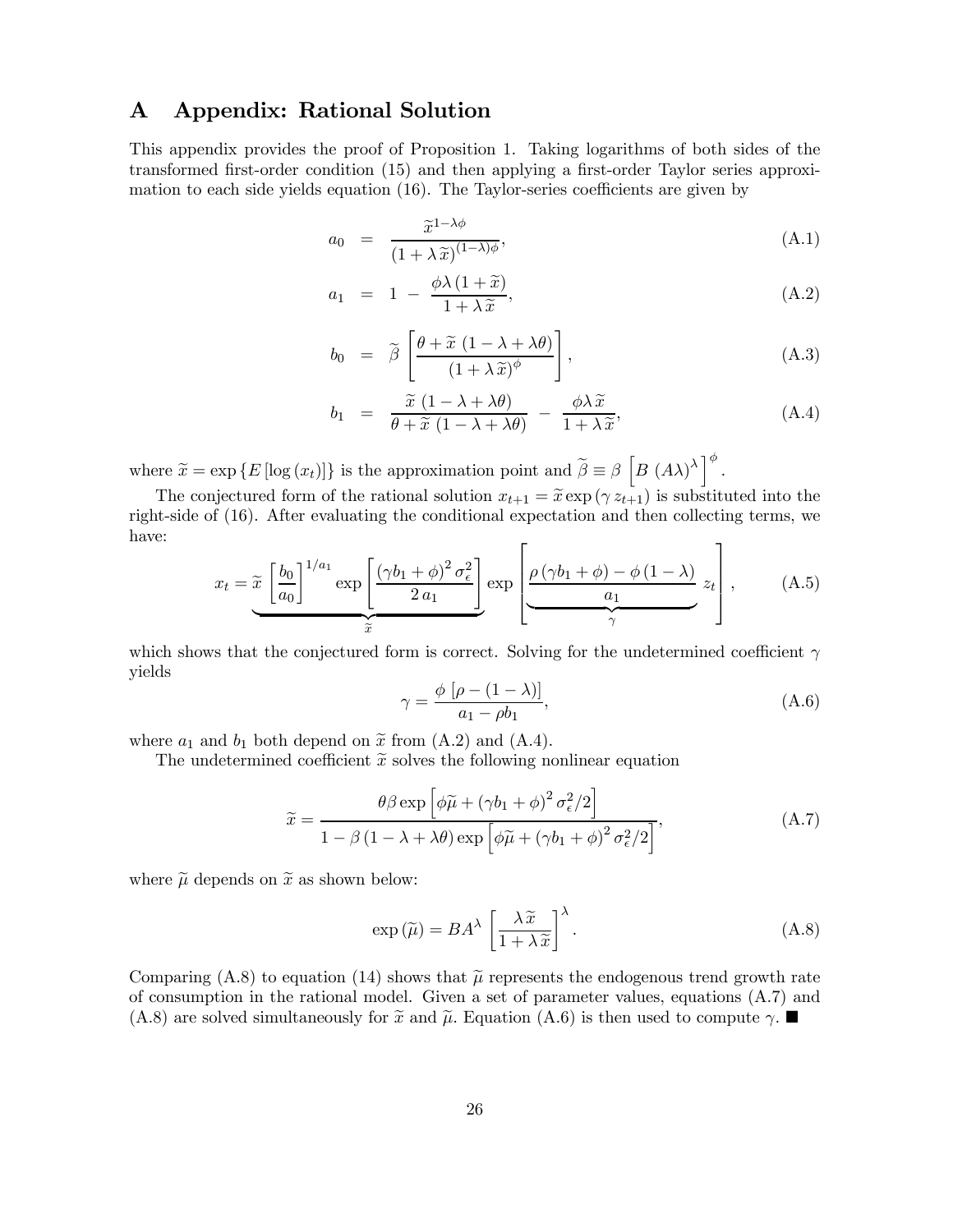# A Appendix: Rational Solution

This appendix provides the proof of Proposition 1. Taking logarithms of both sides of the transformed first-order condition (15) and then applying a first-order Taylor series approximation to each side yields equation (16). The Taylor-series coefficients are given by

$$
a_0 = \frac{\widetilde{x}^{1-\lambda\phi}}{(1+\lambda \widetilde{x})^{(1-\lambda)\phi}},
$$
\n(A.1)

$$
a_1 = 1 - \frac{\phi \lambda (1 + \tilde{x})}{1 + \lambda \tilde{x}}, \tag{A.2}
$$

$$
b_0 = \widetilde{\beta} \left[ \frac{\theta + \widetilde{x} (1 - \lambda + \lambda \theta)}{(1 + \lambda \widetilde{x})^{\phi}} \right], \tag{A.3}
$$

$$
b_1 = \frac{\widetilde{x}(1 - \lambda + \lambda \theta)}{\theta + \widetilde{x}(1 - \lambda + \lambda \theta)} - \frac{\phi \lambda \widetilde{x}}{1 + \lambda \widetilde{x}}, \tag{A.4}
$$

where  $\widetilde{x} = \exp \{ E [\log (x_t)] \}$  is the approximation point and  $\widetilde{\beta} \equiv \beta \left[ B (A\lambda)^{\lambda} \right]^{\phi}$ .

The conjectured form of the rational solution  $x_{t+1} = \tilde{x} \exp(\gamma z_{t+1})$  is substituted into the right-side of (16). After evaluating the conditional expectation and then collecting terms, we have:  $\Gamma$  $\overline{\mathbf{1}}$ 

$$
x_{t} = \widetilde{x} \left[ \frac{b_{0}}{a_{0}} \right]^{1/a_{1}} \exp \left[ \frac{(\gamma b_{1} + \phi)^{2} \sigma_{\epsilon}^{2}}{2 a_{1}} \right] \exp \left[ \frac{\rho (\gamma b_{1} + \phi) - \phi (1 - \lambda)}{a_{1}} z_{t} \right], \quad (A.5)
$$

which shows that the conjectured form is correct. Solving for the undetermined coefficient  $\gamma$ yields

$$
\gamma = \frac{\phi \left[ \rho - (1 - \lambda) \right]}{a_1 - \rho b_1},\tag{A.6}
$$

where  $a_1$  and  $b_1$  both depend on  $\tilde{x}$  from (A.2) and (A.4).

The undetermined coefficient  $\tilde{x}$  solves the following nonlinear equation

$$
\widetilde{x} = \frac{\theta \beta \exp\left[\phi \widetilde{\mu} + (\gamma b_1 + \phi)^2 \sigma_\epsilon^2 / 2\right]}{1 - \beta \left(1 - \lambda + \lambda \theta\right) \exp\left[\phi \widetilde{\mu} + (\gamma b_1 + \phi)^2 \sigma_\epsilon^2 / 2\right]},\tag{A.7}
$$

where  $\tilde{\mu}$  depends on  $\tilde{x}$  as shown below:

$$
\exp\left(\widetilde{\mu}\right) = BA^{\lambda} \left[\frac{\lambda \widetilde{x}}{1 + \lambda \widetilde{x}}\right]^{\lambda}.
$$
\n(A.8)

Comparing (A.8) to equation (14) shows that  $\tilde{\mu}$  represents the endogenous trend growth rate of consumption in the rational model. Given a set of parameter values, equations (A.7) and  $(A.8)$  are solved simultaneously for  $\tilde{x}$  and  $\tilde{\mu}$ . Equation  $(A.6)$  is then used to compute  $\gamma$ .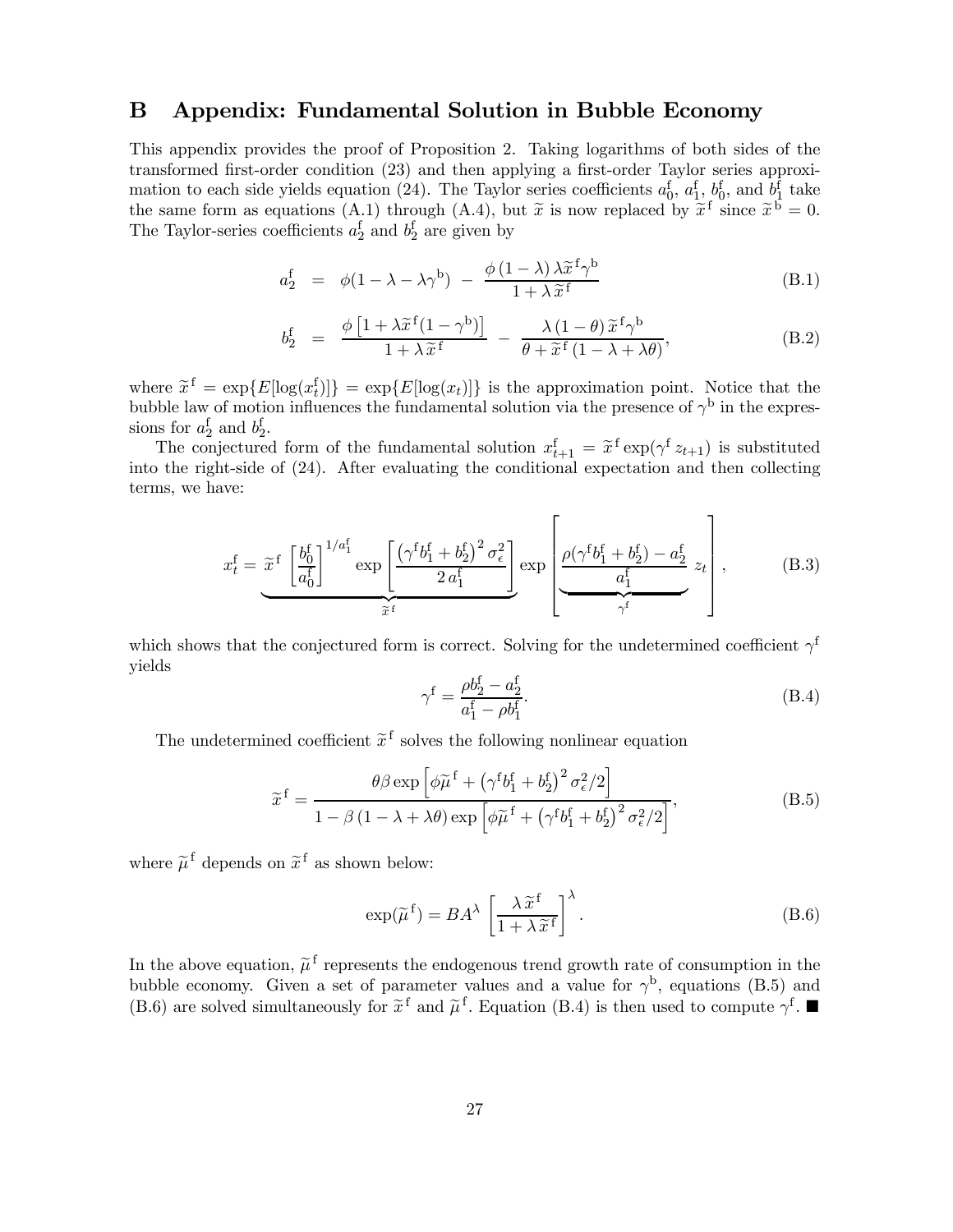### B Appendix: Fundamental Solution in Bubble Economy

This appendix provides the proof of Proposition 2. Taking logarithms of both sides of the transformed first-order condition (23) and then applying a first-order Taylor series approximation to each side yields equation (24). The Taylor series coefficients  $a_0^f$ ,  $a_1^f$ ,  $b_0^f$ , and  $b_1^f$  take the same form as equations (A.1) through (A.4), but  $\tilde{x}$  is now replaced by  $\tilde{x}^f$  since  $\tilde{x}^b = 0$ . The Taylor-series coefficients  $a_2^f$  and  $b_2^f$  are given by

$$
a_2^f = \phi(1 - \lambda - \lambda \gamma^b) - \frac{\phi(1 - \lambda)\lambda \tilde{x}^f \gamma^b}{1 + \lambda \tilde{x}^f}
$$
 (B.1)

$$
b_2^{\mathbf{f}} = \frac{\phi \left[ 1 + \lambda \widetilde{x}^{\mathbf{f}} (1 - \gamma^{\mathbf{b}}) \right]}{1 + \lambda \widetilde{x}^{\mathbf{f}}} - \frac{\lambda (1 - \theta) \widetilde{x}^{\mathbf{f}} \gamma^{\mathbf{b}}}{\theta + \widetilde{x}^{\mathbf{f}} (1 - \lambda + \lambda \theta)}, \tag{B.2}
$$

where  $\tilde{x}^f = \exp\{E[\log(x_i^f)]\} = \exp\{E[\log(x_i)]\}$  is the approximation point. Notice that the bubble law of motion influences the fundamental solution via the presence of  $\gamma^{\rm b}$  in the expressions for  $a_2^f$  and  $b_2^f$ .

The conjectured form of the fundamental solution  $x_{t+1}^f = \tilde{x}^f \exp(\gamma^f z_{t+1})$  is substituted<br>the wight side of (24). After expliciting the conditional expectation and then collecting into the right-side of (24). After evaluating the conditional expectation and then collecting terms, we have:

$$
x_t^f = \underbrace{\tilde{x}^f \left[ \frac{b_0^f}{a_0^f} \right]^{1/a_1^f}}_{\tilde{x}^f} \exp \left[ \frac{\left( \gamma^f b_1^f + b_2^f \right)^2 \sigma_\epsilon^2}{2 a_1^f} \right] \exp \left[ \underbrace{\rho (\gamma^f b_1^f + b_2^f) - a_2^f}_{\gamma^f} z_t \right], \tag{B.3}
$$

which shows that the conjectured form is correct. Solving for the undetermined coefficient  $\gamma^{\rm f}$ yields

$$
\gamma^{\text{f}} = \frac{\rho b_2^{\text{f}} - a_2^{\text{f}}}{a_1^{\text{f}} - \rho b_1^{\text{f}}}.\tag{B.4}
$$

The undetermined coefficient  $\tilde{x}^f$  solves the following nonlinear equation

$$
\widetilde{x}^{\mathrm{f}} = \frac{\theta \beta \exp\left[\phi \widetilde{\mu}^{\mathrm{f}} + \left(\gamma^{\mathrm{f}} b_1^{\mathrm{f}} + b_2^{\mathrm{f}}\right)^2 \sigma_\epsilon^2 / 2\right]}{1 - \beta \left(1 - \lambda + \lambda \theta\right) \exp\left[\phi \widetilde{\mu}^{\mathrm{f}} + \left(\gamma^{\mathrm{f}} b_1^{\mathrm{f}} + b_2^{\mathrm{f}}\right)^2 \sigma_\epsilon^2 / 2\right]},\tag{B.5}
$$

where  $\tilde{\mu}^f$  depends on  $\tilde{x}^f$  as shown below:

$$
\exp(\widetilde{\mu}^{\mathbf{f}}) = BA^{\lambda} \left[ \frac{\lambda \widetilde{x}^{\mathbf{f}}}{1 + \lambda \widetilde{x}^{\mathbf{f}}} \right]^{\lambda}.
$$
 (B.6)

In the above equation,  $\tilde{\mu}^f$  represents the endogenous trend growth rate of consumption in the bubble economy. Given a set of parameter values and a value for  $\gamma^b$ , equations (B.5) and (B.6) are solved simultaneously for  $\tilde{x}^f$  and  $\tilde{\mu}^f$ . Equation (B.4) is then used to compute  $\gamma^f$ .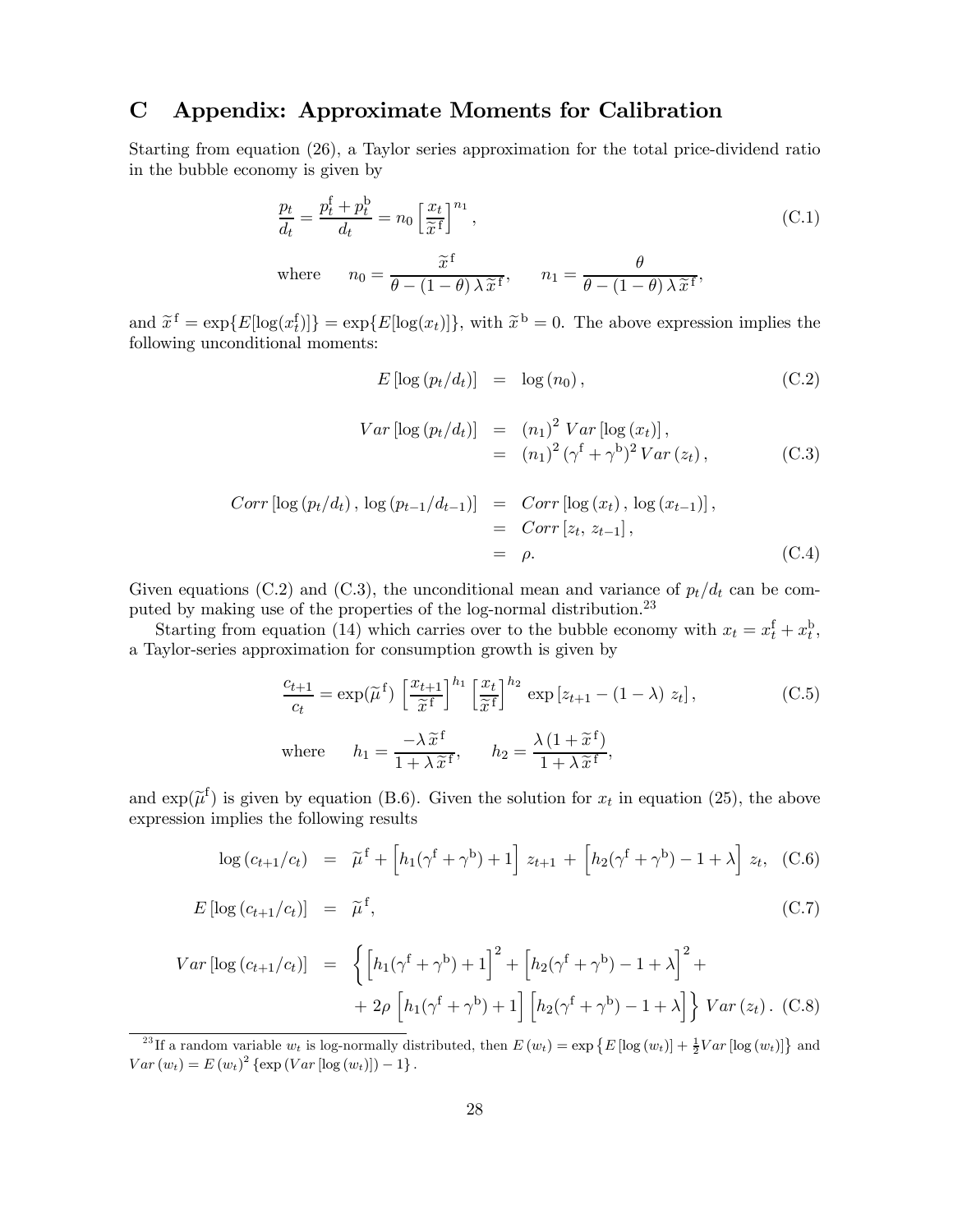## C Appendix: Approximate Moments for Calibration

Starting from equation (26), a Taylor series approximation for the total price-dividend ratio in the bubble economy is given by

$$
\frac{p_t}{d_t} = \frac{p_t^f + p_t^b}{d_t} = n_0 \left[ \frac{x_t}{\tilde{x}^f} \right]^{n_1},
$$
\n(C.1)

\n
$$
n_0 = \frac{\tilde{x}^f}{\theta - (1 - \theta) \lambda \tilde{x}^f}, \qquad n_1 = \frac{\theta}{\theta - (1 - \theta) \lambda \tilde{x}^f},
$$

and  $\tilde{x}^f = \exp\{E[\log(x_t^f)]\} = \exp\{E[\log(x_t)]\}$ , with  $\tilde{x}^b = 0$ . The above expression implies the following unconditional moments:

$$
E\left[\log\left(p_t/d_t\right)\right] = \log\left(n_0\right),\tag{C.2}
$$

$$
Var \left[ \log (p_t/d_t) \right] = (n_1)^2 Var \left[ \log (x_t) \right],
$$
  
=  $(n_1)^2 (\gamma^f + \gamma^b)^2 Var (z_t),$  (C.3)

$$
Corr \left[ \log (p_t/d_t), \log (p_{t-1}/d_{t-1}) \right] = Corr \left[ \log (x_t), \log (x_{t-1}) \right],
$$
  
=  $Corr \left[ z_t, z_{t-1} \right],$   
=  $\rho.$  (C.4)

Given equations (C.2) and (C.3), the unconditional mean and variance of  $p_t/d_t$  can be computed by making use of the properties of the log-normal distribution.23

Starting from equation (14) which carries over to the bubble economy with  $x_t = x_t^{\text{f}} + x_t^{\text{b}}$ , a Taylor-series approximation for consumption growth is given by

$$
\frac{c_{t+1}}{c_t} = \exp(\widetilde{\mu}^f) \left[ \frac{x_{t+1}}{\widetilde{x}^f} \right]^{h_1} \left[ \frac{x_t}{\widetilde{x}^f} \right]^{h_2} \exp\left[z_{t+1} - (1 - \lambda) z_t\right],\tag{C.5}
$$
\n
$$
\text{where} \qquad h_1 = \frac{-\lambda \widetilde{x}^f}{1 + \lambda \widetilde{x}^f}, \qquad h_2 = \frac{\lambda \left(1 + \widetilde{x}^f\right)}{1 + \lambda \widetilde{x}^f},
$$

and  $\exp(\widetilde{\mu}^f)$  is given by equation (B.6). Given the solution for  $x_t$  in equation (25), the above expression implies the following results

$$
\log (c_{t+1}/c_t) = \tilde{\mu}^{\text{f}} + \left[ h_1(\gamma^{\text{f}} + \gamma^{\text{b}}) + 1 \right] z_{t+1} + \left[ h_2(\gamma^{\text{f}} + \gamma^{\text{b}}) - 1 + \lambda \right] z_t, \quad (C.6)
$$

$$
E\left[\log\left(c_{t+1}/c_t\right)\right] = \widetilde{\mu}^{\text{f}},\tag{C.7}
$$

$$
Var \left[ \log (c_{t+1}/c_t) \right] = \left\{ \left[ h_1(\gamma^{\{f + \gamma^{b}\}} + 1) \right]^2 + \left[ h_2(\gamma^{\{f + \gamma^{b}\}} - 1 + \lambda) \right]^2 + \right. \\ + 2\rho \left[ h_1(\gamma^{\{f + \gamma^{b}\}} + 1) \left[ h_2(\gamma^{\{f + \gamma^{b}\}} - 1 + \lambda) \right] \right\} Var (z_t). \tag{C.8}
$$

<sup>&</sup>lt;sup>23</sup>If a random variable  $w_t$  is log-normally distributed, then  $E(w_t) = \exp\left\{E\left[\log(w_t)\right] + \frac{1}{2}Var\left[\log(w_t)\right]\right\}$  and  $Var(w_t) = E(w_t)^2 \{\exp(Var [\log(w_t)]) - 1\}.$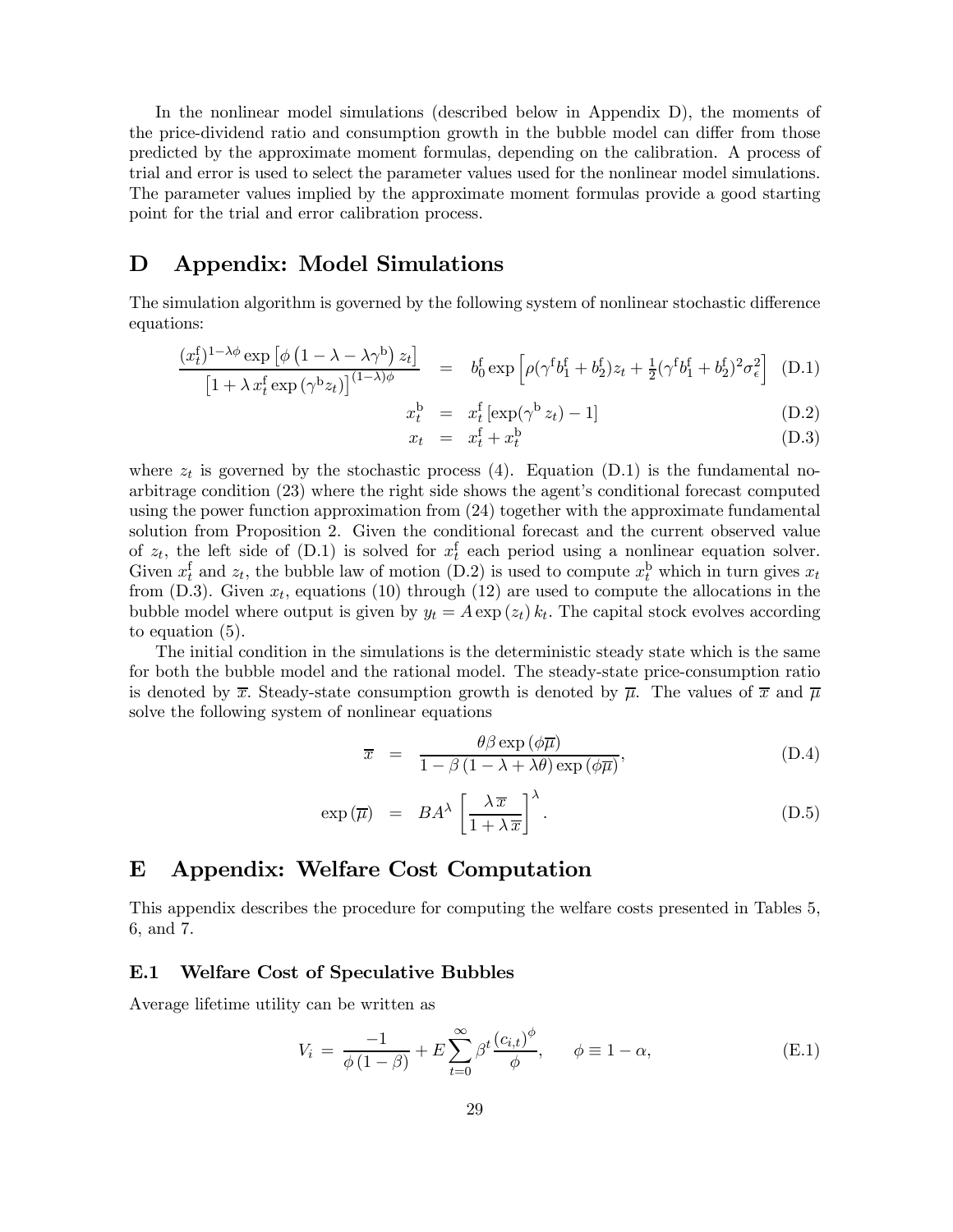In the nonlinear model simulations (described below in Appendix D), the moments of the price-dividend ratio and consumption growth in the bubble model can differ from those predicted by the approximate moment formulas, depending on the calibration. A process of trial and error is used to select the parameter values used for the nonlinear model simulations. The parameter values implied by the approximate moment formulas provide a good starting point for the trial and error calibration process.

### D Appendix: Model Simulations

The simulation algorithm is governed by the following system of nonlinear stochastic difference equations:

$$
\frac{(x_t^f)^{1-\lambda\phi}\exp\left[\phi\left(1-\lambda-\lambda\gamma^b\right)z_t\right]}{\left[1+\lambda\,x_t^f\exp\left(\gamma^b z_t\right)\right]^{(1-\lambda)\phi}}\quad=\quad b_0^f\exp\left[\rho(\gamma^f b_1^f + b_2^f)z_t + \frac{1}{2}(\gamma^f b_1^f + b_2^f)^2\sigma_\epsilon^2\right] \tag{D.1}
$$

$$
x_t^b = x_t^f \left[ \exp(\gamma^b z_t) - 1 \right] \tag{D.2}
$$

$$
x_t = x_t^{\text{f}} + x_t^{\text{b}} \tag{D.3}
$$

where  $z_t$  is governed by the stochastic process (4). Equation (D.1) is the fundamental noarbitrage condition (23) where the right side shows the agent's conditional forecast computed using the power function approximation from (24) together with the approximate fundamental solution from Proposition 2. Given the conditional forecast and the current observed value of  $z_t$ , the left side of (D.1) is solved for  $x_t^f$  each period using a nonlinear equation solver. Given  $x_t^f$  and  $z_t$ , the bubble law of motion (D.2) is used to compute  $x_t^b$  which in turn gives  $x_t$ from (D.3). Given  $x_t$ , equations (10) through (12) are used to compute the allocations in the bubble model where output is given by  $y_t = A \exp(z_t) k_t$ . The capital stock evolves according to equation (5).

The initial condition in the simulations is the deterministic steady state which is the same for both the bubble model and the rational model. The steady-state price-consumption ratio is denoted by  $\bar{x}$ . Steady-state consumption growth is denoted by  $\bar{\mu}$ . The values of  $\bar{x}$  and  $\bar{\mu}$ solve the following system of nonlinear equations

$$
\overline{x} = \frac{\theta \beta \exp(\phi \overline{\mu})}{1 - \beta (1 - \lambda + \lambda \theta) \exp(\phi \overline{\mu})},
$$
(D.4)

$$
\exp\left(\overline{\mu}\right) = BA^{\lambda} \left[\frac{\lambda \overline{x}}{1 + \lambda \overline{x}}\right]^{\lambda}.
$$
 (D.5)

### E Appendix: Welfare Cost Computation

This appendix describes the procedure for computing the welfare costs presented in Tables 5, 6, and 7.

#### E.1 Welfare Cost of Speculative Bubbles

Average lifetime utility can be written as

$$
V_i = \frac{-1}{\phi(1-\beta)} + E \sum_{t=0}^{\infty} \beta^t \frac{(c_{i,t})^{\phi}}{\phi}, \qquad \phi \equiv 1 - \alpha,
$$
 (E.1)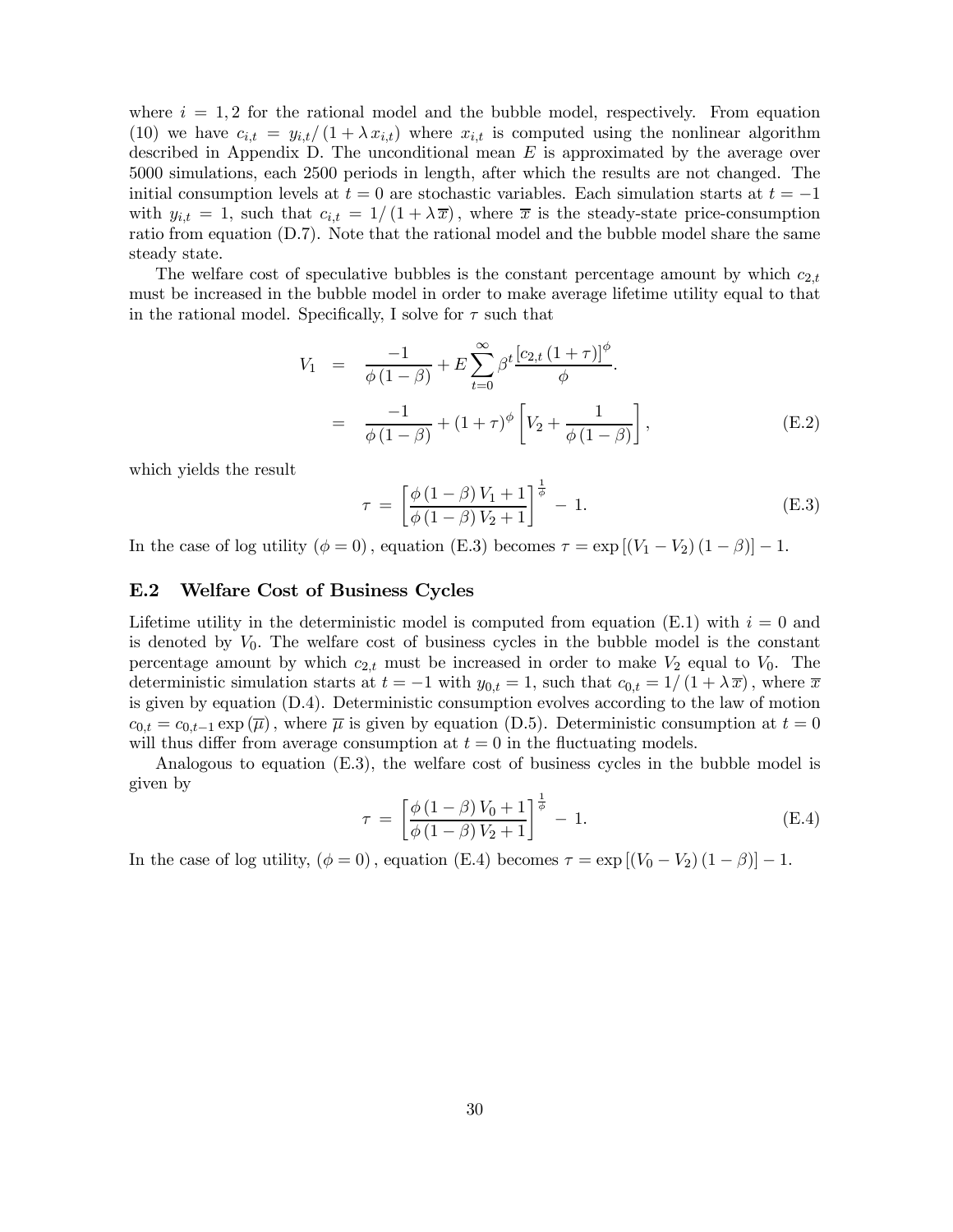where  $i = 1,2$  for the rational model and the bubble model, respectively. From equation (10) we have  $c_{i,t} = y_{i,t}/(1+\lambda x_{i,t})$  where  $x_{i,t}$  is computed using the nonlinear algorithm described in Appendix D. The unconditional mean  $E$  is approximated by the average over 5000 simulations, each 2500 periods in length, after which the results are not changed. The initial consumption levels at  $t = 0$  are stochastic variables. Each simulation starts at  $t = -1$ with  $y_{i,t} = 1$ , such that  $c_{i,t} = 1/(1 + \lambda \overline{x})$ , where  $\overline{x}$  is the steady-state price-consumption ratio from equation (D.7). Note that the rational model and the bubble model share the same steady state.

The welfare cost of speculative bubbles is the constant percentage amount by which  $c_{2,t}$ must be increased in the bubble model in order to make average lifetime utility equal to that in the rational model. Specifically, I solve for  $\tau$  such that

$$
V_1 = \frac{-1}{\phi(1-\beta)} + E \sum_{t=0}^{\infty} \beta^t \frac{[c_{2,t}(1+\tau)]^{\phi}}{\phi}.
$$
  
= 
$$
\frac{-1}{\phi(1-\beta)} + (1+\tau)^{\phi} \left[ V_2 + \frac{1}{\phi(1-\beta)} \right],
$$
 (E.2)

which yields the result

$$
\tau = \left[\frac{\phi(1-\beta)V_1 + 1}{\phi(1-\beta)V_2 + 1}\right]^{\frac{1}{\phi}} - 1.
$$
\n(E.3)

In the case of log utility ( $\phi = 0$ ), equation (E.3) becomes  $\tau = \exp[(V_1 - V_2)(1 - \beta)] - 1$ .

#### E.2 Welfare Cost of Business Cycles

Lifetime utility in the deterministic model is computed from equation (E.1) with  $i=0$  and is denoted by  $V_0$ . The welfare cost of business cycles in the bubble model is the constant percentage amount by which  $c_{2,t}$  must be increased in order to make  $V_2$  equal to  $V_0$ . The deterministic simulation starts at  $t = -1$  with  $y_{0,t} = 1$ , such that  $c_{0,t} = 1/(1 + \lambda \overline{x})$ , where  $\overline{x}$ is given by equation (D.4). Deterministic consumption evolves according to the law of motion  $c_{0,t} = c_{0,t-1} \exp(\overline{\mu})$ , where  $\overline{\mu}$  is given by equation (D.5). Deterministic consumption at  $t = 0$ will thus differ from average consumption at  $t = 0$  in the fluctuating models.

Analogous to equation (E.3), the welfare cost of business cycles in the bubble model is given by

$$
\tau = \left[ \frac{\phi \left( 1 - \beta \right) V_0 + 1}{\phi \left( 1 - \beta \right) V_2 + 1} \right]^{\frac{1}{\phi}} - 1. \tag{E.4}
$$

In the case of log utility,  $(\phi = 0)$ , equation (E.4) becomes  $\tau = \exp[(V_0 - V_2)(1 - \beta)] - 1$ .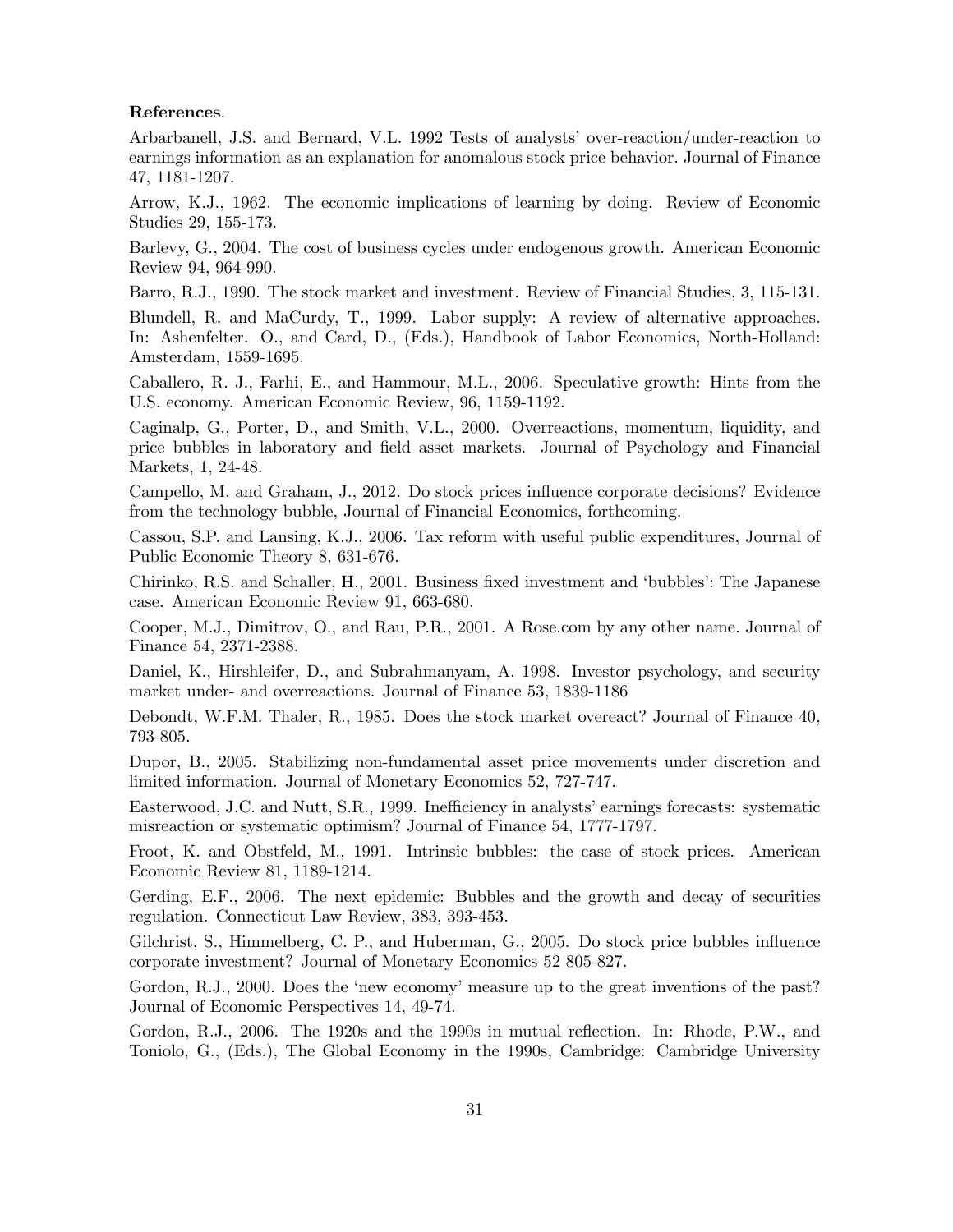#### References.

Arbarbanell, J.S. and Bernard, V.L. 1992 Tests of analysts' over-reaction/under-reaction to earnings information as an explanation for anomalous stock price behavior. Journal of Finance 47, 1181-1207.

Arrow, K.J., 1962. The economic implications of learning by doing. Review of Economic Studies 29, 155-173.

Barlevy, G., 2004. The cost of business cycles under endogenous growth. American Economic Review 94, 964-990.

Barro, R.J., 1990. The stock market and investment. Review of Financial Studies, 3, 115-131.

Blundell, R. and MaCurdy, T., 1999. Labor supply: A review of alternative approaches. In: Ashenfelter. O., and Card, D., (Eds.), Handbook of Labor Economics, North-Holland: Amsterdam, 1559-1695.

Caballero, R. J., Farhi, E., and Hammour, M.L., 2006. Speculative growth: Hints from the U.S. economy. American Economic Review, 96, 1159-1192.

Caginalp, G., Porter, D., and Smith, V.L., 2000. Overreactions, momentum, liquidity, and price bubbles in laboratory and field asset markets. Journal of Psychology and Financial Markets, 1, 24-48.

Campello, M. and Graham, J., 2012. Do stock prices influence corporate decisions? Evidence from the technology bubble, Journal of Financial Economics, forthcoming.

Cassou, S.P. and Lansing, K.J., 2006. Tax reform with useful public expenditures, Journal of Public Economic Theory 8, 631-676.

Chirinko, R.S. and Schaller, H., 2001. Business fixed investment and 'bubbles': The Japanese case. American Economic Review 91, 663-680.

Cooper, M.J., Dimitrov, O., and Rau, P.R., 2001. A Rose.com by any other name. Journal of Finance 54, 2371-2388.

Daniel, K., Hirshleifer, D., and Subrahmanyam, A. 1998. Investor psychology, and security market under- and overreactions. Journal of Finance 53, 1839-1186

Debondt, W.F.M. Thaler, R., 1985. Does the stock market overeact? Journal of Finance 40, 793-805.

Dupor, B., 2005. Stabilizing non-fundamental asset price movements under discretion and limited information. Journal of Monetary Economics 52, 727-747.

Easterwood, J.C. and Nutt, S.R., 1999. Inefficiency in analysts' earnings forecasts: systematic misreaction or systematic optimism? Journal of Finance 54, 1777-1797.

Froot, K. and Obstfeld, M., 1991. Intrinsic bubbles: the case of stock prices. American Economic Review 81, 1189-1214.

Gerding, E.F., 2006. The next epidemic: Bubbles and the growth and decay of securities regulation. Connecticut Law Review, 383, 393-453.

Gilchrist, S., Himmelberg, C. P., and Huberman, G., 2005. Do stock price bubbles influence corporate investment? Journal of Monetary Economics 52 805-827.

Gordon, R.J., 2000. Does the 'new economy' measure up to the great inventions of the past? Journal of Economic Perspectives 14, 49-74.

Gordon, R.J., 2006. The 1920s and the 1990s in mutual reflection. In: Rhode, P.W., and Toniolo, G., (Eds.), The Global Economy in the 1990s, Cambridge: Cambridge University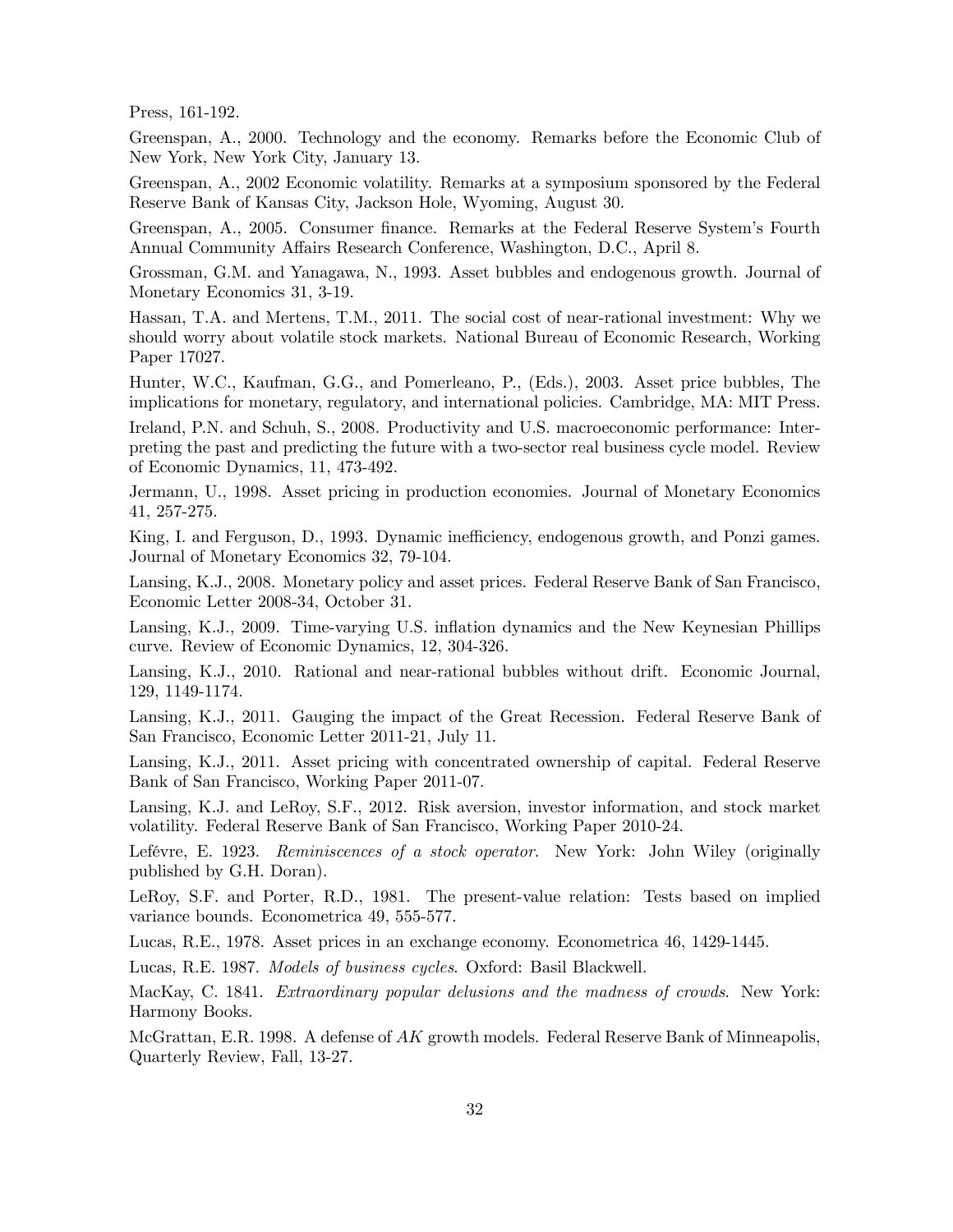Press, 161-192.

Greenspan, A., 2000. Technology and the economy. Remarks before the Economic Club of New York, New York City, January 13.

Greenspan, A., 2002 Economic volatility. Remarks at a symposium sponsored by the Federal Reserve Bank of Kansas City, Jackson Hole, Wyoming, August 30.

Greenspan, A., 2005. Consumer finance. Remarks at the Federal Reserve System's Fourth Annual Community Affairs Research Conference, Washington, D.C., April 8.

Grossman, G.M. and Yanagawa, N., 1993. Asset bubbles and endogenous growth. Journal of Monetary Economics 31, 3-19.

Hassan, T.A. and Mertens, T.M., 2011. The social cost of near-rational investment: Why we should worry about volatile stock markets. National Bureau of Economic Research, Working Paper 17027.

Hunter, W.C., Kaufman, G.G., and Pomerleano, P., (Eds.), 2003. Asset price bubbles, The implications for monetary, regulatory, and international policies. Cambridge, MA: MIT Press.

Ireland, P.N. and Schuh, S., 2008. Productivity and U.S. macroeconomic performance: Interpreting the past and predicting the future with a two-sector real business cycle model. Review of Economic Dynamics, 11, 473-492.

Jermann, U., 1998. Asset pricing in production economies. Journal of Monetary Economics 41, 257-275.

King, I. and Ferguson, D., 1993. Dynamic inefficiency, endogenous growth, and Ponzi games. Journal of Monetary Economics 32, 79-104.

Lansing, K.J., 2008. Monetary policy and asset prices. Federal Reserve Bank of San Francisco, Economic Letter 2008-34, October 31.

Lansing, K.J., 2009. Time-varying U.S. inflation dynamics and the New Keynesian Phillips curve. Review of Economic Dynamics, 12, 304-326.

Lansing, K.J., 2010. Rational and near-rational bubbles without drift. Economic Journal, 129, 1149-1174.

Lansing, K.J., 2011. Gauging the impact of the Great Recession. Federal Reserve Bank of San Francisco, Economic Letter 2011-21, July 11.

Lansing, K.J., 2011. Asset pricing with concentrated ownership of capital. Federal Reserve Bank of San Francisco, Working Paper 2011-07.

Lansing, K.J. and LeRoy, S.F., 2012. Risk aversion, investor information, and stock market volatility. Federal Reserve Bank of San Francisco, Working Paper 2010-24.

Lefévre, E. 1923. Reminiscences of a stock operator. New York: John Wiley (originally published by G.H. Doran).

LeRoy, S.F. and Porter, R.D., 1981. The present-value relation: Tests based on implied variance bounds. Econometrica 49, 555-577.

Lucas, R.E., 1978. Asset prices in an exchange economy. Econometrica 46, 1429-1445.

Lucas, R.E. 1987. Models of business cycles. Oxford: Basil Blackwell.

MacKay, C. 1841. Extraordinary popular delusions and the madness of crowds. New York: Harmony Books.

McGrattan, E.R. 1998. A defense of  $AK$  growth models. Federal Reserve Bank of Minneapolis, Quarterly Review, Fall, 13-27.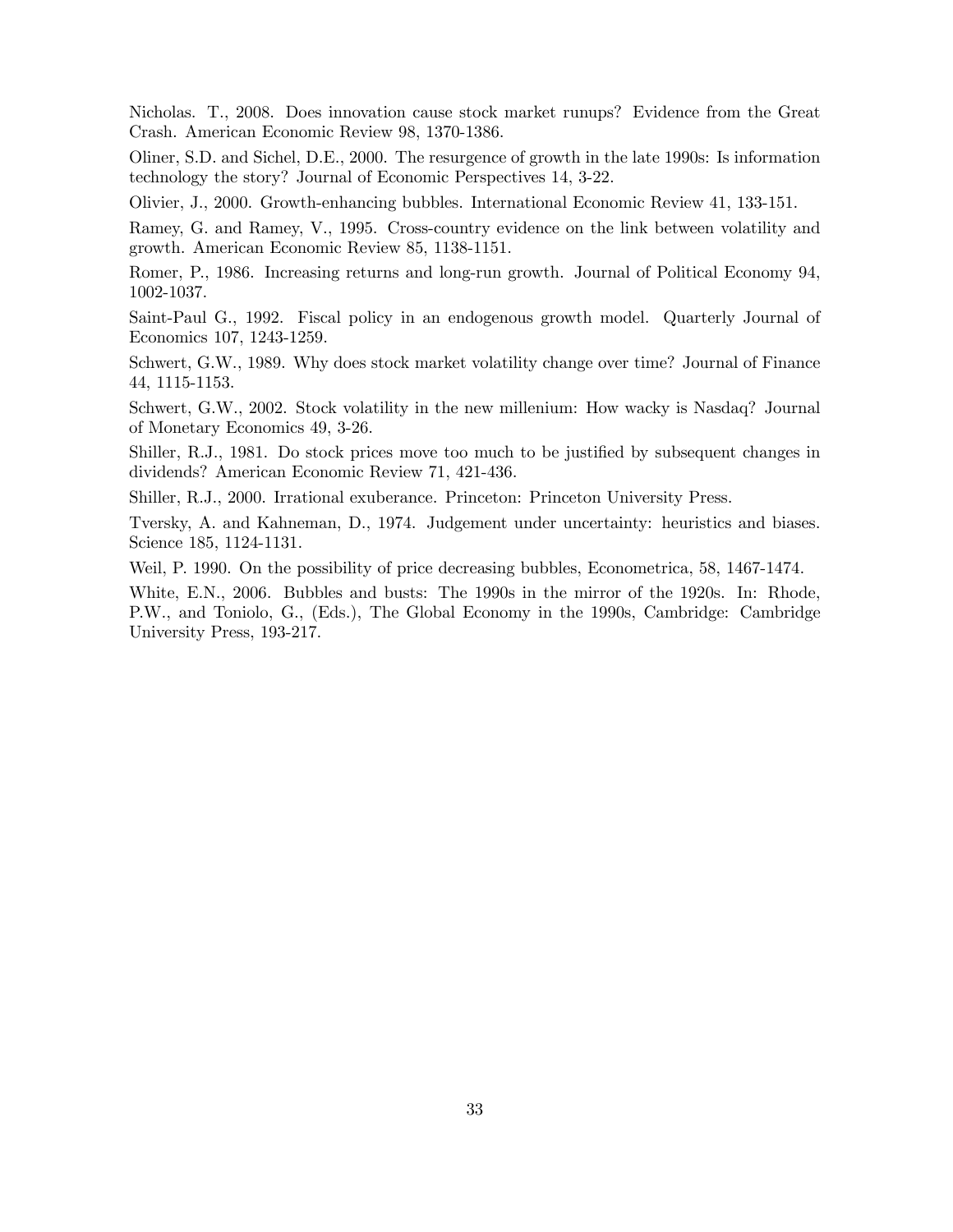Nicholas. T., 2008. Does innovation cause stock market runups? Evidence from the Great Crash. American Economic Review 98, 1370-1386.

Oliner, S.D. and Sichel, D.E., 2000. The resurgence of growth in the late 1990s: Is information technology the story? Journal of Economic Perspectives 14, 3-22.

Olivier, J., 2000. Growth-enhancing bubbles. International Economic Review 41, 133-151.

Ramey, G. and Ramey, V., 1995. Cross-country evidence on the link between volatility and growth. American Economic Review 85, 1138-1151.

Romer, P., 1986. Increasing returns and long-run growth. Journal of Political Economy 94, 1002-1037.

Saint-Paul G., 1992. Fiscal policy in an endogenous growth model. Quarterly Journal of Economics 107, 1243-1259.

Schwert, G.W., 1989. Why does stock market volatility change over time? Journal of Finance 44, 1115-1153.

Schwert, G.W., 2002. Stock volatility in the new millenium: How wacky is Nasdaq? Journal of Monetary Economics 49, 3-26.

Shiller, R.J., 1981. Do stock prices move too much to be justified by subsequent changes in dividends? American Economic Review 71, 421-436.

Shiller, R.J., 2000. Irrational exuberance. Princeton: Princeton University Press.

Tversky, A. and Kahneman, D., 1974. Judgement under uncertainty: heuristics and biases. Science 185, 1124-1131.

Weil, P. 1990. On the possibility of price decreasing bubbles, Econometrica, 58, 1467-1474.

White, E.N., 2006. Bubbles and busts: The 1990s in the mirror of the 1920s. In: Rhode, P.W., and Toniolo, G., (Eds.), The Global Economy in the 1990s, Cambridge: Cambridge University Press, 193-217.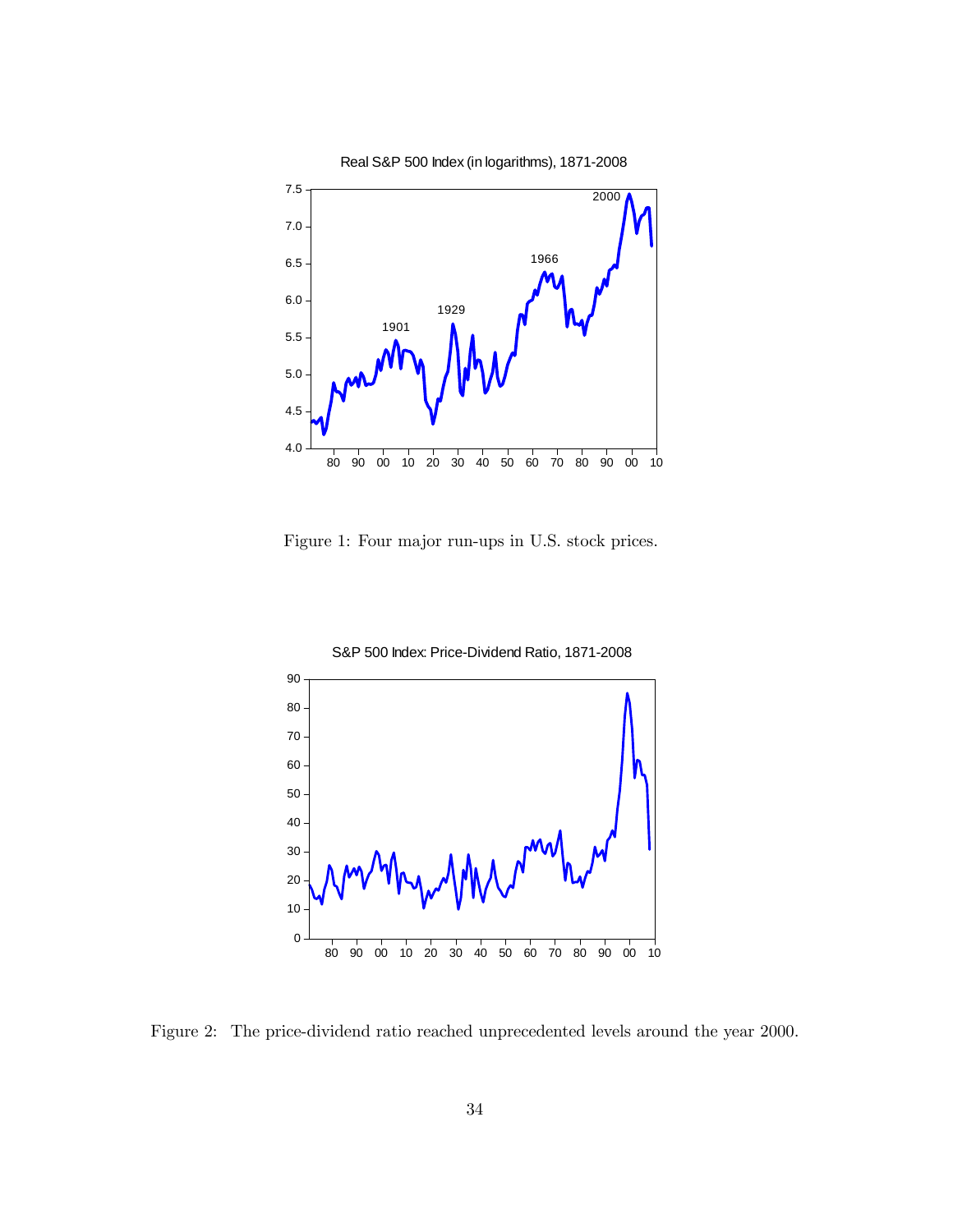

Figure 1: Four major run-ups in U.S. stock prices.



Figure 2: The price-dividend ratio reached unprecedented levels around the year 2000.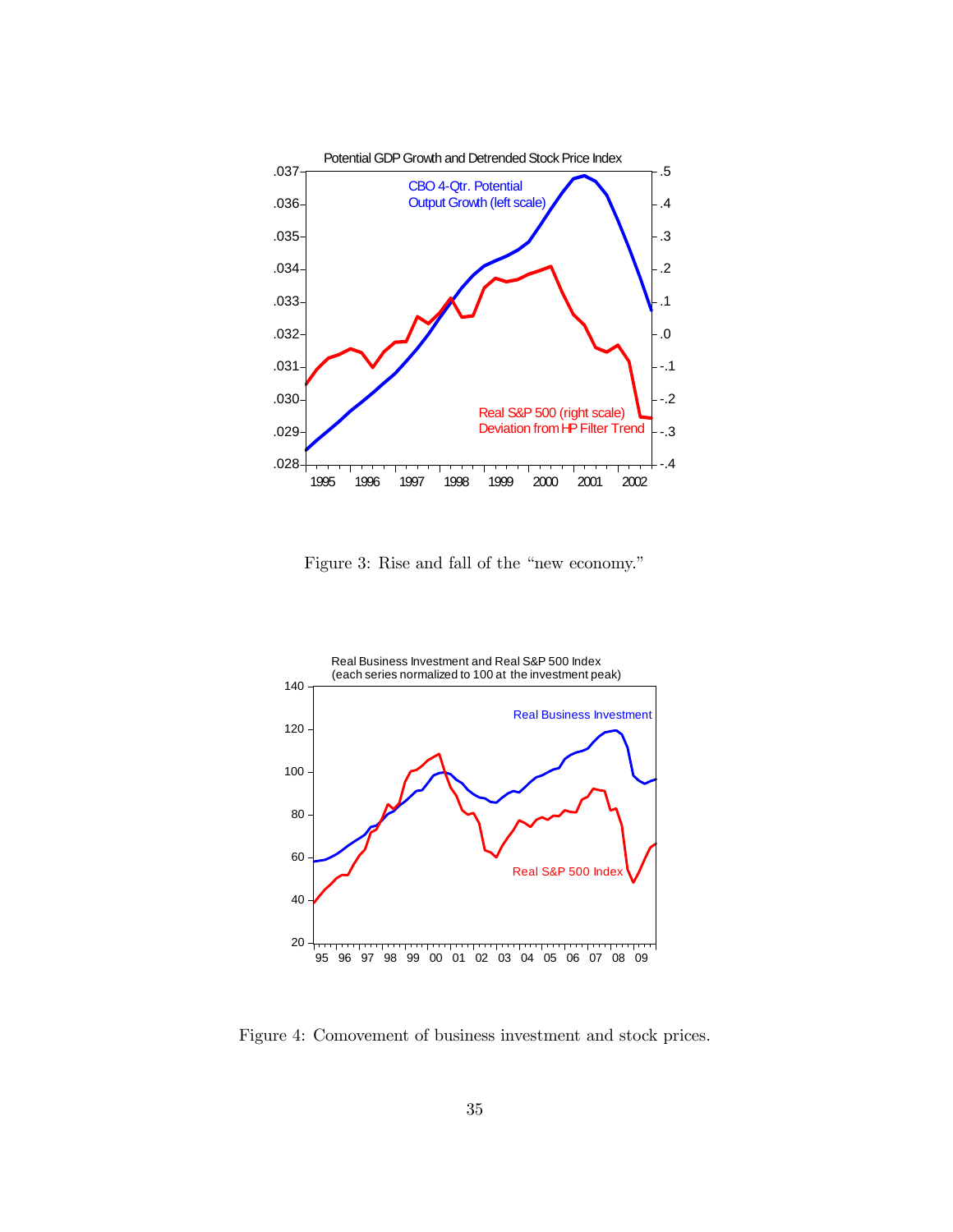

Figure 3: Rise and fall of the "new economy."



Figure 4: Comovement of business investment and stock prices.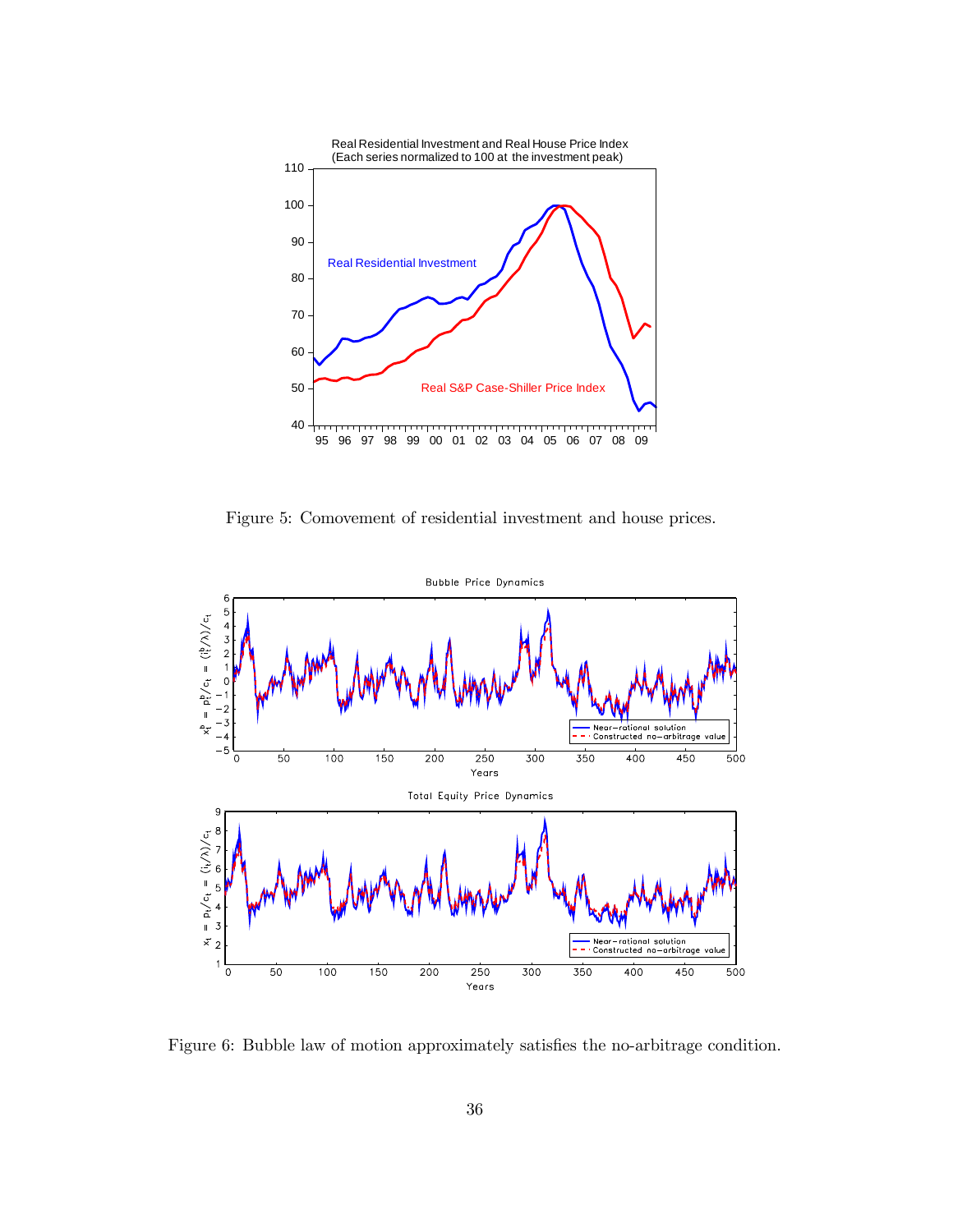

Figure 5: Comovement of residential investment and house prices.



Figure 6: Bubble law of motion approximately satisfies the no-arbitrage condition.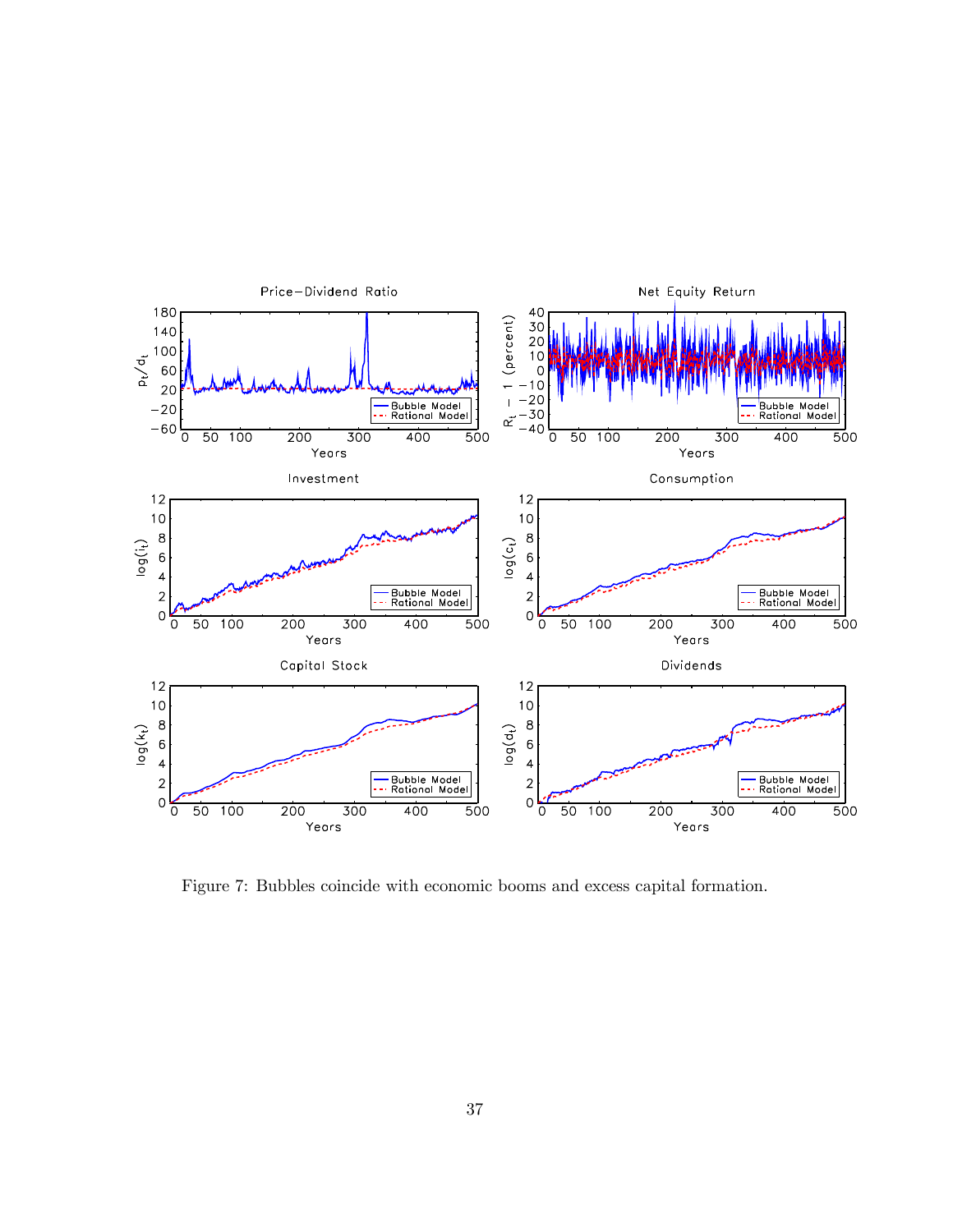

Figure 7: Bubbles coincide with economic booms and excess capital formation.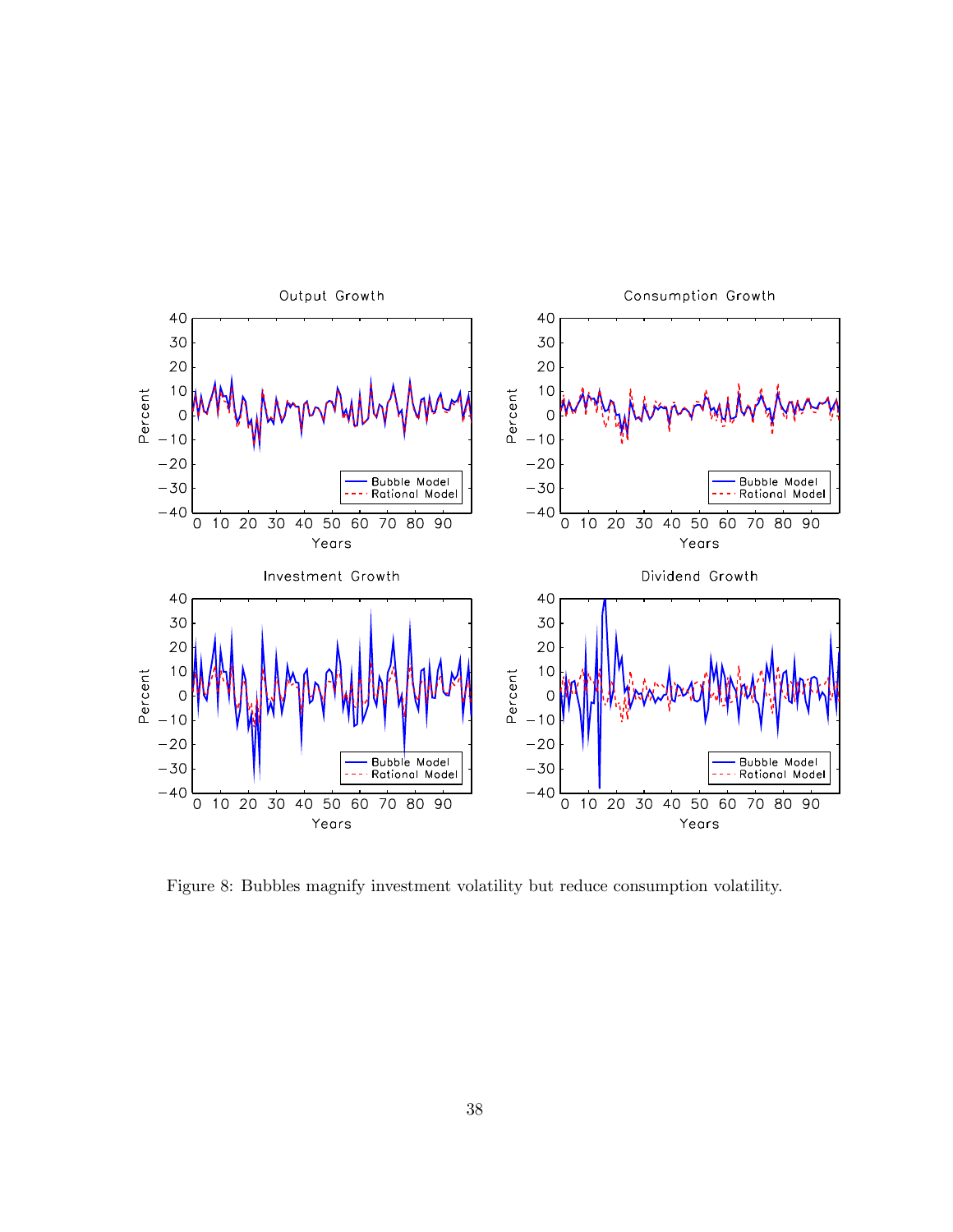

Figure 8: Bubbles magnify investment volatility but reduce consumption volatility.